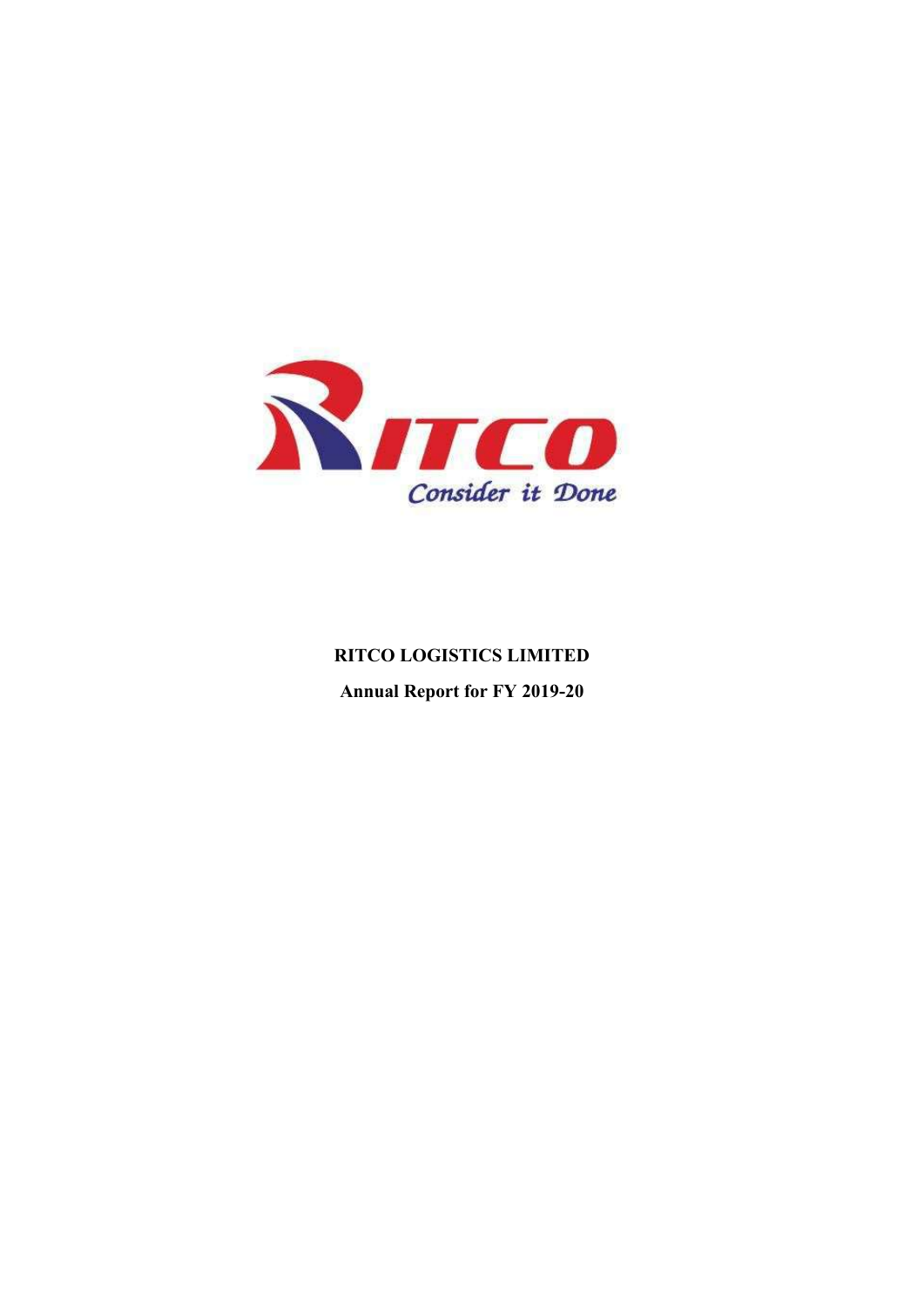

# **RITCO LOGISTICS LIMITED Annual Report for FY 2019-20**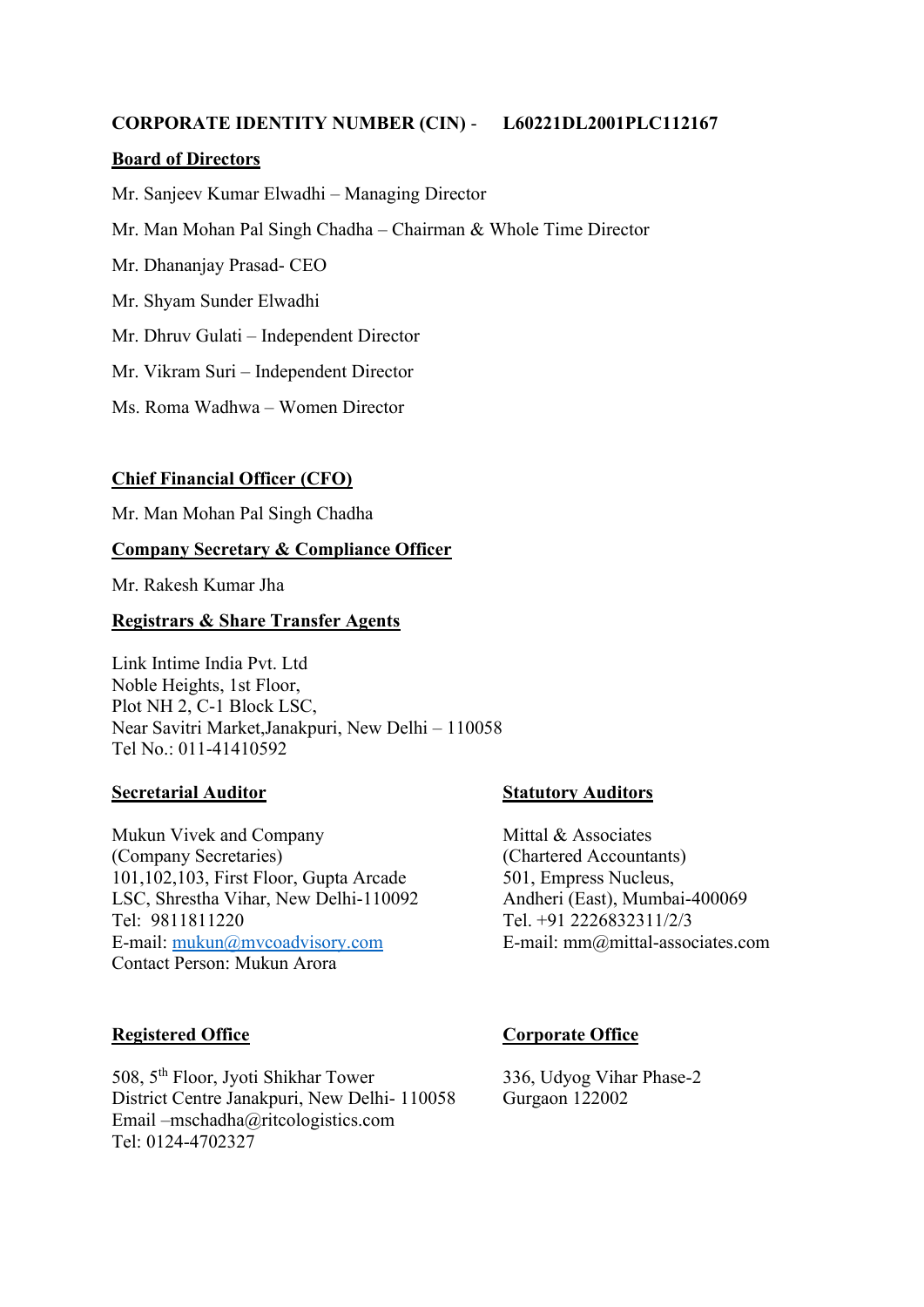#### **CORPORATE IDENTITY NUMBER (CIN)** - **L60221DL2001PLC112167**

#### **Board of Directors**

Mr. Sanjeev Kumar Elwadhi – Managing Director

Mr. Man Mohan Pal Singh Chadha – Chairman & Whole Time Director

Mr. Dhananjay Prasad- CEO

Mr. Shyam Sunder Elwadhi

Mr. Dhruv Gulati – Independent Director

Mr. Vikram Suri – Independent Director

Ms. Roma Wadhwa – Women Director

#### **Chief Financial Officer (CFO)**

Mr. Man Mohan Pal Singh Chadha

#### **Company Secretary & Compliance Officer**

Mr. Rakesh Kumar Jha

#### **Registrars & Share Transfer Agents**

Link Intime India Pvt. Ltd Noble Heights, 1st Floor, Plot NH 2, C-1 Block LSC, Near Savitri Market,Janakpuri, New Delhi – 110058 Tel No.: 011-41410592

#### **Secretarial Auditor Statutory Auditors**

Mukun Vivek and Company Mittal & Associates (Company Secretaries) (Chartered Accountants) 101,102,103, First Floor, Gupta Arcade 501, Empress Nucleus, LSC, Shrestha Vihar, New Delhi-110092 Andheri (East), Mumbai-400069 Tel: 9811811220 Tel. +91 2226832311/2/3 E-mail: [mukun@mvcoadvisory.com](mailto:mukun@mvcoadvisory.com) E-mail: mm@mittal-associates.com Contact Person: Mukun Arora

#### **Registered Office Corporate Office**

508, 5 th Floor, Jyoti Shikhar Tower 336, Udyog Vihar Phase-2 District Centre Janakpuri, New Delhi- 110058 Gurgaon 122002 Email –mschadha@ritcologistics.com Tel: 0124-4702327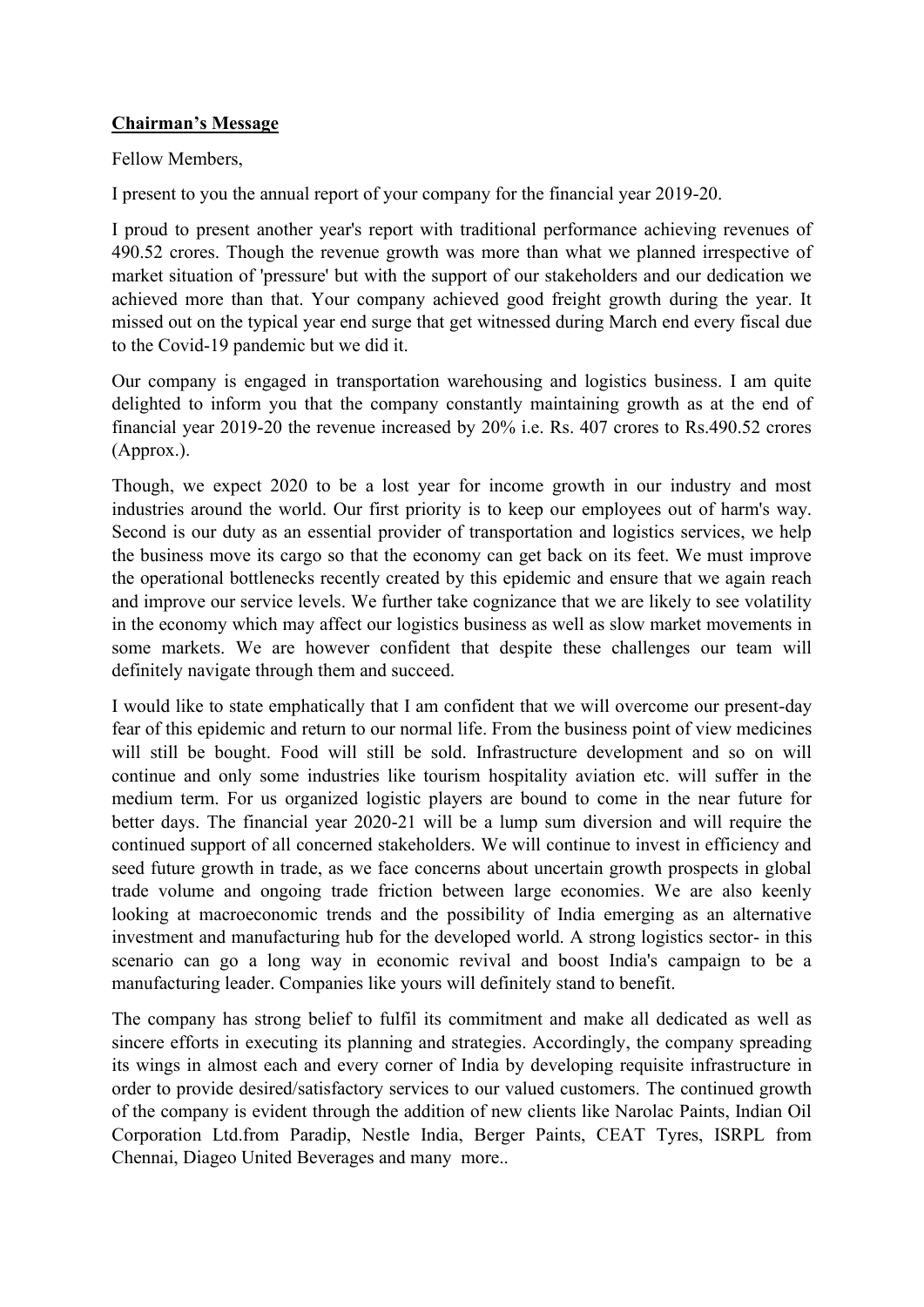#### **Chairman's Message**

Fellow Members,

I present to you the annual report of your company for the financial year 2019-20.

I proud to present another year's report with traditional performance achieving revenues of 490.52 crores. Though the revenue growth was more than what we planned irrespective of market situation of 'pressure' but with the support of our stakeholders and our dedication we achieved more than that. Your company achieved good freight growth during the year. It missed out on the typical year end surge that get witnessed during March end every fiscal due to the Covid-19 pandemic but we did it.

Our company is engaged in transportation warehousing and logistics business. I am quite delighted to inform you that the company constantly maintaining growth as at the end of financial year 2019-20 the revenue increased by 20% i.e. Rs. 407 crores to Rs.490.52 crores (Approx.).

Though, we expect 2020 to be a lost year for income growth in our industry and most industries around the world. Our first priority is to keep our employees out of harm's way. Second is our duty as an essential provider of transportation and logistics services, we help the business move its cargo so that the economy can get back on its feet. We must improve the operational bottlenecks recently created by this epidemic and ensure that we again reach and improve our service levels. We further take cognizance that we are likely to see volatility in the economy which may affect our logistics business as well as slow market movements in some markets. We are however confident that despite these challenges our team will definitely navigate through them and succeed.

I would like to state emphatically that I am confident that we will overcome our present-day fear of this epidemic and return to our normal life. From the business point of view medicines will still be bought. Food will still be sold. Infrastructure development and so on will continue and only some industries like tourism hospitality aviation etc. will suffer in the medium term. For us organized logistic players are bound to come in the near future for better days. The financial year 2020-21 will be a lump sum diversion and will require the continued support of all concerned stakeholders. We will continue to invest in efficiency and seed future growth in trade, as we face concerns about uncertain growth prospects in global trade volume and ongoing trade friction between large economies. We are also keenly looking at macroeconomic trends and the possibility of India emerging as an alternative investment and manufacturing hub for the developed world. A strong logistics sector- in this scenario can go a long way in economic revival and boost India's campaign to be a manufacturing leader. Companies like yours will definitely stand to benefit.

The company has strong belief to fulfil its commitment and make all dedicated as well as sincere efforts in executing its planning and strategies. Accordingly, the company spreading its wings in almost each and every corner of India by developing requisite infrastructure in order to provide desired/satisfactory services to our valued customers. The continued growth of the company is evident through the addition of new clients like Narolac Paints, Indian Oil Corporation Ltd.from Paradip, Nestle India, Berger Paints, CEAT Tyres, ISRPL from Chennai, Diageo United Beverages and many more..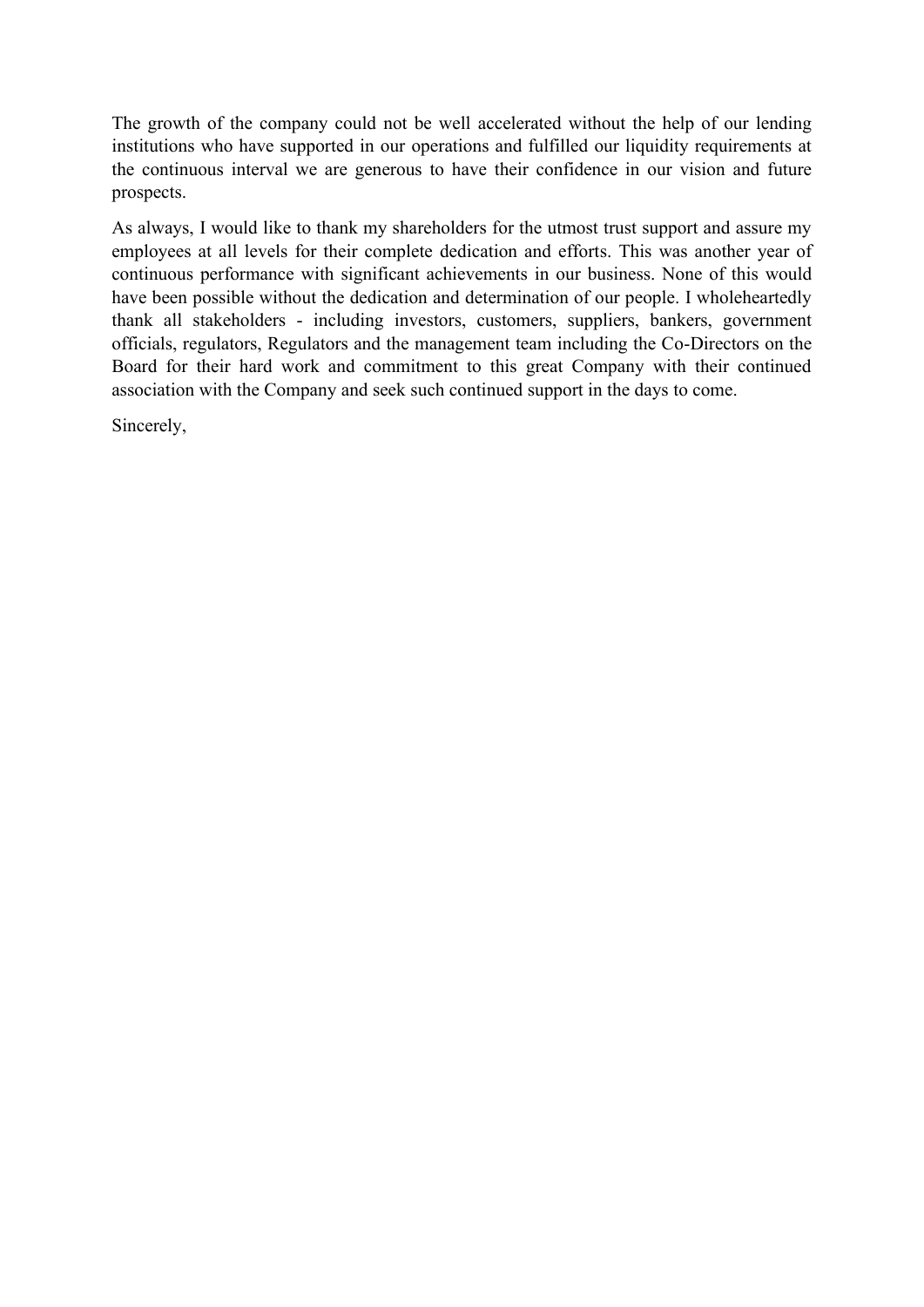The growth of the company could not be well accelerated without the help of our lending institutions who have supported in our operations and fulfilled our liquidity requirements at the continuous interval we are generous to have their confidence in our vision and future prospects.

As always, I would like to thank my shareholders for the utmost trust support and assure my employees at all levels for their complete dedication and efforts. This was another year of continuous performance with significant achievements in our business. None of this would have been possible without the dedication and determination of our people. I wholeheartedly thank all stakeholders - including investors, customers, suppliers, bankers, government officials, regulators, Regulators and the management team including the Co-Directors on the Board for their hard work and commitment to this great Company with their continued association with the Company and seek such continued support in the days to come.

Sincerely,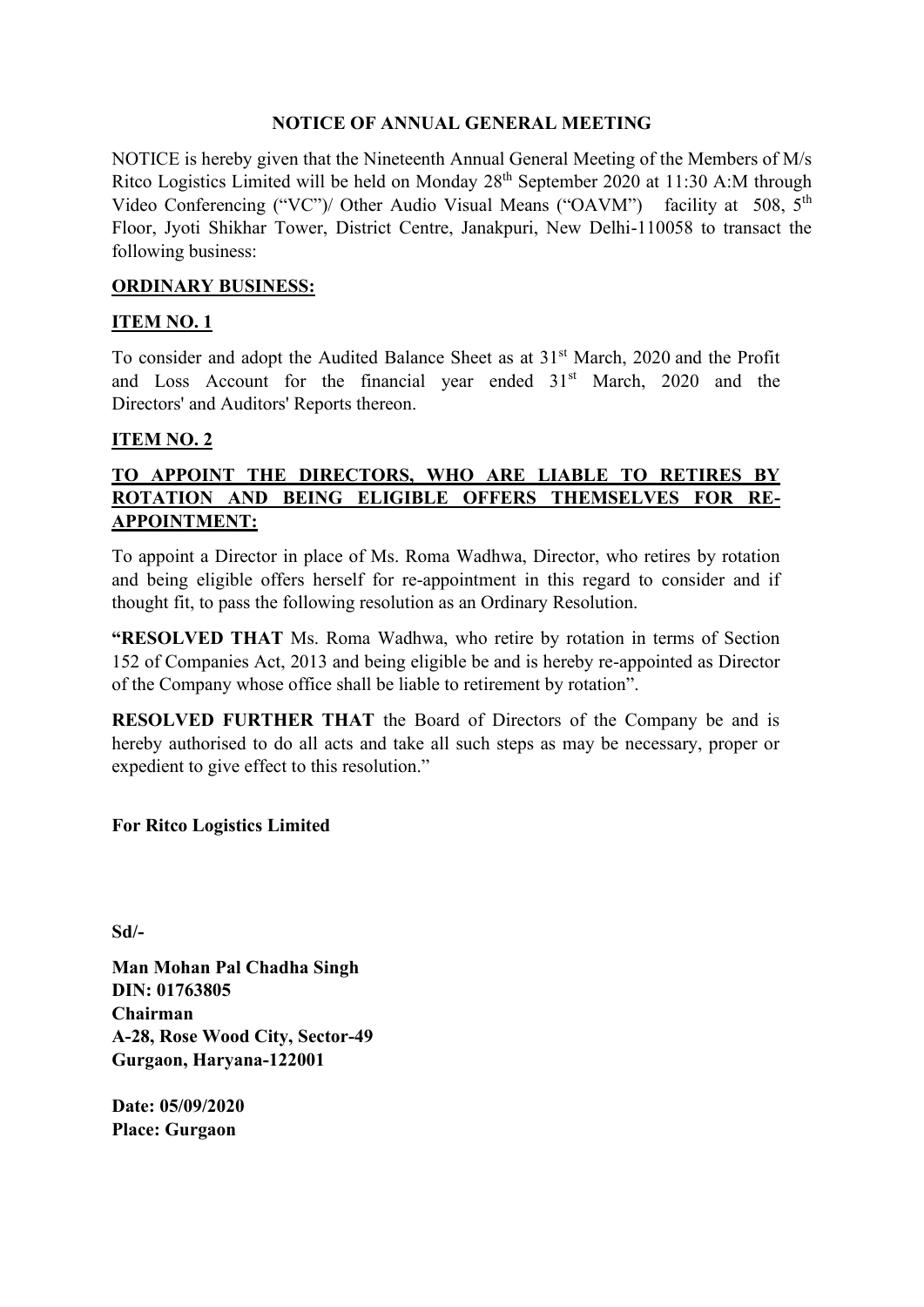#### **NOTICE OF ANNUAL GENERAL MEETING**

NOTICE is hereby given that the Nineteenth Annual General Meeting of the Members of M/s Ritco Logistics Limited will be held on Monday 28th September 2020 at 11:30 A:M through Video Conferencing ("VC")/ Other Audio Visual Means ("OAVM") facility at 508, 5<sup>th</sup> Floor, Jyoti Shikhar Tower, District Centre, Janakpuri, New Delhi-110058 to transact the following business:

#### **ORDINARY BUSINESS:**

#### **ITEM NO. 1**

To consider and adopt the Audited Balance Sheet as at 31<sup>st</sup> March, 2020 and the Profit and Loss Account for the financial year ended 31<sup>st</sup> March, 2020 and the Directors' and Auditors' Reports thereon.

#### **ITEM NO. 2**

### **TO APPOINT THE DIRECTORS, WHO ARE LIABLE TO RETIRES BY ROTATION AND BEING ELIGIBLE OFFERS THEMSELVES FOR RE-APPOINTMENT:**

To appoint a Director in place of Ms. Roma Wadhwa, Director, who retires by rotation and being eligible offers herself for re-appointment in this regard to consider and if thought fit, to pass the following resolution as an Ordinary Resolution.

**"RESOLVED THAT** Ms. Roma Wadhwa, who retire by rotation in terms of Section 152 of Companies Act, 2013 and being eligible be and is hereby re-appointed as Director of the Company whose office shall be liable to retirement by rotation".

**RESOLVED FURTHER THAT** the Board of Directors of the Company be and is hereby authorised to do all acts and take all such steps as may be necessary, proper or expedient to give effect to this resolution."

#### **For Ritco Logistics Limited**

**Sd/-**

**Man Mohan Pal Chadha Singh DIN: 01763805 Chairman A-28, Rose Wood City, Sector-49 Gurgaon, Haryana-122001**

**Date: 05/09/2020 Place: Gurgaon**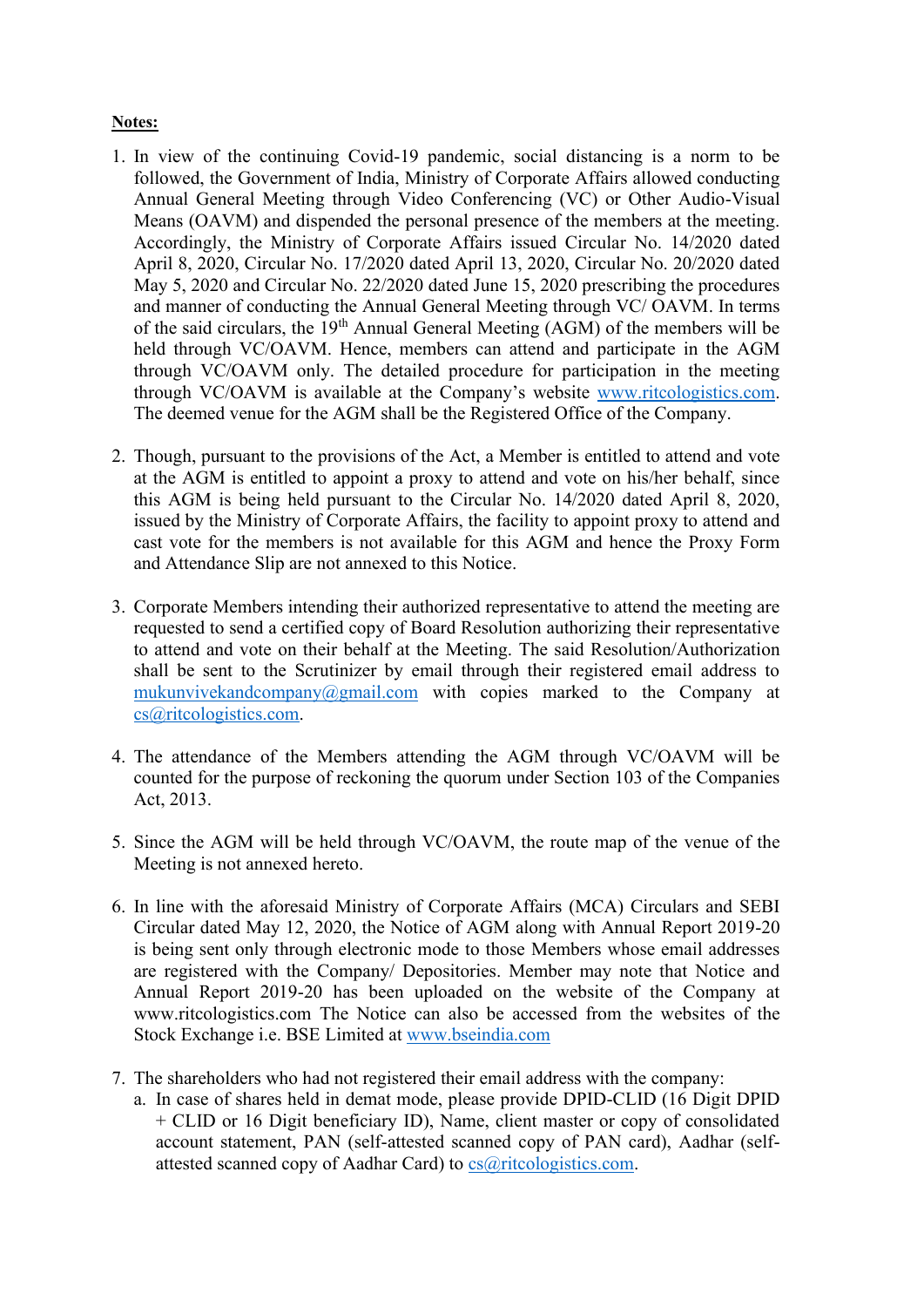#### **Notes:**

- 1. In view of the continuing Covid-19 pandemic, social distancing is a norm to be followed, the Government of India, Ministry of Corporate Affairs allowed conducting Annual General Meeting through Video Conferencing (VC) or Other Audio-Visual Means (OAVM) and dispended the personal presence of the members at the meeting. Accordingly, the Ministry of Corporate Affairs issued Circular No. 14/2020 dated April 8, 2020, Circular No. 17/2020 dated April 13, 2020, Circular No. 20/2020 dated May 5, 2020 and Circular No. 22/2020 dated June 15, 2020 prescribing the procedures and manner of conducting the Annual General Meeting through VC/ OAVM. In terms of the said circulars, the 19th Annual General Meeting (AGM) of the members will be held through VC/OAVM. Hence, members can attend and participate in the AGM through VC/OAVM only. The detailed procedure for participation in the meeting through VC/OAVM is available at the Company's website [www.ritcologistics.com.](http://www.ritcologistics.com/) The deemed venue for the AGM shall be the Registered Office of the Company.
- 2. Though, pursuant to the provisions of the Act, a Member is entitled to attend and vote at the AGM is entitled to appoint a proxy to attend and vote on his/her behalf, since this AGM is being held pursuant to the Circular No. 14/2020 dated April 8, 2020, issued by the Ministry of Corporate Affairs, the facility to appoint proxy to attend and cast vote for the members is not available for this AGM and hence the Proxy Form and Attendance Slip are not annexed to this Notice.
- 3. Corporate Members intending their authorized representative to attend the meeting are requested to send a certified copy of Board Resolution authorizing their representative to attend and vote on their behalf at the Meeting. The said Resolution/Authorization shall be sent to the Scrutinizer by email through their registered email address to [mukunvivekandcompany@gmail.com](mailto:mukunvivekandcompany@gmail.com) with copies marked to the Company at [cs@ritcologistics.com.](mailto:cs@ritcologistics.com)
- 4. The attendance of the Members attending the AGM through VC/OAVM will be counted for the purpose of reckoning the quorum under Section 103 of the Companies Act, 2013.
- 5. Since the AGM will be held through VC/OAVM, the route map of the venue of the Meeting is not annexed hereto.
- 6. In line with the aforesaid Ministry of Corporate Affairs (MCA) Circulars and SEBI Circular dated May 12, 2020, the Notice of AGM along with Annual Report 2019-20 is being sent only through electronic mode to those Members whose email addresses are registered with the Company/ Depositories. Member may note that Notice and Annual Report 2019-20 has been uploaded on the website of the Company at www.ritcologistics.com The Notice can also be accessed from the websites of the Stock Exchange i.e. BSE Limited at [www.bseindia.com](http://www.bseindia.com/)
- 7. The shareholders who had not registered their email address with the company:
	- a. In case of shares held in demat mode, please provide DPID-CLID (16 Digit DPID + CLID or 16 Digit beneficiary ID), Name, client master or copy of consolidated account statement, PAN (self-attested scanned copy of PAN card), Aadhar (selfattested scanned copy of Aadhar Card) to [cs@ritcologistics.com.](mailto:cs@ritcologistics.com)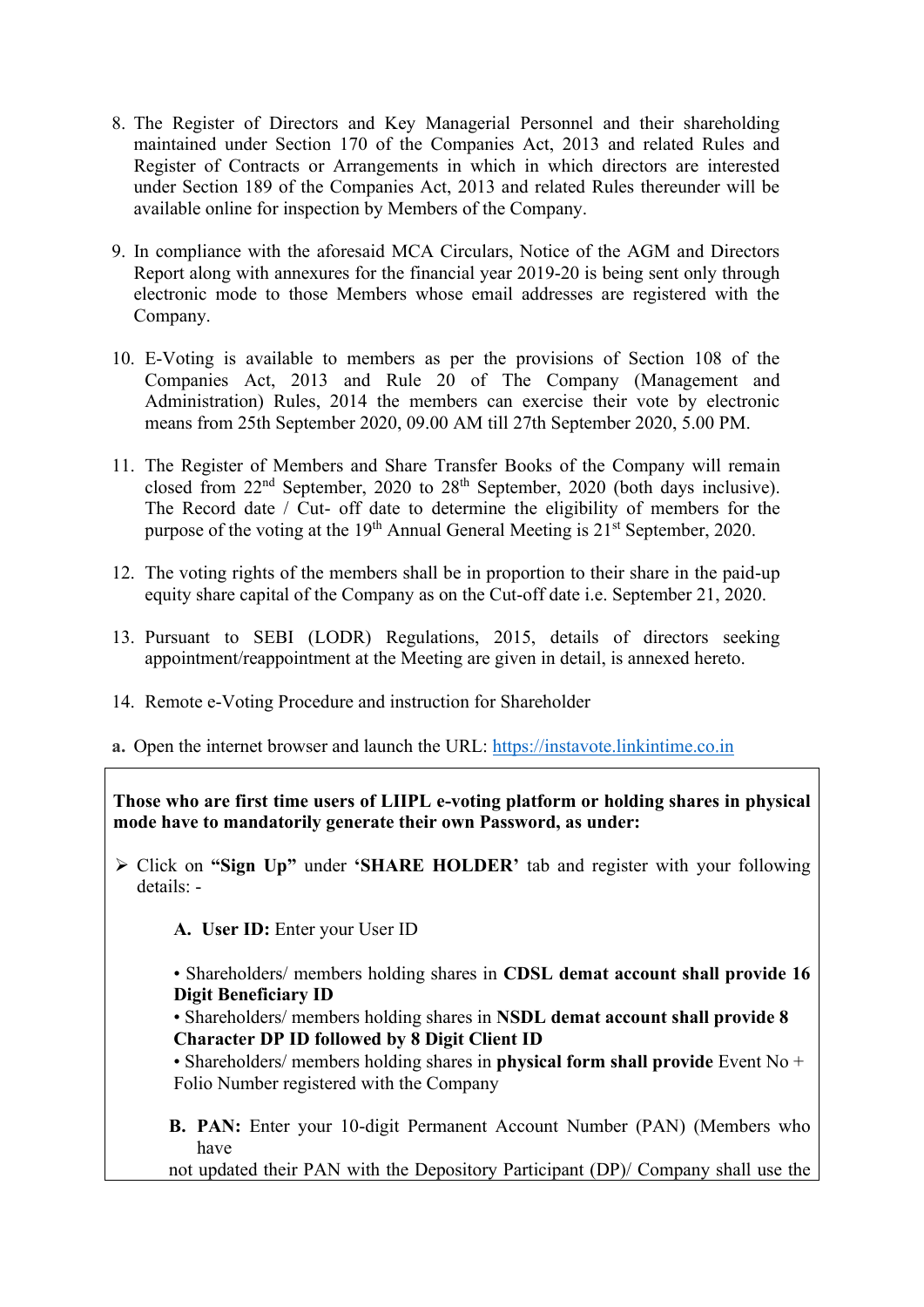- 8. The Register of Directors and Key Managerial Personnel and their shareholding maintained under Section 170 of the Companies Act, 2013 and related Rules and Register of Contracts or Arrangements in which in which directors are interested under Section 189 of the Companies Act, 2013 and related Rules thereunder will be available online for inspection by Members of the Company.
- 9. In compliance with the aforesaid MCA Circulars, Notice of the AGM and Directors Report along with annexures for the financial year 2019-20 is being sent only through electronic mode to those Members whose email addresses are registered with the Company.
- 10. E-Voting is available to members as per the provisions of Section 108 of the Companies Act, 2013 and Rule 20 of The Company (Management and Administration) Rules, 2014 the members can exercise their vote by electronic means from 25th September 2020, 09.00 AM till 27th September 2020, 5.00 PM.
- 11. The Register of Members and Share Transfer Books of the Company will remain closed from  $22<sup>nd</sup>$  September,  $2020$  to  $28<sup>th</sup>$  September,  $2020$  (both days inclusive). The Record date / Cut- off date to determine the eligibility of members for the purpose of the voting at the 19<sup>th</sup> Annual General Meeting is 21<sup>st</sup> September, 2020.
- 12. The voting rights of the members shall be in proportion to their share in the paid-up equity share capital of the Company as on the Cut-off date i.e. September 21, 2020.
- 13. Pursuant to SEBI (LODR) Regulations, 2015, details of directors seeking appointment/reappointment at the Meeting are given in detail, is annexed hereto.
- 14. Remote e-Voting Procedure and instruction for Shareholder
- **a.** Open the internet browser and launch the URL: https://instavote.linkintime.co.in

**Those who are first time users of LIIPL e-voting platform or holding shares in physical mode have to mandatorily generate their own Password, as under:** 

➢ Click on **"Sign Up"** under **'SHARE HOLDER'** tab and register with your following details: -

**A. User ID:** Enter your User ID

• Shareholders/ members holding shares in **CDSL demat account shall provide 16 Digit Beneficiary ID**

• Shareholders/ members holding shares in **NSDL demat account shall provide 8 Character DP ID followed by 8 Digit Client ID**

• Shareholders/ members holding shares in **physical form shall provide** Event No + Folio Number registered with the Company

**B. PAN:** Enter your 10-digit Permanent Account Number (PAN) (Members who have

not updated their PAN with the Depository Participant (DP)/ Company shall use the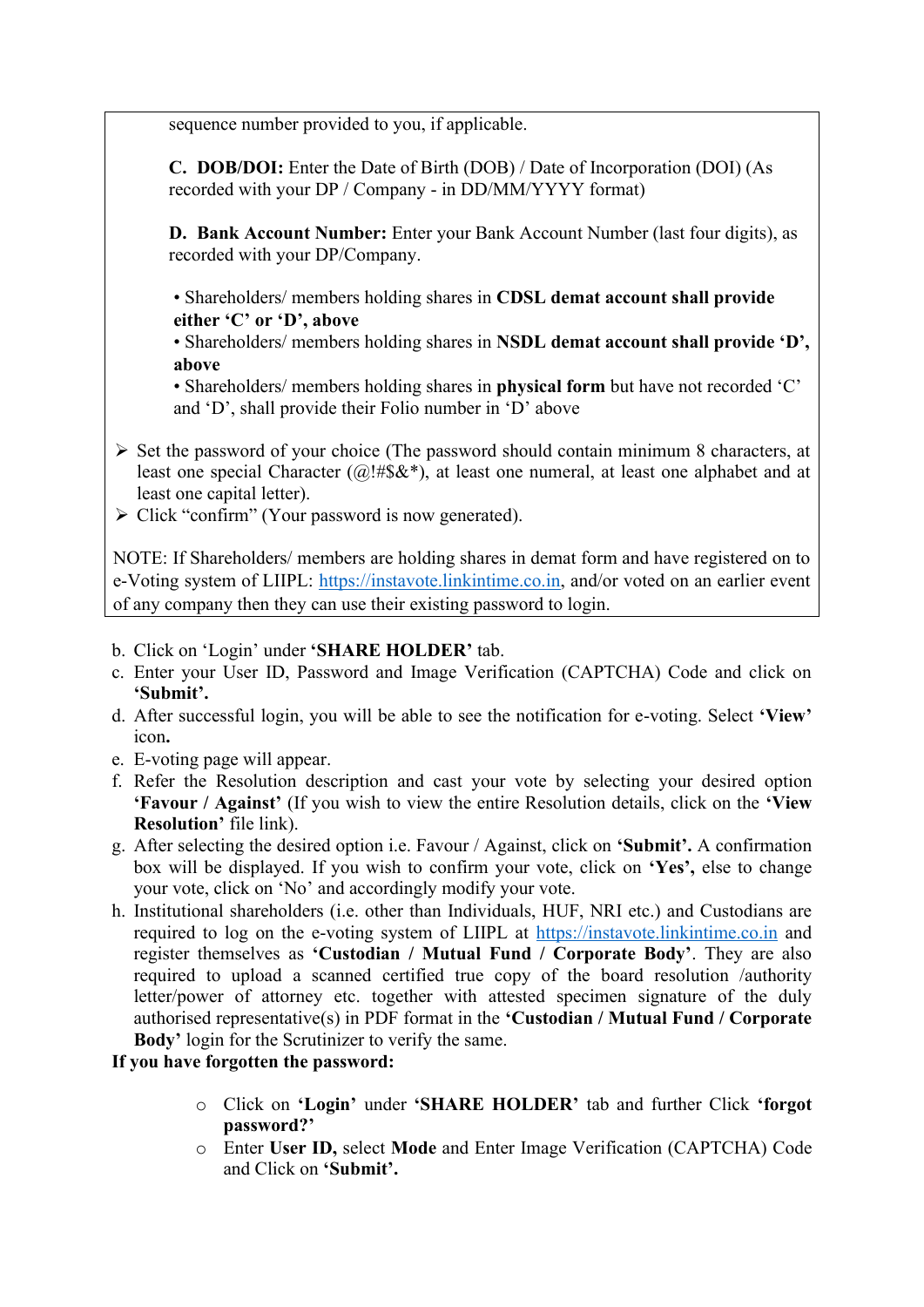sequence number provided to you, if applicable.

**C. DOB/DOI:** Enter the Date of Birth (DOB) / Date of Incorporation (DOI) (As recorded with your DP / Company - in DD/MM/YYYY format)

**D. Bank Account Number:** Enter your Bank Account Number (last four digits), as recorded with your DP/Company.

• Shareholders/ members holding shares in **CDSL demat account shall provide either 'C' or 'D', above** 

• Shareholders/ members holding shares in **NSDL demat account shall provide 'D', above** 

• Shareholders/ members holding shares in **physical form** but have not recorded 'C' and 'D', shall provide their Folio number in 'D' above

- ➢ Set the password of your choice (The password should contain minimum 8 characters, at least one special Character ( $@! \# \$\&^*$ ), at least one numeral, at least one alphabet and at least one capital letter).
- ➢ Click "confirm" (Your password is now generated).

NOTE: If Shareholders/ members are holding shares in demat form and have registered on to e-Voting system of LIIPL: [https://instavote.linkintime.co.in,](https://instavote.linkintime.co.in/) and/or voted on an earlier event of any company then they can use their existing password to login.

- b. Click on 'Login' under **'SHARE HOLDER'** tab.
- c. Enter your User ID, Password and Image Verification (CAPTCHA) Code and click on **'Submit'.**
- d. After successful login, you will be able to see the notification for e-voting. Select **'View'**  icon**.**
- e. E-voting page will appear.
- f. Refer the Resolution description and cast your vote by selecting your desired option **'Favour / Against'** (If you wish to view the entire Resolution details, click on the **'View Resolution'** file link).
- g. After selecting the desired option i.e. Favour / Against, click on **'Submit'.** A confirmation box will be displayed. If you wish to confirm your vote, click on **'Yes',** else to change your vote, click on 'No' and accordingly modify your vote.
- h. Institutional shareholders (i.e. other than Individuals, HUF, NRI etc.) and Custodians are required to log on the e-voting system of LIIPL at [https://instavote.linkintime.co.in](https://instavote.linkintime.co.in/) and register themselves as **'Custodian / Mutual Fund / Corporate Body'**. They are also required to upload a scanned certified true copy of the board resolution /authority letter/power of attorney etc. together with attested specimen signature of the duly authorised representative(s) in PDF format in the **'Custodian / Mutual Fund / Corporate Body'** login for the Scrutinizer to verify the same.

#### **If you have forgotten the password:**

- o Click on **'Login'** under **'SHARE HOLDER'** tab and further Click **'forgot password?'**
- o Enter **User ID,** select **Mode** and Enter Image Verification (CAPTCHA) Code and Click on **'Submit'.**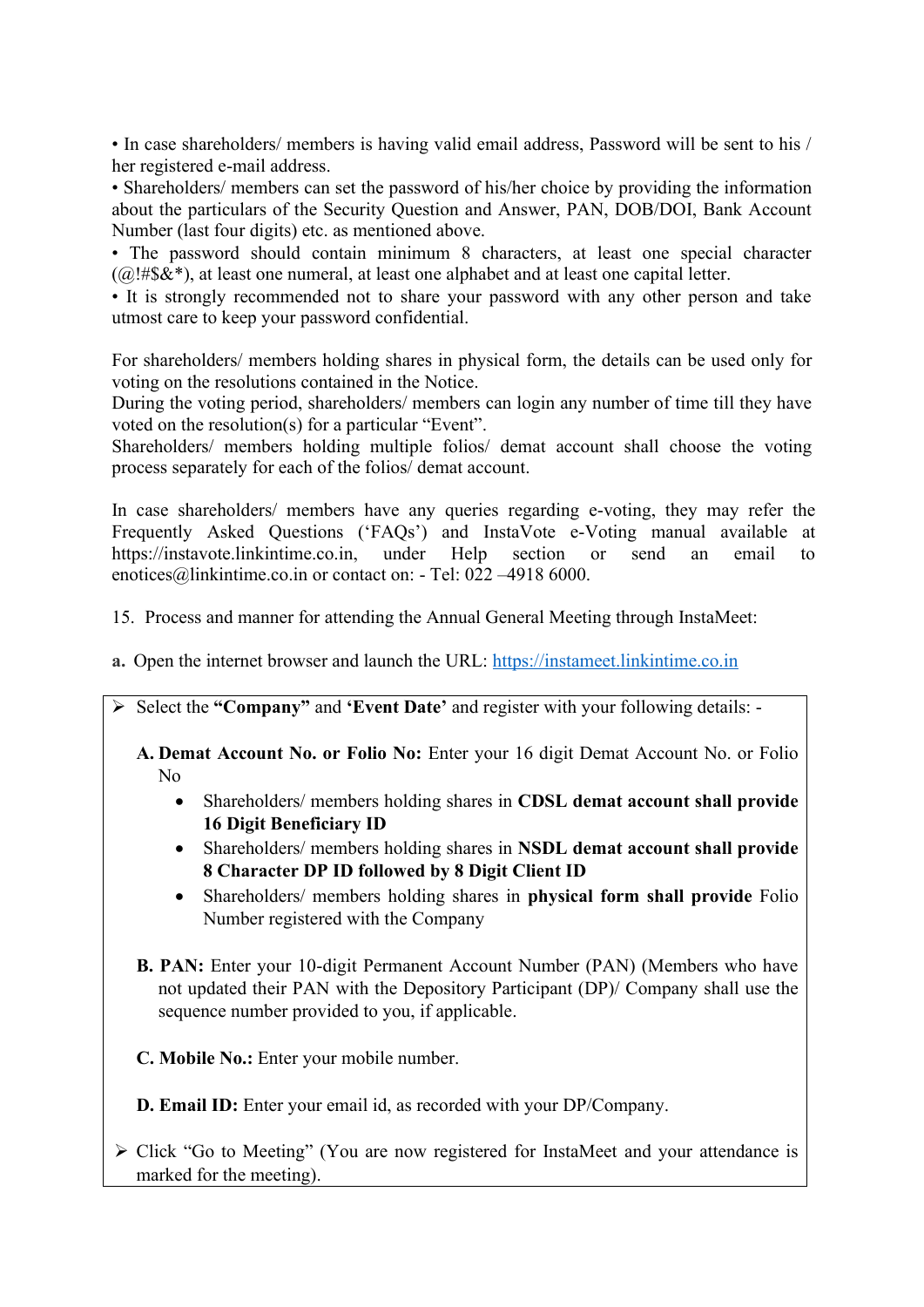• In case shareholders/ members is having valid email address, Password will be sent to his / her registered e-mail address.

• Shareholders/ members can set the password of his/her choice by providing the information about the particulars of the Security Question and Answer, PAN, DOB/DOI, Bank Account Number (last four digits) etc. as mentioned above.

• The password should contain minimum 8 characters, at least one special character  $(Q)$ !#\$&\*), at least one numeral, at least one alphabet and at least one capital letter.

• It is strongly recommended not to share your password with any other person and take utmost care to keep your password confidential.

For shareholders/ members holding shares in physical form, the details can be used only for voting on the resolutions contained in the Notice.

During the voting period, shareholders/ members can login any number of time till they have voted on the resolution(s) for a particular "Event".

Shareholders/ members holding multiple folios/ demat account shall choose the voting process separately for each of the folios/ demat account.

In case shareholders/ members have any queries regarding e-voting, they may refer the Frequently Asked Questions ('FAQs') and InstaVote e-Voting manual available at [https://instavote.linkintime.co.in,](https://instavote.linkintime.co.in/) under Help section or send an email to [enotices@linkintime.co.in](mailto:enotices@linkintime.co.in) or contact on: - Tel: 022 –4918 6000.

- 15. Process and manner for attending the Annual General Meeting through InstaMeet:
- **a.** Open the internet browser and launch the URL: [https://instameet.linkintime.co.in](https://instameet.linkintime.co.in/)
- ➢ Select the **"Company"** and **'Event Date'** and register with your following details: -

**A. Demat Account No. or Folio No:** Enter your 16 digit Demat Account No. or Folio No

- Shareholders/ members holding shares in **CDSL demat account shall provide 16 Digit Beneficiary ID**
- Shareholders/ members holding shares in **NSDL demat account shall provide 8 Character DP ID followed by 8 Digit Client ID**
- Shareholders/ members holding shares in **physical form shall provide** Folio Number registered with the Company
- **B. PAN:** Enter your 10-digit Permanent Account Number (PAN) (Members who have not updated their PAN with the Depository Participant (DP)/ Company shall use the sequence number provided to you, if applicable.
- **C. Mobile No.:** Enter your mobile number.

**D. Email ID:** Enter your email id, as recorded with your DP/Company.

➢ Click "Go to Meeting" (You are now registered for InstaMeet and your attendance is marked for the meeting).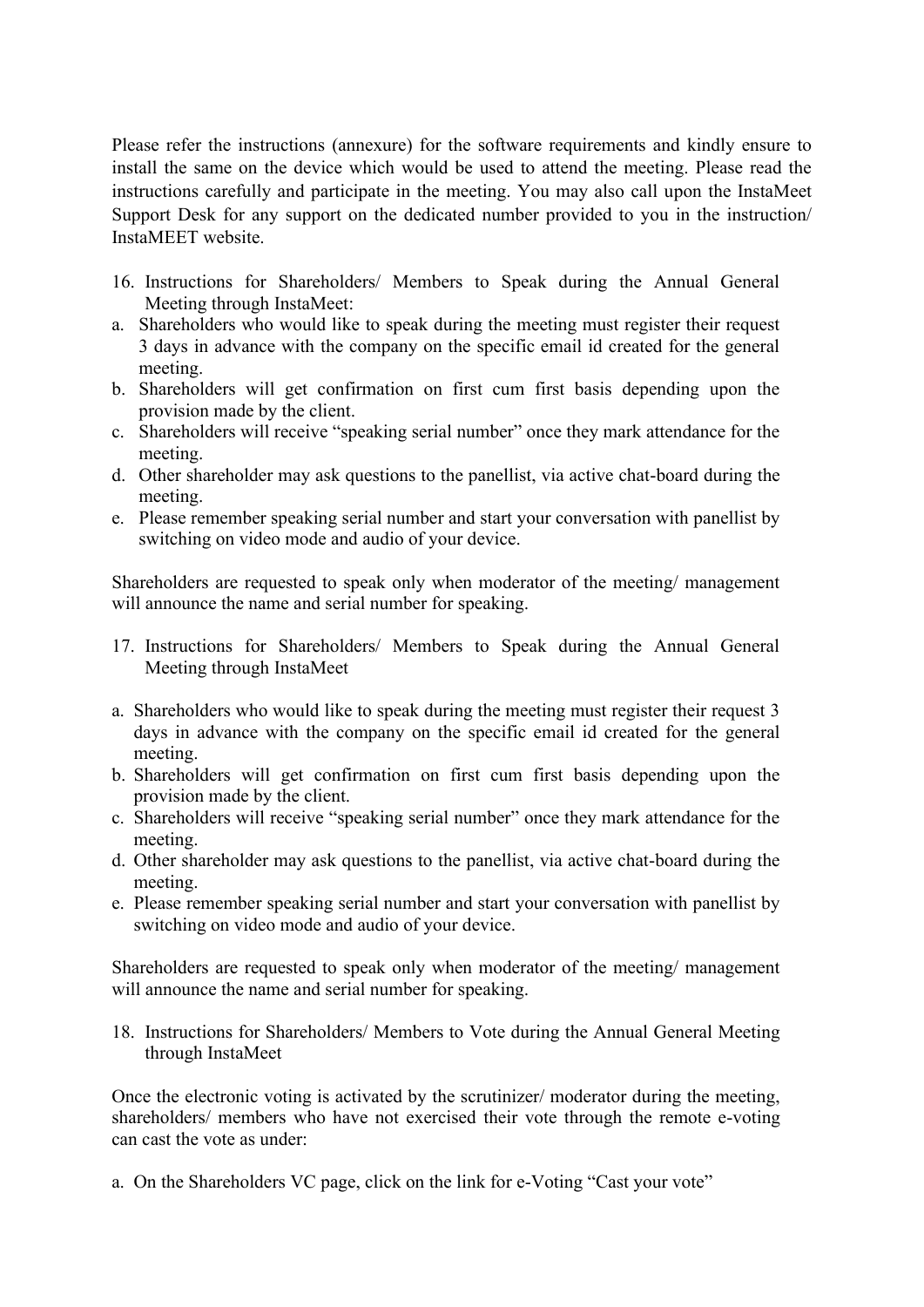Please refer the instructions (annexure) for the software requirements and kindly ensure to install the same on the device which would be used to attend the meeting. Please read the instructions carefully and participate in the meeting. You may also call upon the InstaMeet Support Desk for any support on the dedicated number provided to you in the instruction/ InstaMEET website.

- 16. Instructions for Shareholders/ Members to Speak during the Annual General Meeting through InstaMeet:
- a. Shareholders who would like to speak during the meeting must register their request 3 days in advance with the company on the specific email id created for the general meeting.
- b. Shareholders will get confirmation on first cum first basis depending upon the provision made by the client.
- c. Shareholders will receive "speaking serial number" once they mark attendance for the meeting.
- d. Other shareholder may ask questions to the panellist, via active chat-board during the meeting.
- e. Please remember speaking serial number and start your conversation with panellist by switching on video mode and audio of your device.

Shareholders are requested to speak only when moderator of the meeting/ management will announce the name and serial number for speaking.

- 17. Instructions for Shareholders/ Members to Speak during the Annual General Meeting through InstaMeet
- a. Shareholders who would like to speak during the meeting must register their request 3 days in advance with the company on the specific email id created for the general meeting.
- b. Shareholders will get confirmation on first cum first basis depending upon the provision made by the client.
- c. Shareholders will receive "speaking serial number" once they mark attendance for the meeting.
- d. Other shareholder may ask questions to the panellist, via active chat-board during the meeting.
- e. Please remember speaking serial number and start your conversation with panellist by switching on video mode and audio of your device.

Shareholders are requested to speak only when moderator of the meeting/ management will announce the name and serial number for speaking.

18. Instructions for Shareholders/ Members to Vote during the Annual General Meeting through InstaMeet

Once the electronic voting is activated by the scrutinizer/ moderator during the meeting, shareholders/ members who have not exercised their vote through the remote e-voting can cast the vote as under:

a. On the Shareholders VC page, click on the link for e-Voting "Cast your vote"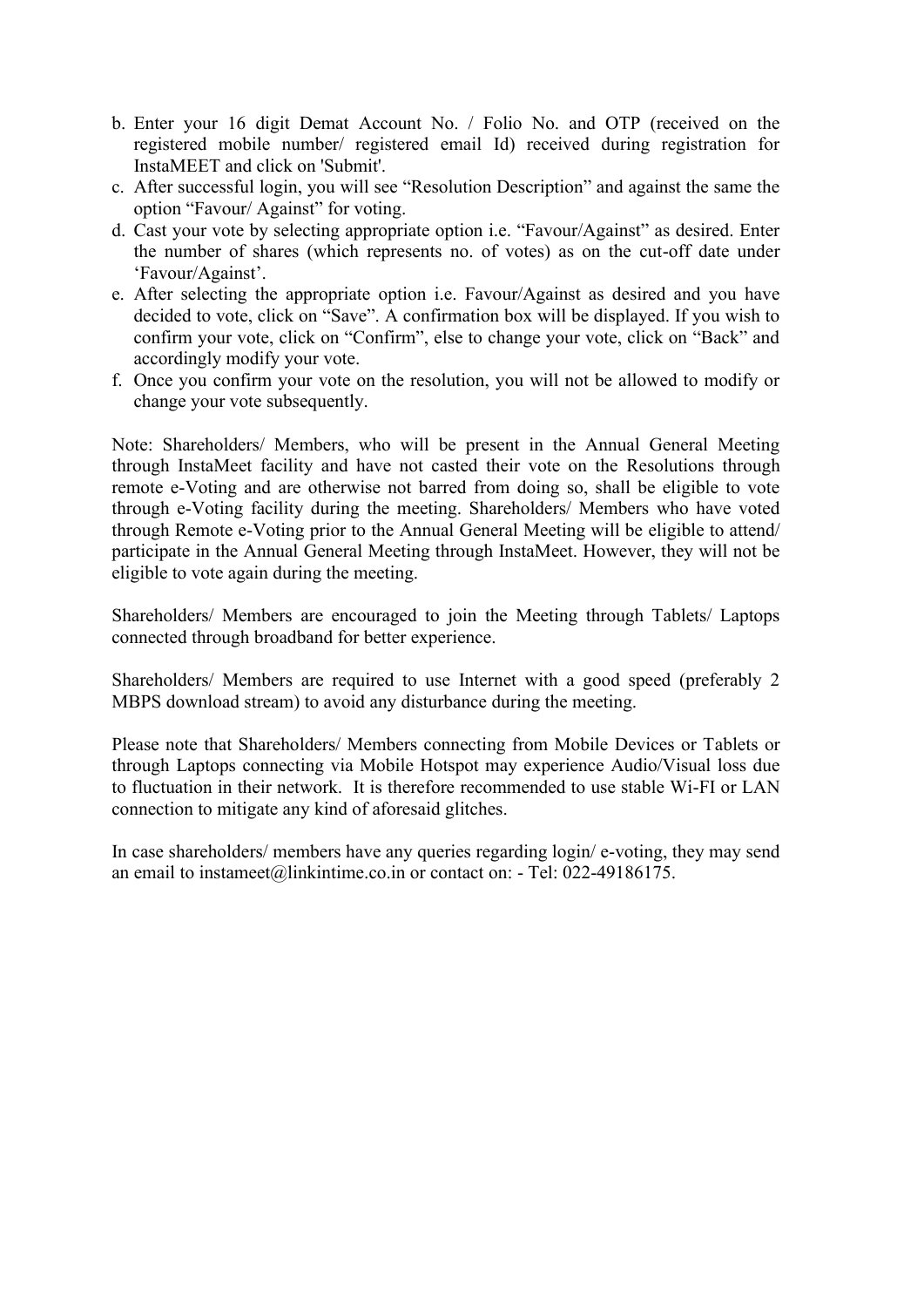- b. Enter your 16 digit Demat Account No. / Folio No. and OTP (received on the registered mobile number/ registered email Id) received during registration for InstaMEET and click on 'Submit'.
- c. After successful login, you will see "Resolution Description" and against the same the option "Favour/ Against" for voting.
- d. Cast your vote by selecting appropriate option i.e. "Favour/Against" as desired. Enter the number of shares (which represents no. of votes) as on the cut-off date under 'Favour/Against'.
- e. After selecting the appropriate option i.e. Favour/Against as desired and you have decided to vote, click on "Save". A confirmation box will be displayed. If you wish to confirm your vote, click on "Confirm", else to change your vote, click on "Back" and accordingly modify your vote.
- f. Once you confirm your vote on the resolution, you will not be allowed to modify or change your vote subsequently.

Note: Shareholders/ Members, who will be present in the Annual General Meeting through InstaMeet facility and have not casted their vote on the Resolutions through remote e-Voting and are otherwise not barred from doing so, shall be eligible to vote through e-Voting facility during the meeting. Shareholders/ Members who have voted through Remote e-Voting prior to the Annual General Meeting will be eligible to attend/ participate in the Annual General Meeting through InstaMeet. However, they will not be eligible to vote again during the meeting.

Shareholders/ Members are encouraged to join the Meeting through Tablets/ Laptops connected through broadband for better experience.

Shareholders/ Members are required to use Internet with a good speed (preferably 2 MBPS download stream) to avoid any disturbance during the meeting.

Please note that Shareholders/ Members connecting from Mobile Devices or Tablets or through Laptops connecting via Mobile Hotspot may experience Audio/Visual loss due to fluctuation in their network. It is therefore recommended to use stable Wi-FI or LAN connection to mitigate any kind of aforesaid glitches.

In case shareholders/ members have any queries regarding login/ e-voting, they may send an email to instameet@linkintime.co.in or contact on: - Tel: 022-49186175.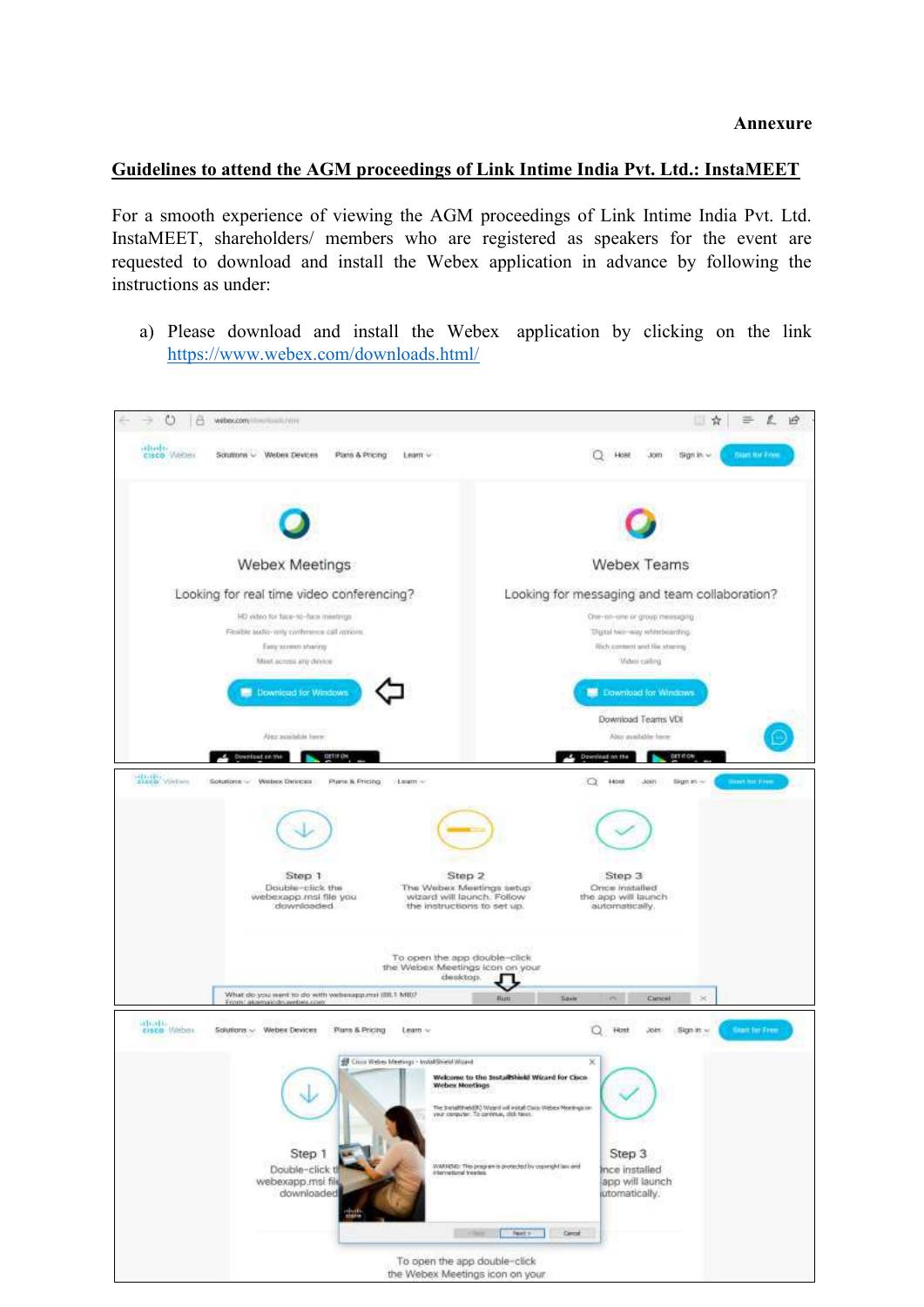#### **Guidelines to attend the AGM proceedings of Link Intime India Pvt. Ltd.: InstaMEET**

For a smooth experience of viewing the AGM proceedings of Link Intime India Pvt. Ltd. InstaMEET, shareholders/ members who are registered as speakers for the event are requested to download and install the Webex application in advance by following the instructions as under:

a) Please download and install the Webex application by clicking on the link <https://www.webex.com/downloads.html/>

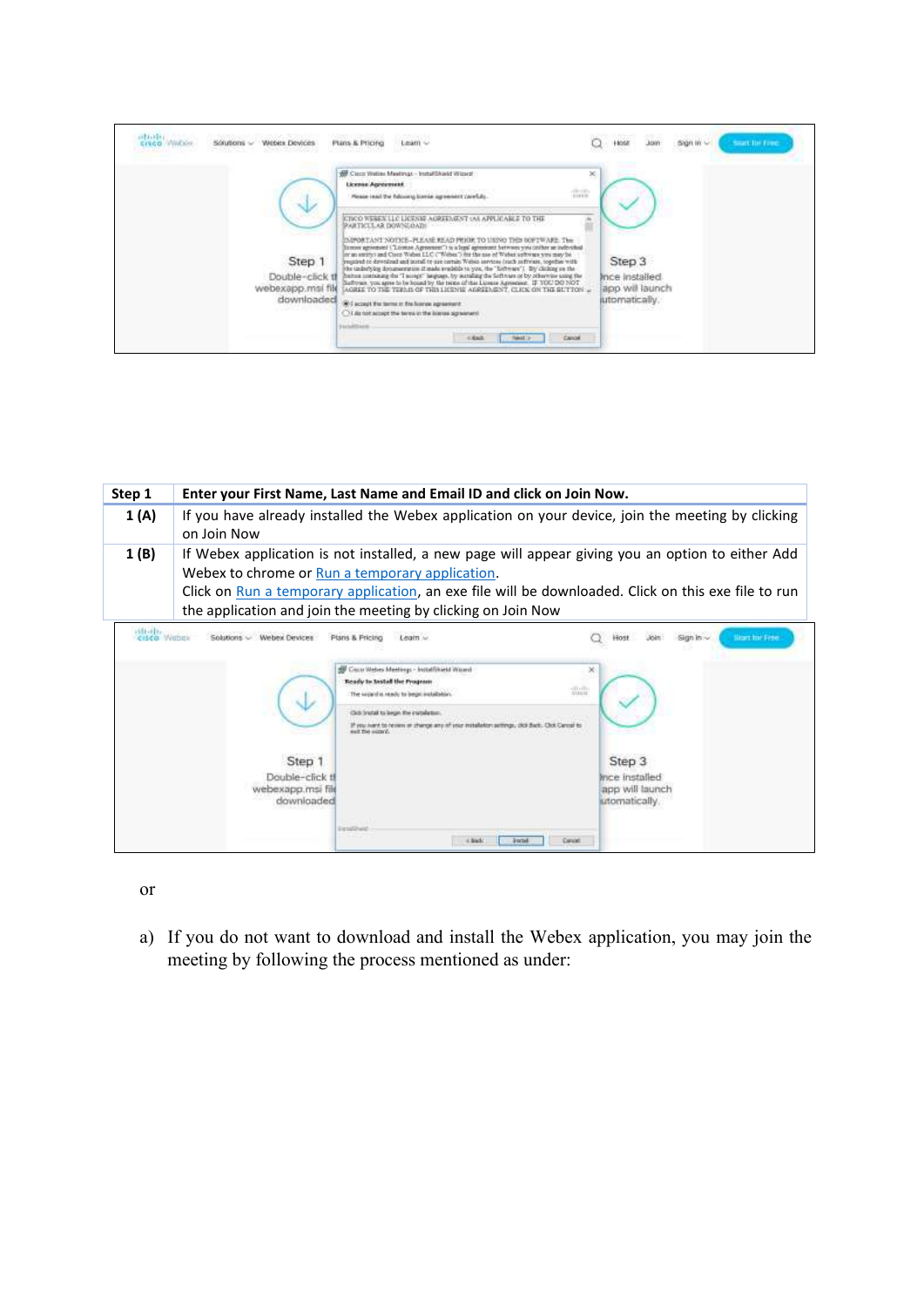| ailfield(i)<br>Weber Devices<br><b>CISCO WWEEN</b><br>SOUDOI'S ~<br><b>NEWS</b>            | 7200CU<br><b>Plans &amp; Pricifici</b><br>Learn ~                                                                                                                                                                                                                                                                                                                                                                                                                                                                                                                                                                                                                                                                                                                                                                                                                                                                                                                                                                                                                                                                                                                       | 1981 - 1981 -<br>Stat In Free<br><b>Host</b><br>Joint<br>500 IB ~<br>- 1      |
|--------------------------------------------------------------------------------------------|-------------------------------------------------------------------------------------------------------------------------------------------------------------------------------------------------------------------------------------------------------------------------------------------------------------------------------------------------------------------------------------------------------------------------------------------------------------------------------------------------------------------------------------------------------------------------------------------------------------------------------------------------------------------------------------------------------------------------------------------------------------------------------------------------------------------------------------------------------------------------------------------------------------------------------------------------------------------------------------------------------------------------------------------------------------------------------------------------------------------------------------------------------------------------|-------------------------------------------------------------------------------|
| Step 1<br>Double-click tf<br>webexapp.msi file<br>downloaded<br><b><i>ENGINEEROOMY</i></b> | W. Clock Weller Meetings - Installihield Wizact<br>×<br>License Agreement<br>$+10+10+$<br>Please is all the futurang tornia agreement carefully.<br>drive in the<br>KINCO WEREN LLC LICENSE AGREEMENT (AS APPLICABLE TO THE<br>PARTICLE AR DOWNLOADS<br>INPORTANT NOTICE-PLEASE READ PRIOR TO USING THIS SOFTWARE: This<br>Entroy agreement ("Linters Agreement") to a legal agreement between you centure an indevidual<br>for an entity) and Class Webst LLC ("Webst") for the use of Webst software you may be<br>program to drenload and install to use certain Webcs intrinse (rach selfroate, together with<br>He underlying documentation if made available to you, the "Software"). By clicking on the<br>heines containing the "I scorpt" language, by iscralling the Softman or by otherwise saint the<br>Suffroge, you agree to be bound by the terms of this License Agreement. IF YOU DO NOT<br>LOREE TO THE TERMS OF THIS LICENSE AGREEMENT, CLICK ON THE SUTTON :<br>(6) I account the terms or the bonne agreement<br>CT da not accept the terms in the line us agreement<br><b>Paris#David</b><br><b>CONTRACTOR</b><br>Cancel<br>Tekst ><br>$-1.8$ M/H | Step 3<br>Ince installed<br>app will launch<br>jutomatically.<br>in xorra deg |

| Step 1     | Enter your First Name, Last Name and Email ID and click on Join Now.                                                                                                                                                                                                                                                       |                                                                                                                                                                                                                                                                                                                                                  |                                                                                                |
|------------|----------------------------------------------------------------------------------------------------------------------------------------------------------------------------------------------------------------------------------------------------------------------------------------------------------------------------|--------------------------------------------------------------------------------------------------------------------------------------------------------------------------------------------------------------------------------------------------------------------------------------------------------------------------------------------------|------------------------------------------------------------------------------------------------|
| 1 (A)      | If you have already installed the Webex application on your device, join the meeting by clicking<br>on Join Now                                                                                                                                                                                                            |                                                                                                                                                                                                                                                                                                                                                  |                                                                                                |
| 1(B)       | If Webex application is not installed, a new page will appear giving you an option to either Add<br>Webex to chrome or Run a temporary application.<br>Click on Run a temporary application, an exe file will be downloaded. Click on this exe file to run<br>the application and join the meeting by clicking on Join Now |                                                                                                                                                                                                                                                                                                                                                  |                                                                                                |
| villa-Fliz | Solutions ~ Webex Devices<br>Step 1<br>Double-click t<br>webexapp.msi fil<br>downloadec                                                                                                                                                                                                                                    | Plans & Pricing<br>Learn w<br>Cruco Welves Meetings - Installihield Wissed<br>Ready to Install the Program<br>an iti.<br><b>STARTING</b><br>The initiated in results to began installable<br>If you want to review on change are of your installation settings,<br>each the vaccand.<br><b>EXHIBITION</b><br>Cancel<br>$<$ Bado<br><b>Joseph</b> | <b>Branchar Free</b><br>Sign in:<br>Step 3<br>nce installed<br>app will launch<br>utomatically |

or

a) If you do not want to download and install the Webex application, you may join the meeting by following the process mentioned as under: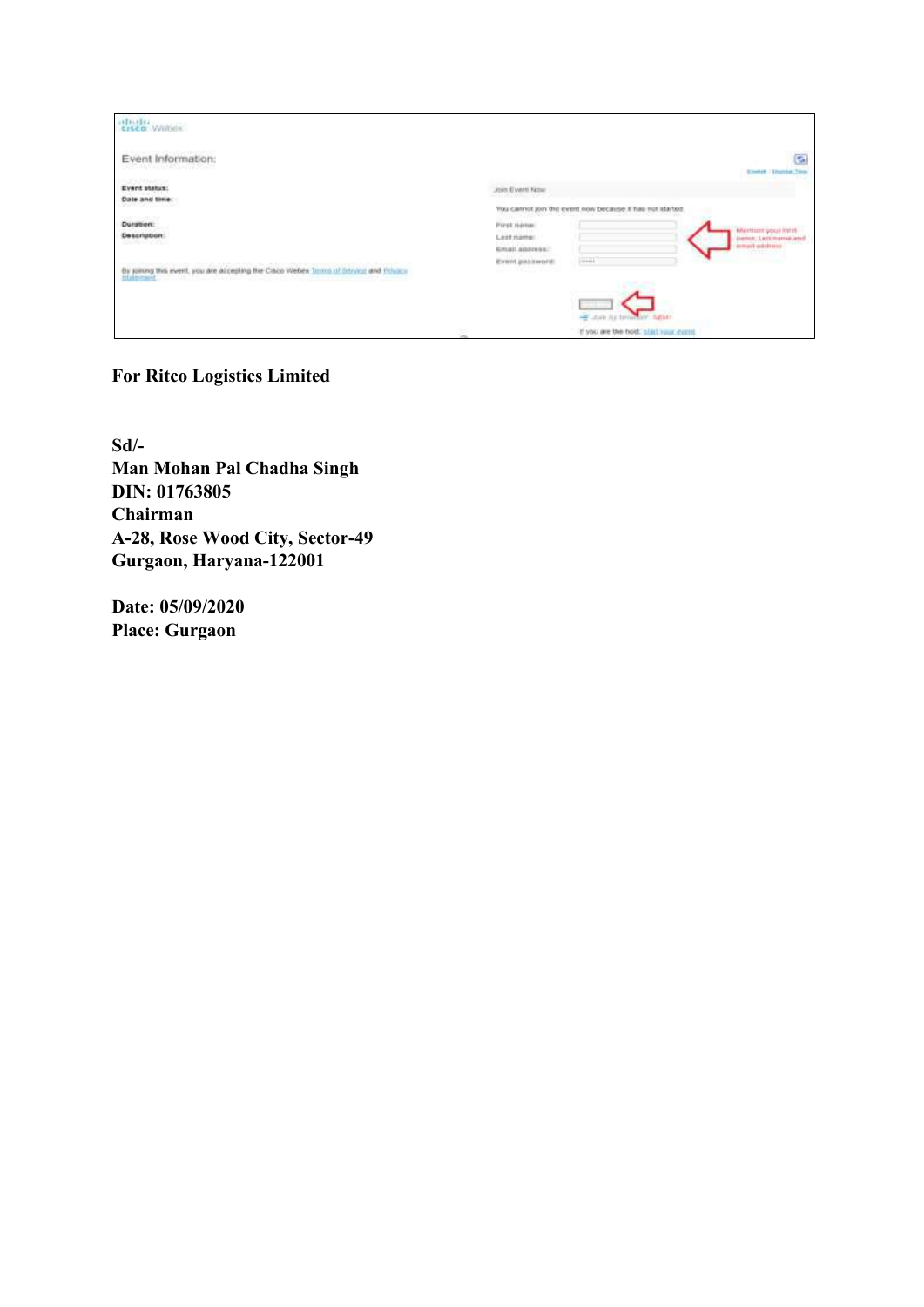| <b>HALL</b>                                                                           |                                                                                                             |                                                               |
|---------------------------------------------------------------------------------------|-------------------------------------------------------------------------------------------------------------|---------------------------------------------------------------|
| Event Information:<br>이는 조카라의 물이야? 보이지 않았                                             |                                                                                                             | $\overline{\mathbf{c}}$                                       |
| in e vousoner<br>Event status:<br>Date and time:<br>State of the Control of the       | Join Evert Nov<br>You cannot join the event now because it has not started.                                 |                                                               |
| <b>Referred States</b><br>Duration:<br><b>Description:</b><br>1004-57001              | Pirst Hamel<br><b><i>FRANCIST</i></b><br>Leas mame:<br>Email address:<br>Event password:<br>$1 + 1 + 1 + 1$ | Member you keep<br>Fremin, Ledi Hyme and<br>produktion forms  |
| By joining this event, you are accepting the Calco Webex Torms of Bonning and Private |                                                                                                             |                                                               |
|                                                                                       | ×.                                                                                                          | - Jun Ju brown Awar<br>If you are the host, slad your cyrril. |

### **For Ritco Logistics Limited**

**Sd/- Man Mohan Pal Chadha Singh DIN: 01763805 Chairman A-28, Rose Wood City, Sector-49 Gurgaon, Haryana-122001**

**Date: 05/09/2020 Place: Gurgaon**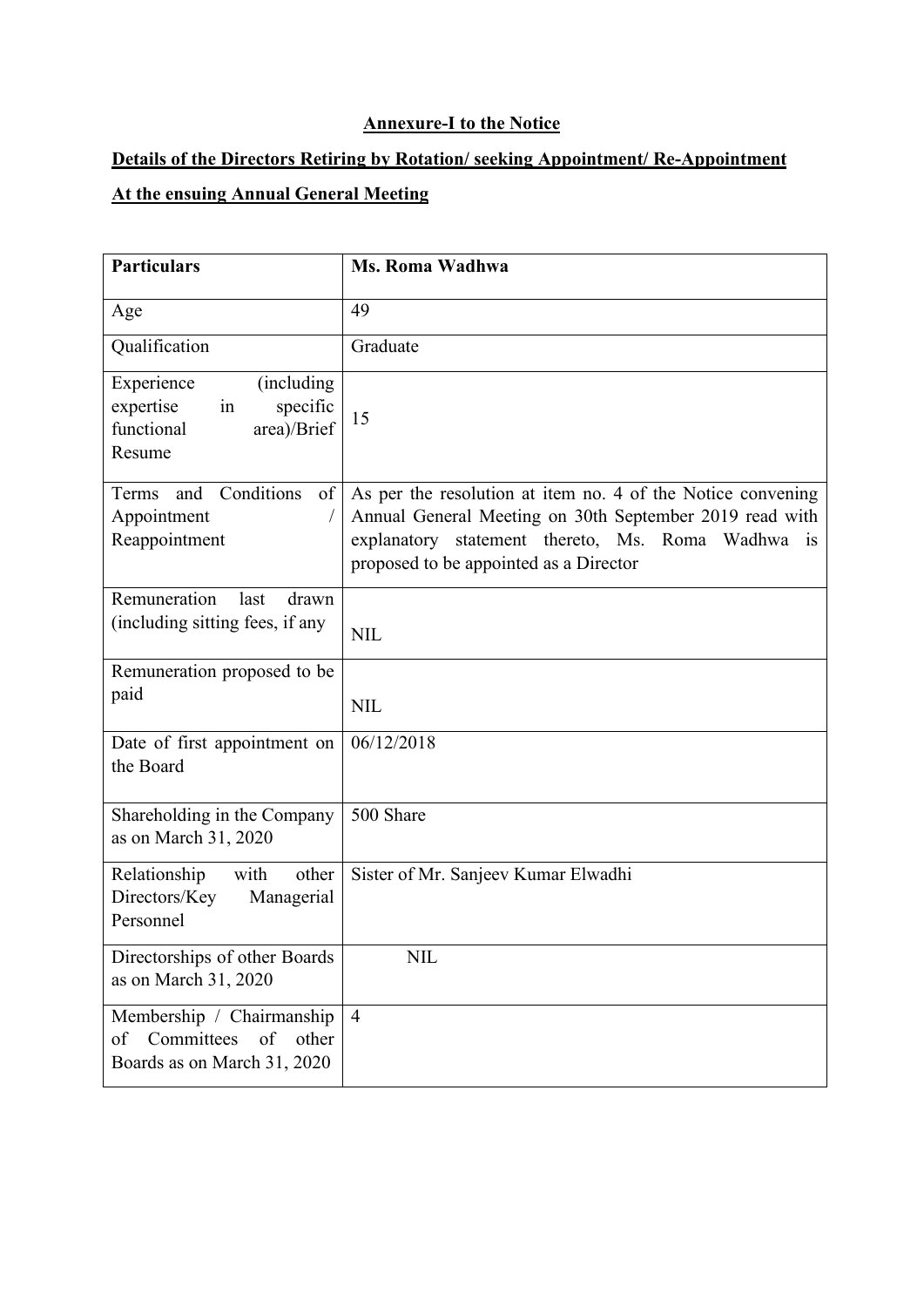### **Annexure-I to the Notice**

# **Details of the Directors Retiring by Rotation/ seeking Appointment/ Re-Appointment**

# **At the ensuing Annual General Meeting**

| <b>Particulars</b>                                                                              | Ms. Roma Wadhwa                                                                                                                                                                                                       |
|-------------------------------------------------------------------------------------------------|-----------------------------------------------------------------------------------------------------------------------------------------------------------------------------------------------------------------------|
| Age                                                                                             | 49                                                                                                                                                                                                                    |
| Qualification                                                                                   | Graduate                                                                                                                                                                                                              |
| Experience<br>(including)<br>expertise<br>specific<br>in<br>functional<br>area)/Brief<br>Resume | 15                                                                                                                                                                                                                    |
| and Conditions<br>of<br>Terms<br>Appointment<br>Reappointment                                   | As per the resolution at item no. 4 of the Notice convening<br>Annual General Meeting on 30th September 2019 read with<br>explanatory statement thereto, Ms. Roma Wadhwa is<br>proposed to be appointed as a Director |
| Remuneration<br>last<br>drawn<br>(including sitting fees, if any                                | <b>NIL</b>                                                                                                                                                                                                            |
| Remuneration proposed to be<br>paid                                                             | <b>NIL</b>                                                                                                                                                                                                            |
| Date of first appointment on<br>the Board                                                       | 06/12/2018                                                                                                                                                                                                            |
| Shareholding in the Company<br>as on March 31, 2020                                             | 500 Share                                                                                                                                                                                                             |
| Relationship<br>with<br>other<br>Directors/Key<br>Managerial<br>Personnel                       | Sister of Mr. Sanjeev Kumar Elwadhi                                                                                                                                                                                   |
| Directorships of other Boards<br>as on March 31, 2020                                           | <b>NIL</b>                                                                                                                                                                                                            |
| Membership / Chairmanship<br>of<br>other<br>Committees<br>of<br>Boards as on March 31, 2020     | $\overline{4}$                                                                                                                                                                                                        |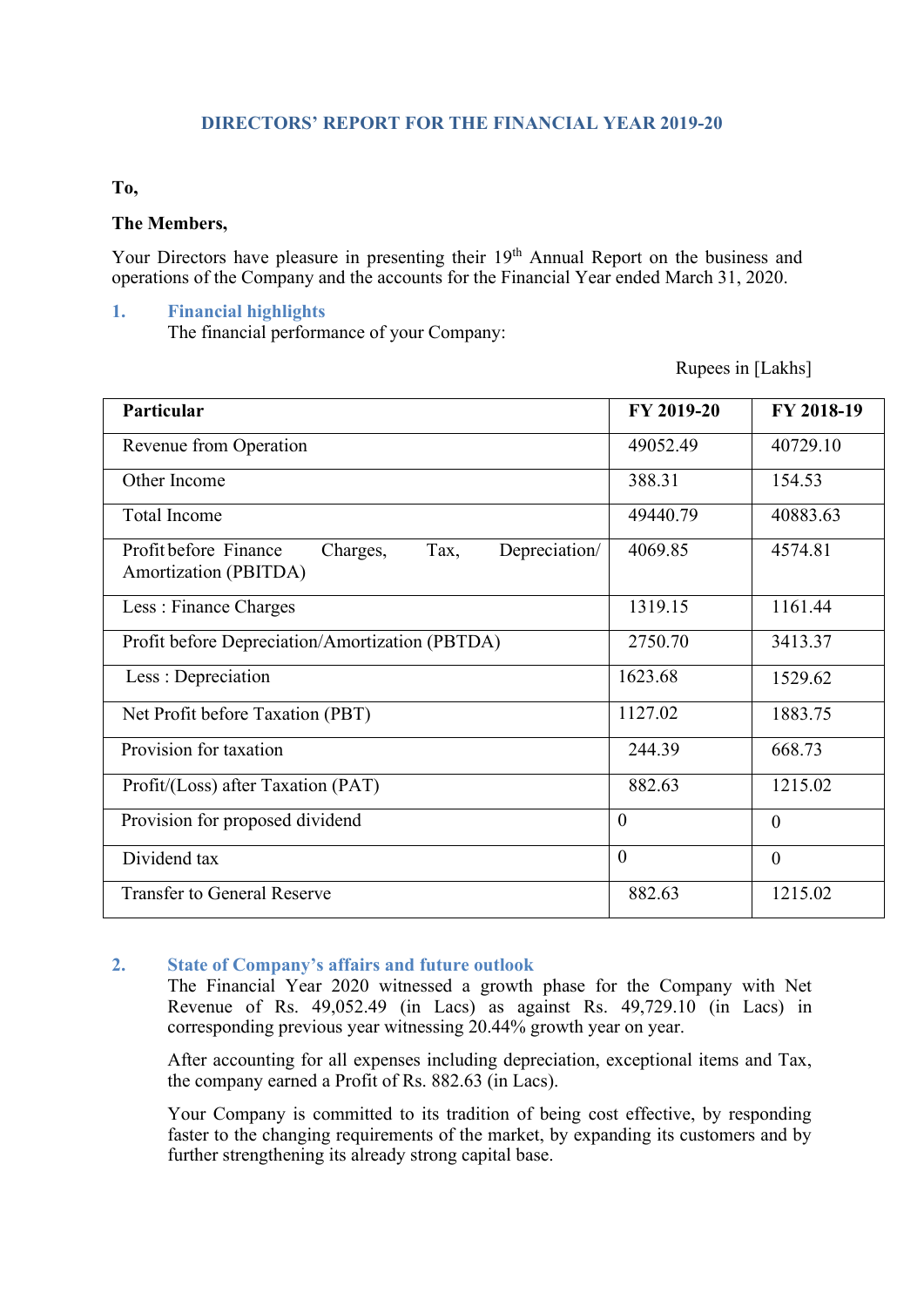#### **DIRECTORS' REPORT FOR THE FINANCIAL YEAR 2019-20**

#### **To,**

#### **The Members,**

Your Directors have pleasure in presenting their 19<sup>th</sup> Annual Report on the business and operations of the Company and the accounts for the Financial Year ended March 31, 2020.

#### **1. Financial highlights**

The financial performance of your Company:

Rupees in [Lakhs]

| Particular                                                                          | FY 2019-20     | FY 2018-19     |
|-------------------------------------------------------------------------------------|----------------|----------------|
| Revenue from Operation                                                              | 49052.49       | 40729.10       |
| Other Income                                                                        | 388.31         | 154.53         |
| <b>Total Income</b>                                                                 | 49440.79       | 40883.63       |
| Depreciation/<br>Profit before Finance<br>Tax,<br>Charges,<br>Amortization (PBITDA) | 4069.85        | 4574.81        |
| Less: Finance Charges                                                               | 1319.15        | 1161.44        |
| Profit before Depreciation/Amortization (PBTDA)                                     | 2750.70        | 3413.37        |
| Less : Depreciation                                                                 | 1623.68        | 1529.62        |
| Net Profit before Taxation (PBT)                                                    | 1127.02        | 1883.75        |
| Provision for taxation                                                              | 244.39         | 668.73         |
| Profit/(Loss) after Taxation (PAT)                                                  | 882.63         | 1215.02        |
| Provision for proposed dividend                                                     | $\overline{0}$ | $\theta$       |
| Dividend tax                                                                        | $\theta$       | $\overline{0}$ |
| <b>Transfer to General Reserve</b>                                                  | 882.63         | 1215.02        |

#### **2. State of Company's affairs and future outlook**

The Financial Year 2020 witnessed a growth phase for the Company with Net Revenue of Rs. 49,052.49 (in Lacs) as against Rs. 49,729.10 (in Lacs) in corresponding previous year witnessing 20.44% growth year on year.

After accounting for all expenses including depreciation, exceptional items and Tax, the company earned a Profit of Rs. 882.63 (in Lacs).

Your Company is committed to its tradition of being cost effective, by responding faster to the changing requirements of the market, by expanding its customers and by further strengthening its already strong capital base.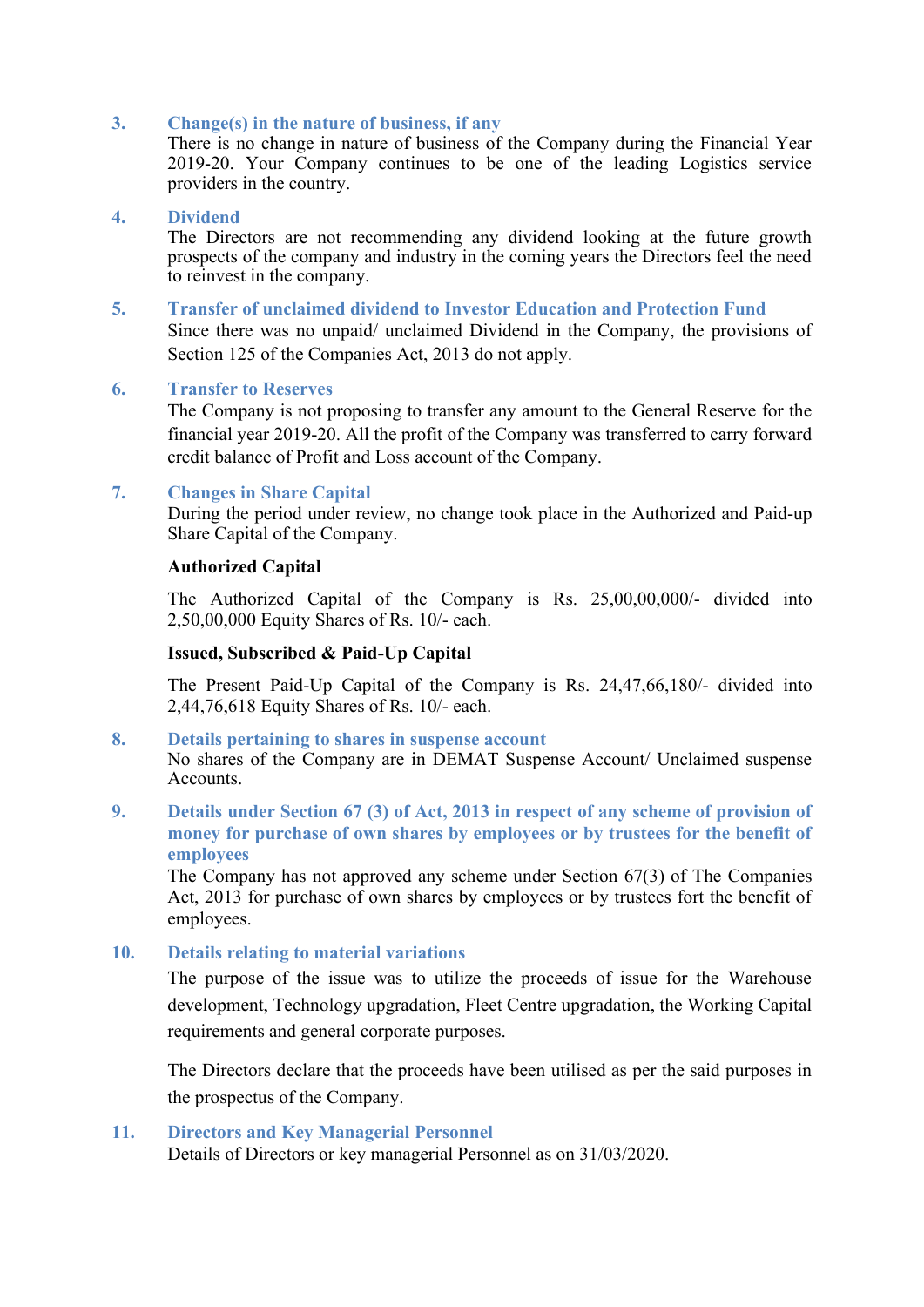#### **3. Change(s) in the nature of business, if any**

There is no change in nature of business of the Company during the Financial Year 2019-20. Your Company continues to be one of the leading Logistics service providers in the country.

#### **4. Dividend**

The Directors are not recommending any dividend looking at the future growth prospects of the company and industry in the coming years the Directors feel the need to reinvest in the company.

#### **5. Transfer of unclaimed dividend to Investor Education and Protection Fund** Since there was no unpaid/ unclaimed Dividend in the Company, the provisions of Section 125 of the Companies Act, 2013 do not apply.

#### **6. Transfer to Reserves**

The Company is not proposing to transfer any amount to the General Reserve for the financial year 2019-20. All the profit of the Company was transferred to carry forward credit balance of Profit and Loss account of the Company.

#### **7. Changes in Share Capital**

During the period under review, no change took place in the Authorized and Paid-up Share Capital of the Company.

#### **Authorized Capital**

The Authorized Capital of the Company is Rs. 25,00,00,000/- divided into 2,50,00,000 Equity Shares of Rs. 10/- each.

#### **Issued, Subscribed & Paid-Up Capital**

The Present Paid-Up Capital of the Company is Rs. 24,47,66,180/- divided into 2,44,76,618 Equity Shares of Rs. 10/- each.

#### **8. Details pertaining to shares in suspense account**

No shares of the Company are in DEMAT Suspense Account/ Unclaimed suspense Accounts.

**9. Details under Section 67 (3) of Act, 2013 in respect of any scheme of provision of money for purchase of own shares by employees or by trustees for the benefit of employees**

The Company has not approved any scheme under Section 67(3) of The Companies Act, 2013 for purchase of own shares by employees or by trustees fort the benefit of employees.

#### **10. Details relating to material variations**

The purpose of the issue was to utilize the proceeds of issue for the Warehouse development, Technology upgradation, Fleet Centre upgradation, the Working Capital requirements and general corporate purposes.

The Directors declare that the proceeds have been utilised as per the said purposes in the prospectus of the Company.

#### **11. Directors and Key Managerial Personnel**

Details of Directors or key managerial Personnel as on 31/03/2020.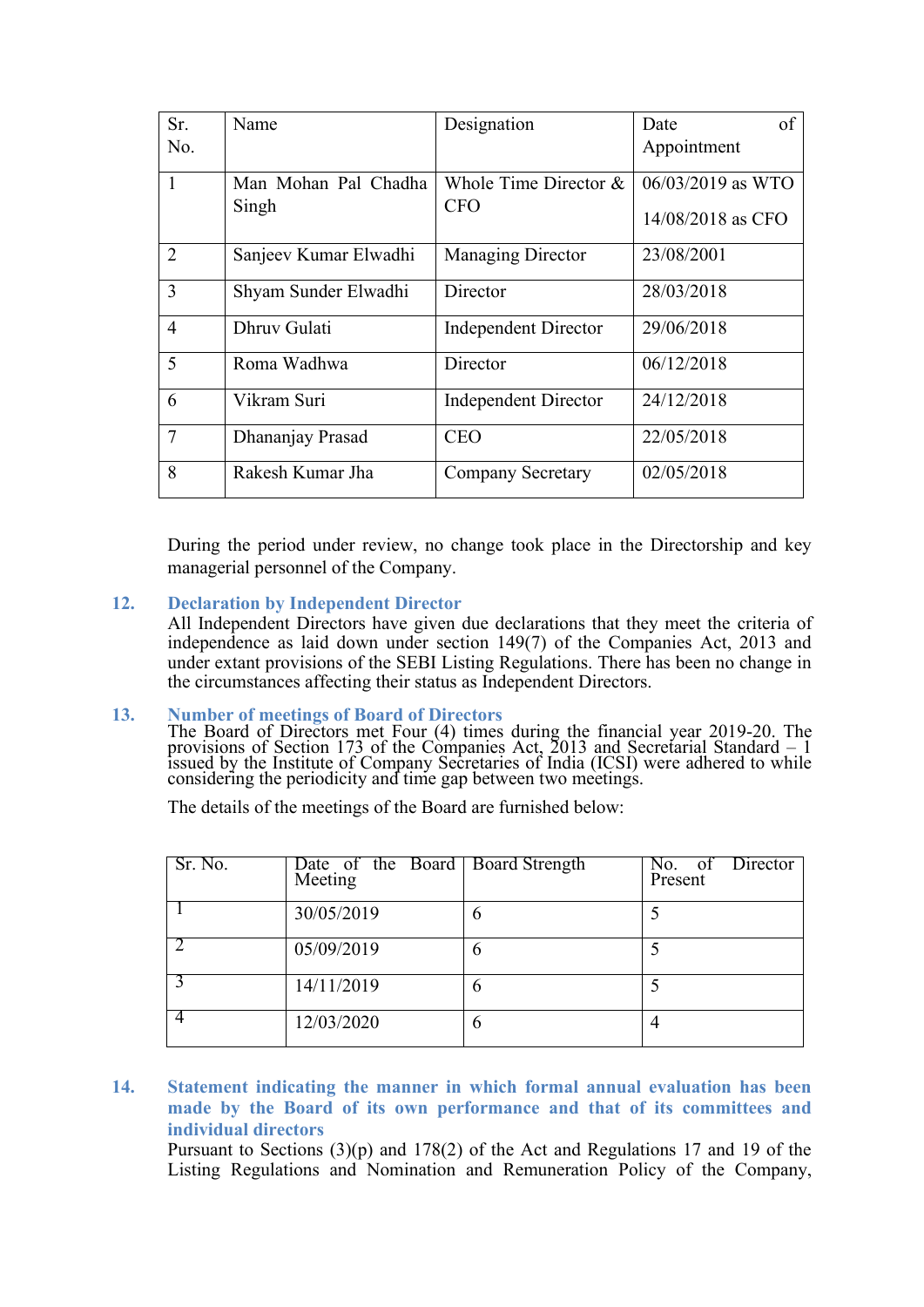| Sr.            | Name                  | Designation                 | of<br>Date        |
|----------------|-----------------------|-----------------------------|-------------------|
| No.            |                       |                             | Appointment       |
| $\mathbf{1}$   | Man Mohan Pal Chadha  | Whole Time Director $&$     | 06/03/2019 as WTO |
|                | Singh                 | <b>CFO</b>                  | 14/08/2018 as CFO |
| 2              | Sanjeev Kumar Elwadhi | Managing Director           | 23/08/2001        |
| 3              | Shyam Sunder Elwadhi  | Director                    | 28/03/2018        |
| $\overline{4}$ | Dhruv Gulati          | <b>Independent Director</b> | 29/06/2018        |
| 5              | Roma Wadhwa           | Director                    | 06/12/2018        |
| 6              | Vikram Suri           | <b>Independent Director</b> | 24/12/2018        |
| $\overline{7}$ | Dhananjay Prasad      | <b>CEO</b>                  | 22/05/2018        |
| 8              | Rakesh Kumar Jha      | <b>Company Secretary</b>    | 02/05/2018        |

During the period under review, no change took place in the Directorship and key managerial personnel of the Company.

**12. Declaration by Independent Director**

All Independent Directors have given due declarations that they meet the criteria of independence as laid down under section 149(7) of the Companies Act, 2013 and under extant provisions of the SEBI Listing Regulations. There has been no change in the circumstances affecting their status as Independent Directors.

#### **13. Number of meetings of Board of Directors**

The Board of Directors met Four (4) times during the financial year 2019-20. The provisions of Section 173 of the Companies Act, 2013 and Secretarial Standard – 1 issued by the Institute of Company Secretaries of India (ICSI) were adhered to while considering the periodicity and time gap between two meetings.

The details of the meetings of the Board are furnished below:

| Sr. No. | Date of the Board Board Strength<br>Meeting |   | No. of Director<br>Present |
|---------|---------------------------------------------|---|----------------------------|
|         | 30/05/2019                                  | 6 |                            |
|         | 05/09/2019                                  | 6 |                            |
|         | 14/11/2019                                  | 6 |                            |
|         | 12/03/2020                                  | 6 |                            |

#### **14. Statement indicating the manner in which formal annual evaluation has been made by the Board of its own performance and that of its committees and individual directors**

Pursuant to Sections (3)(p) and 178(2) of the Act and Regulations 17 and 19 of the Listing Regulations and Nomination and Remuneration Policy of the Company,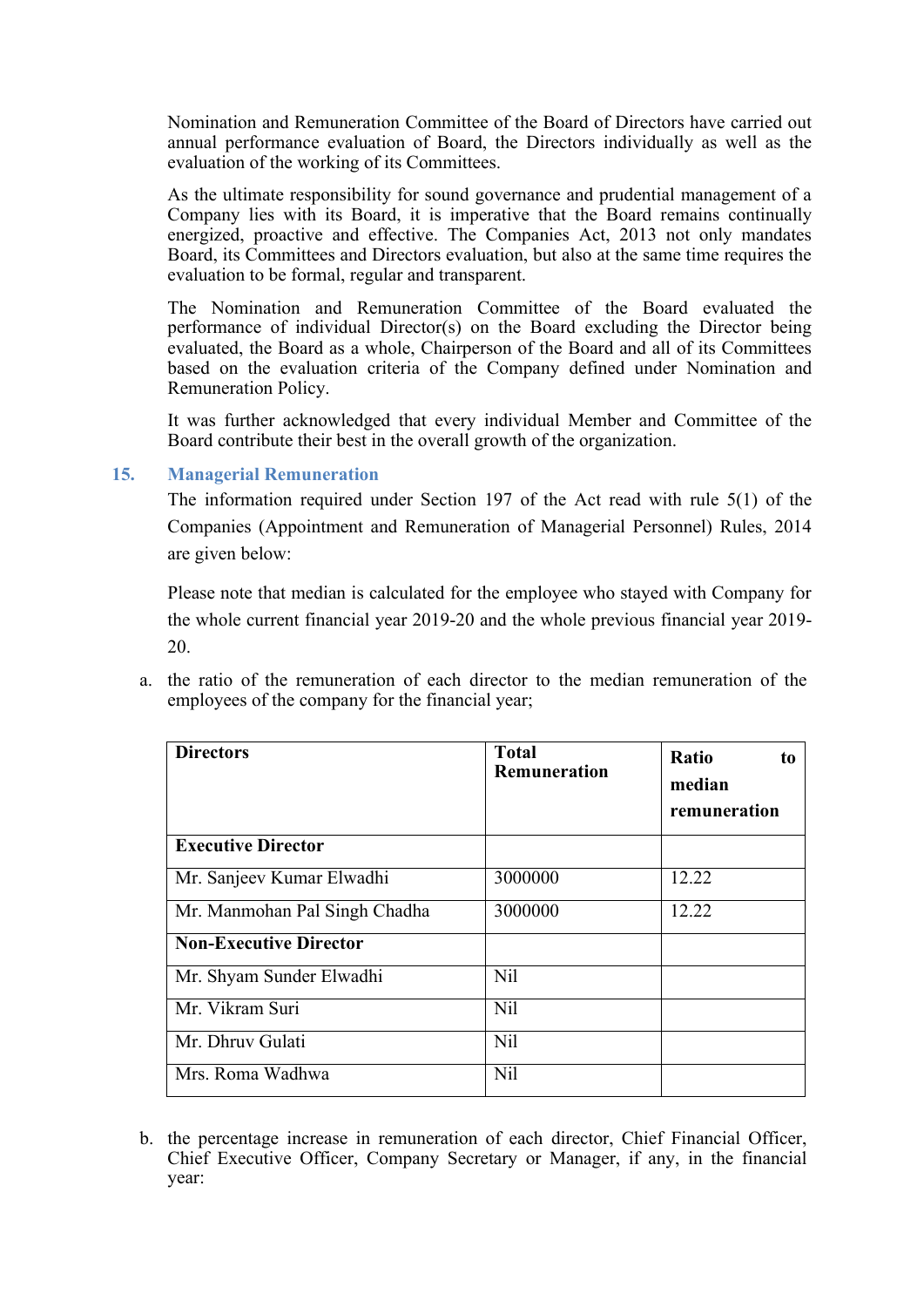Nomination and Remuneration Committee of the Board of Directors have carried out annual performance evaluation of Board, the Directors individually as well as the evaluation of the working of its Committees.

As the ultimate responsibility for sound governance and prudential management of a Company lies with its Board, it is imperative that the Board remains continually energized, proactive and effective. The Companies Act, 2013 not only mandates Board, its Committees and Directors evaluation, but also at the same time requires the evaluation to be formal, regular and transparent.

The Nomination and Remuneration Committee of the Board evaluated the performance of individual Director(s) on the Board excluding the Director being evaluated, the Board as a whole, Chairperson of the Board and all of its Committees based on the evaluation criteria of the Company defined under Nomination and Remuneration Policy.

It was further acknowledged that every individual Member and Committee of the Board contribute their best in the overall growth of the organization.

#### **15. Managerial Remuneration**

The information required under Section 197 of the Act read with rule 5(1) of the Companies (Appointment and Remuneration of Managerial Personnel) Rules, 2014 are given below:

Please note that median is calculated for the employee who stayed with Company for the whole current financial year 2019-20 and the whole previous financial year 2019- 20.

a. the ratio of the remuneration of each director to the median remuneration of the employees of the company for the financial year;

| <b>Directors</b>              | <b>Total</b><br><b>Remuneration</b> | Ratio<br>to<br>median<br>remuneration |
|-------------------------------|-------------------------------------|---------------------------------------|
| <b>Executive Director</b>     |                                     |                                       |
| Mr. Sanjeev Kumar Elwadhi     | 3000000                             | 12.22                                 |
| Mr. Manmohan Pal Singh Chadha | 3000000                             | 12.22                                 |
| <b>Non-Executive Director</b> |                                     |                                       |
| Mr. Shyam Sunder Elwadhi      | N <sub>il</sub>                     |                                       |
| Mr. Vikram Suri               | N <sub>il</sub>                     |                                       |
| Mr. Dhruy Gulati              | N <sub>il</sub>                     |                                       |
| Mrs. Roma Wadhwa              | <b>Nil</b>                          |                                       |

b. the percentage increase in remuneration of each director, Chief Financial Officer, Chief Executive Officer, Company Secretary or Manager, if any, in the financial year: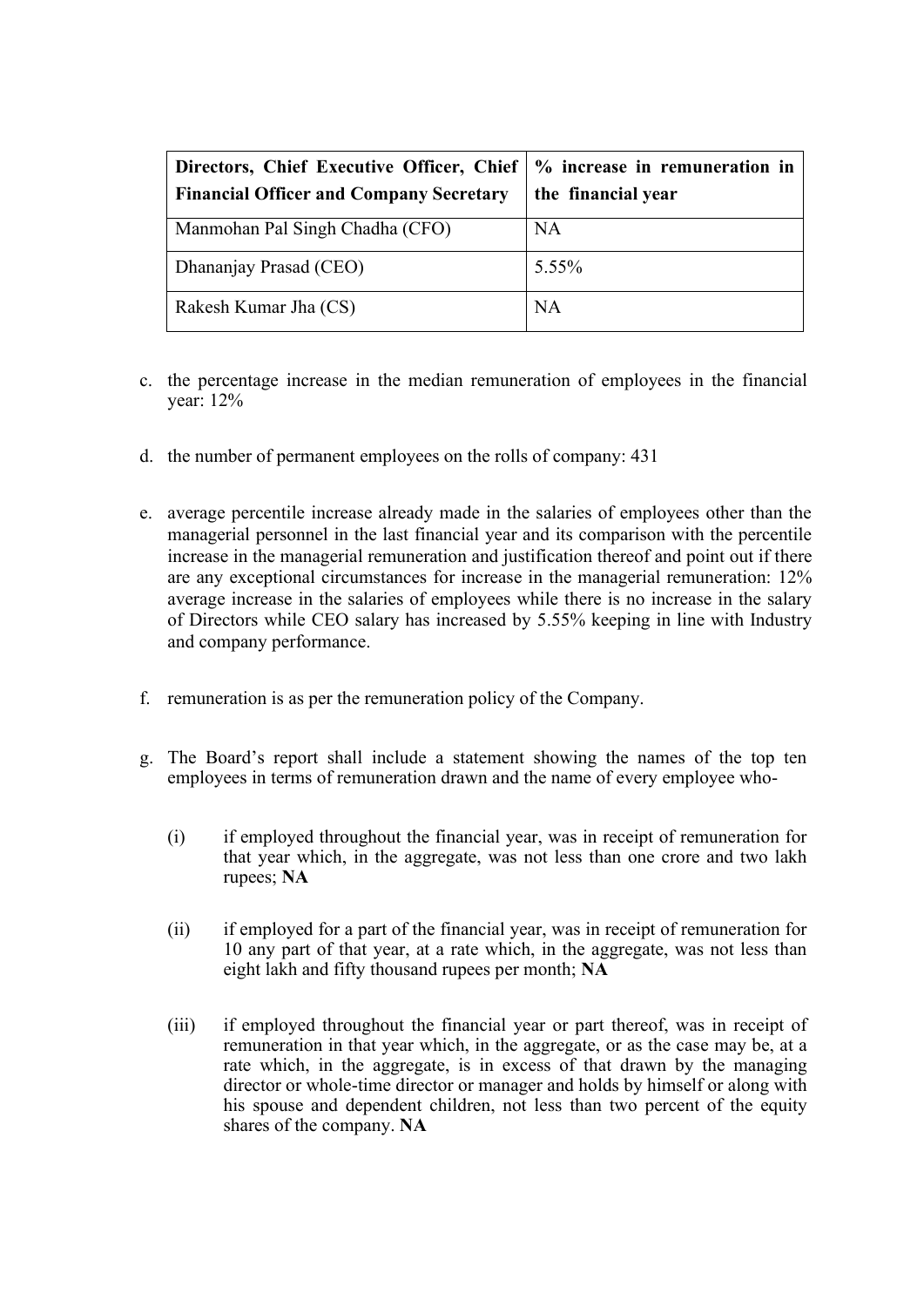| Directors, Chief Executive Officer, Chief   % increase in remuneration in<br><b>Financial Officer and Company Secretary</b> | the financial year |
|-----------------------------------------------------------------------------------------------------------------------------|--------------------|
| Manmohan Pal Singh Chadha (CFO)                                                                                             | NA                 |
| Dhananjay Prasad (CEO)                                                                                                      | 5.55%              |
| Rakesh Kumar Jha (CS)                                                                                                       | NA                 |

- c. the percentage increase in the median remuneration of employees in the financial year: 12%
- d. the number of permanent employees on the rolls of company: 431
- e. average percentile increase already made in the salaries of employees other than the managerial personnel in the last financial year and its comparison with the percentile increase in the managerial remuneration and justification thereof and point out if there are any exceptional circumstances for increase in the managerial remuneration: 12% average increase in the salaries of employees while there is no increase in the salary of Directors while CEO salary has increased by 5.55% keeping in line with Industry and company performance.
- f. remuneration is as per the remuneration policy of the Company.
- g. The Board's report shall include a statement showing the names of the top ten employees in terms of remuneration drawn and the name of every employee who-
	- (i) if employed throughout the financial year, was in receipt of remuneration for that year which, in the aggregate, was not less than one crore and two lakh rupees; **NA**
	- (ii) if employed for a part of the financial year, was in receipt of remuneration for 10 any part of that year, at a rate which, in the aggregate, was not less than eight lakh and fifty thousand rupees per month; **NA**
	- (iii) if employed throughout the financial year or part thereof, was in receipt of remuneration in that year which, in the aggregate, or as the case may be, at a rate which, in the aggregate, is in excess of that drawn by the managing director or whole-time director or manager and holds by himself or along with his spouse and dependent children, not less than two percent of the equity shares of the company. **NA**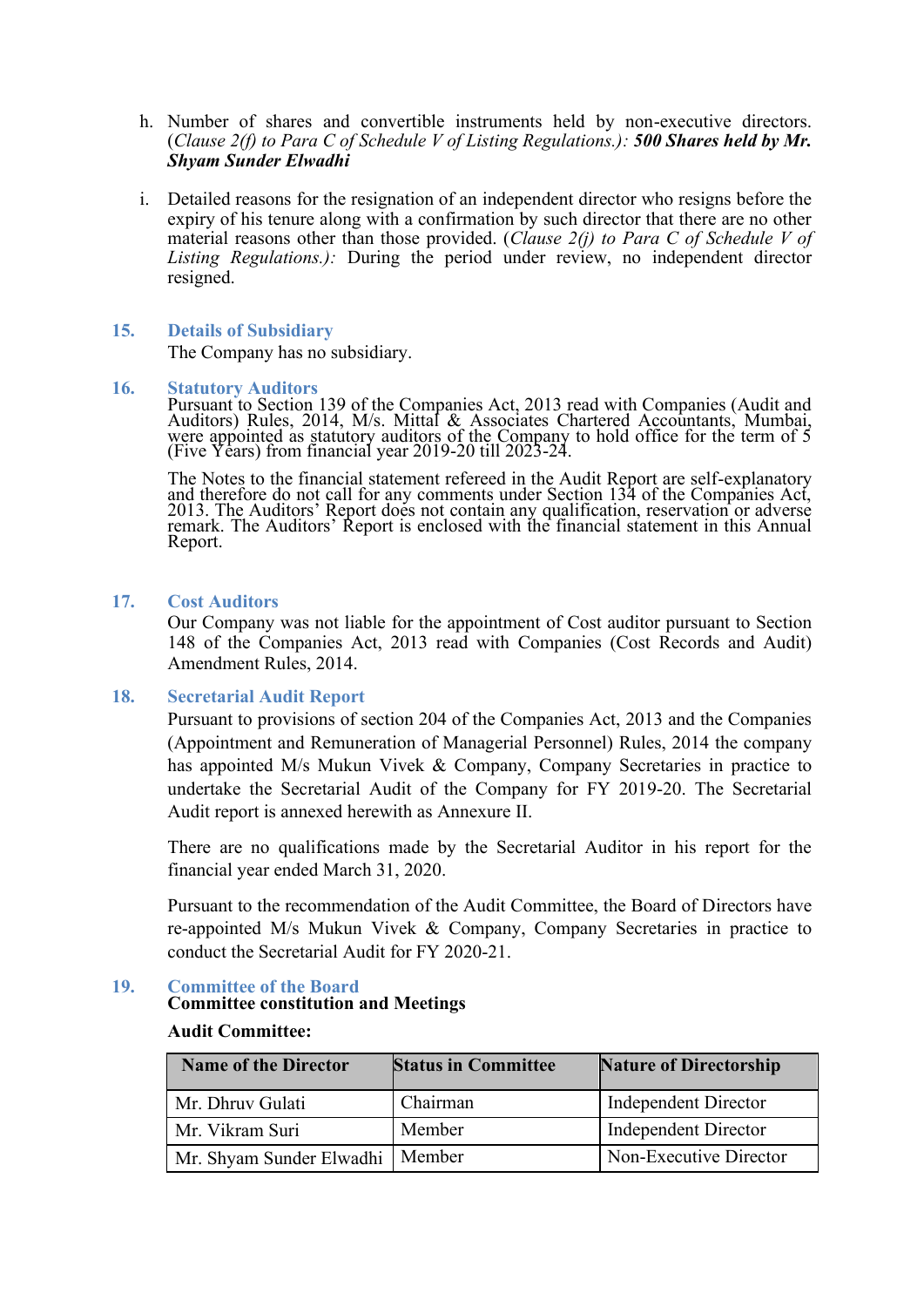- h. Number of shares and convertible instruments held by non-executive directors. (*Clause 2(f) to Para C of Schedule V of Listing Regulations.): 500 Shares held by Mr. Shyam Sunder Elwadhi*
- i. Detailed reasons for the resignation of an independent director who resigns before the expiry of his tenure along with a confirmation by such director that there are no other material reasons other than those provided. (*Clause 2(j) to Para C of Schedule V of Listing Regulations.):* During the period under review, no independent director resigned.

#### **15. Details of Subsidiary**

The Company has no subsidiary.

#### **16. Statutory Auditors**

Pursuant to Section 139 of the Companies Act, 2013 read with Companies (Audit and Auditors) Rules, 2014, M/s. Mittal & Associates Chartered Accountants, Mumbai, were appointed as statutory auditors of the Company to hold office for the term of 5 (Five Years) from financial year 2019-20 till 2023-24.

The Notes to the financial statement refereed in the Audit Report are self-explanatory and therefore do not call for any comments under Section 134 of the Companies Act, 2013. The Auditors' Report does not contain any qualification, reservation or adverse remark. The Auditors' Report is enclosed with the financial statement in this Annual Report.

#### **17. Cost Auditors**

Our Company was not liable for the appointment of Cost auditor pursuant to Section 148 of the Companies Act, 2013 read with Companies (Cost Records and Audit) Amendment Rules, 2014.

#### **18. Secretarial Audit Report**

Pursuant to provisions of section 204 of the Companies Act, 2013 and the Companies (Appointment and Remuneration of Managerial Personnel) Rules, 2014 the company has appointed M/s Mukun Vivek & Company, Company Secretaries in practice to undertake the Secretarial Audit of the Company for FY 2019-20. The Secretarial Audit report is annexed herewith as Annexure II.

There are no qualifications made by the Secretarial Auditor in his report for the financial year ended March 31, 2020.

Pursuant to the recommendation of the Audit Committee, the Board of Directors have re-appointed M/s Mukun Vivek & Company, Company Secretaries in practice to conduct the Secretarial Audit for FY 2020-21.

#### **19. Committee of the Board**

#### **Committee constitution and Meetings**

#### **Audit Committee:**

| <b>Name of the Director</b>       | <b>Status in Committee</b> | <b>Nature of Directorship</b> |
|-----------------------------------|----------------------------|-------------------------------|
| Mr. Dhruv Gulati                  | Chairman                   | Independent Director          |
| Mr. Vikram Suri                   | Member                     | Independent Director          |
| Mr. Shyam Sunder Elwadhi   Member |                            | Non-Executive Director        |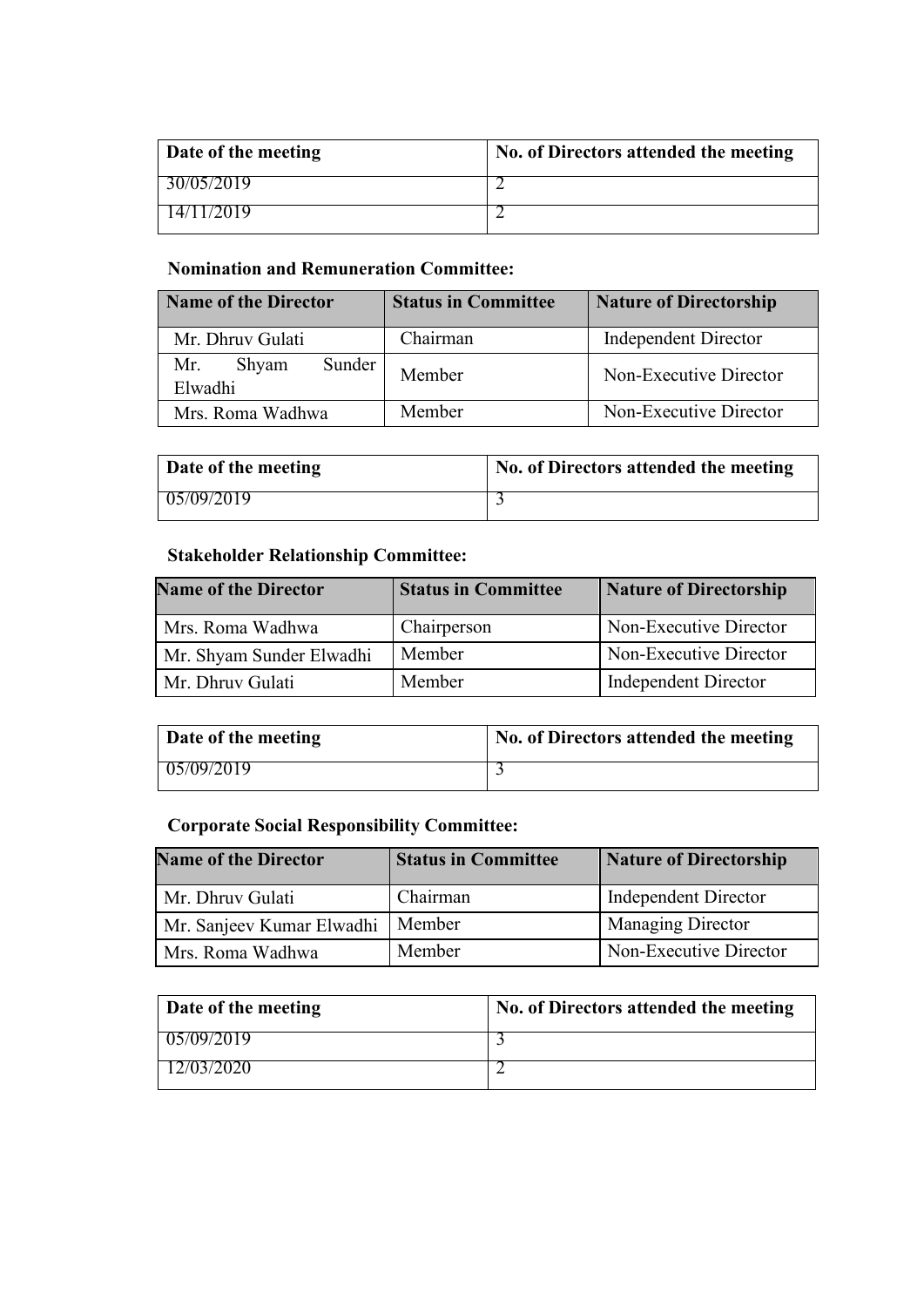| Date of the meeting | No. of Directors attended the meeting |
|---------------------|---------------------------------------|
| 30/05/2019          |                                       |
| 14/11/2019          |                                       |

# **Nomination and Remuneration Committee:**

| Name of the Director              | <b>Status in Committee</b> | <b>Nature of Directorship</b> |
|-----------------------------------|----------------------------|-------------------------------|
| Mr. Dhruv Gulati                  | Chairman                   | <b>Independent Director</b>   |
| Sunder<br>Mr.<br>Shyam<br>Elwadhi | Member                     | Non-Executive Director        |
| Mrs. Roma Wadhwa                  | Member                     | Non-Executive Director        |

| Date of the meeting | No. of Directors attended the meeting |
|---------------------|---------------------------------------|
| 05/09/2019          |                                       |

# **Stakeholder Relationship Committee:**

| <b>Name of the Director</b> | <b>Status in Committee</b> | <b>Nature of Directorship</b> |
|-----------------------------|----------------------------|-------------------------------|
| Mrs. Roma Wadhwa            | Chairperson                | Non-Executive Director        |
| Mr. Shyam Sunder Elwadhi    | Member                     | Non-Executive Director        |
| Mr. Dhruy Gulati            | Member                     | <b>Independent Director</b>   |

| Date of the meeting | No. of Directors attended the meeting |
|---------------------|---------------------------------------|
| 05/09/2019          |                                       |

# **Corporate Social Responsibility Committee:**

| <b>Name of the Director</b> | <b>Status in Committee</b> | <b>Nature of Directorship</b> |
|-----------------------------|----------------------------|-------------------------------|
| Mr. Dhruy Gulati            | Chairman                   | <b>Independent Director</b>   |
| Mr. Sanjeev Kumar Elwadhi   | Member                     | Managing Director             |
| Mrs. Roma Wadhwa            | Member                     | Non-Executive Director        |

| Date of the meeting | No. of Directors attended the meeting |
|---------------------|---------------------------------------|
| 05/09/2019          |                                       |
| 12/03/2020          |                                       |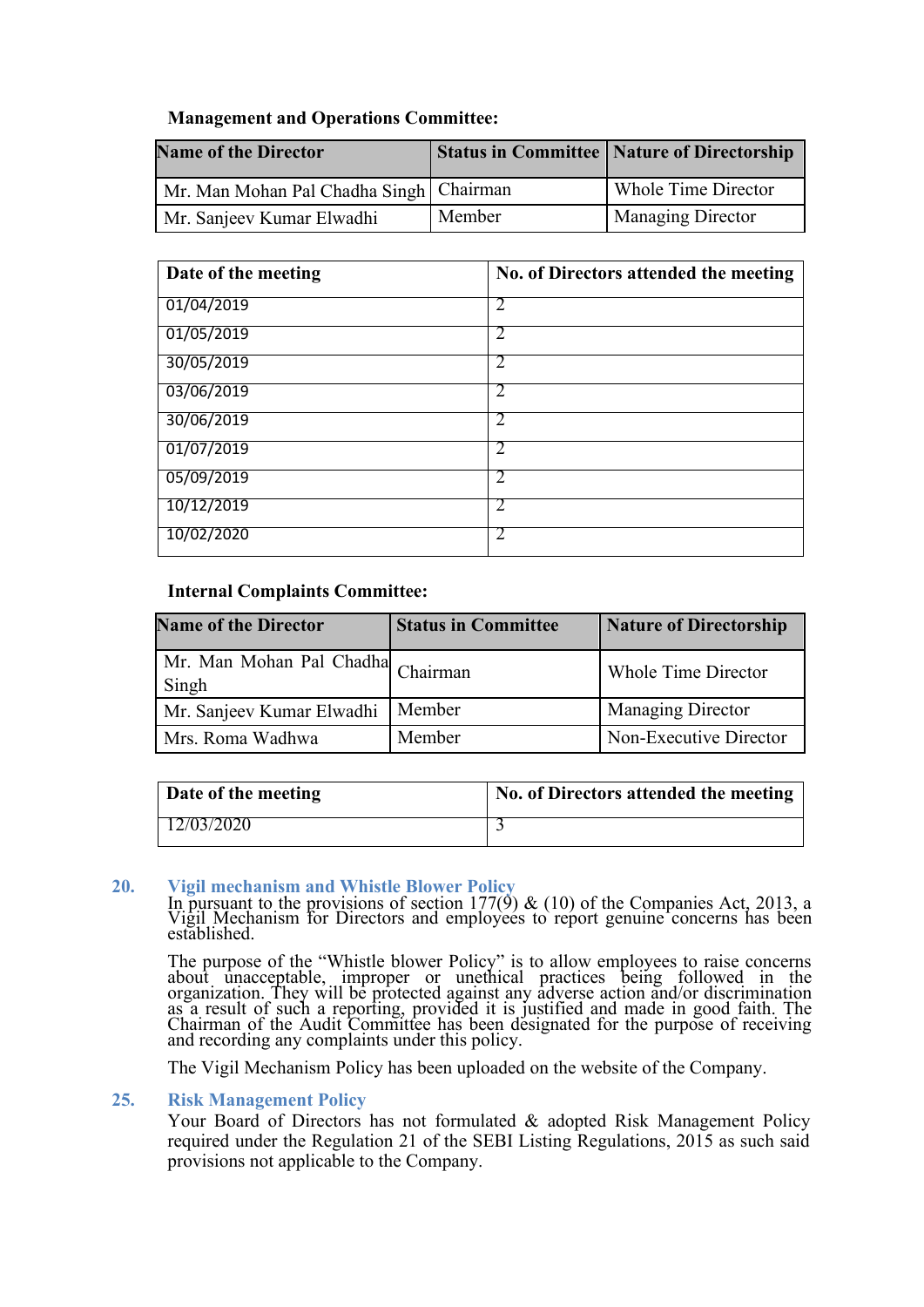#### **Management and Operations Committee:**

| <b>Name of the Director</b>               |        | <b>Status in Committee   Nature of Directorship</b> |
|-------------------------------------------|--------|-----------------------------------------------------|
| Mr. Man Mohan Pal Chadha Singh   Chairman |        | Whole Time Director                                 |
| Mr. Sanjeev Kumar Elwadhi                 | Member | <b>Managing Director</b>                            |

| Date of the meeting | No. of Directors attended the meeting |
|---------------------|---------------------------------------|
| 01/04/2019          | 2                                     |
| 01/05/2019          |                                       |
| 30/05/2019          | 2                                     |
| 03/06/2019          | $\mathcal{D}_{\mathcal{L}}$           |
| 30/06/2019          | 2                                     |
| 01/07/2019          |                                       |
| 05/09/2019          | $\mathcal{D}_{\mathcal{L}}$           |
| 10/12/2019          | $\mathcal{D}_{\mathcal{L}}$           |
| 10/02/2020          |                                       |

#### **Internal Complaints Committee:**

| <b>Name of the Director</b>                | <b>Status in Committee</b> | <b>Nature of Directorship</b> |
|--------------------------------------------|----------------------------|-------------------------------|
| Mr. Man Mohan Pal Chadha Chairman<br>Singh |                            | Whole Time Director           |
| Mr. Sanjeev Kumar Elwadhi                  | Member                     | <b>Managing Director</b>      |
| Mrs. Roma Wadhwa                           | Member                     | Non-Executive Director        |

| Date of the meeting | No. of Directors attended the meeting |
|---------------------|---------------------------------------|
| $\Box$ 2/03/2020    |                                       |

#### **20. Vigil mechanism and Whistle Blower Policy**

In pursuant to the provisions of section  $177(9)$  & (10) of the Companies Act, 2013, a Vigil Mechanism for Directors and employees to report genuine concerns has been established.

The purpose of the "Whistle blower Policy" is to allow employees to raise concerns about unacceptable, improper or unethical practices being followed in the organization. They will be protected against any adverse action and/or discrimination as a result of such a reporting, provided it is justified and made in good faith. The Chairman of the Audit Committee has been designated for the purpose of receiving and recording any complaints under this policy.

The Vigil Mechanism Policy has been uploaded on the website of the Company.

#### **25. Risk Management Policy**

Your Board of Directors has not formulated & adopted Risk Management Policy required under the Regulation 21 of the SEBI Listing Regulations, 2015 as such said provisions not applicable to the Company.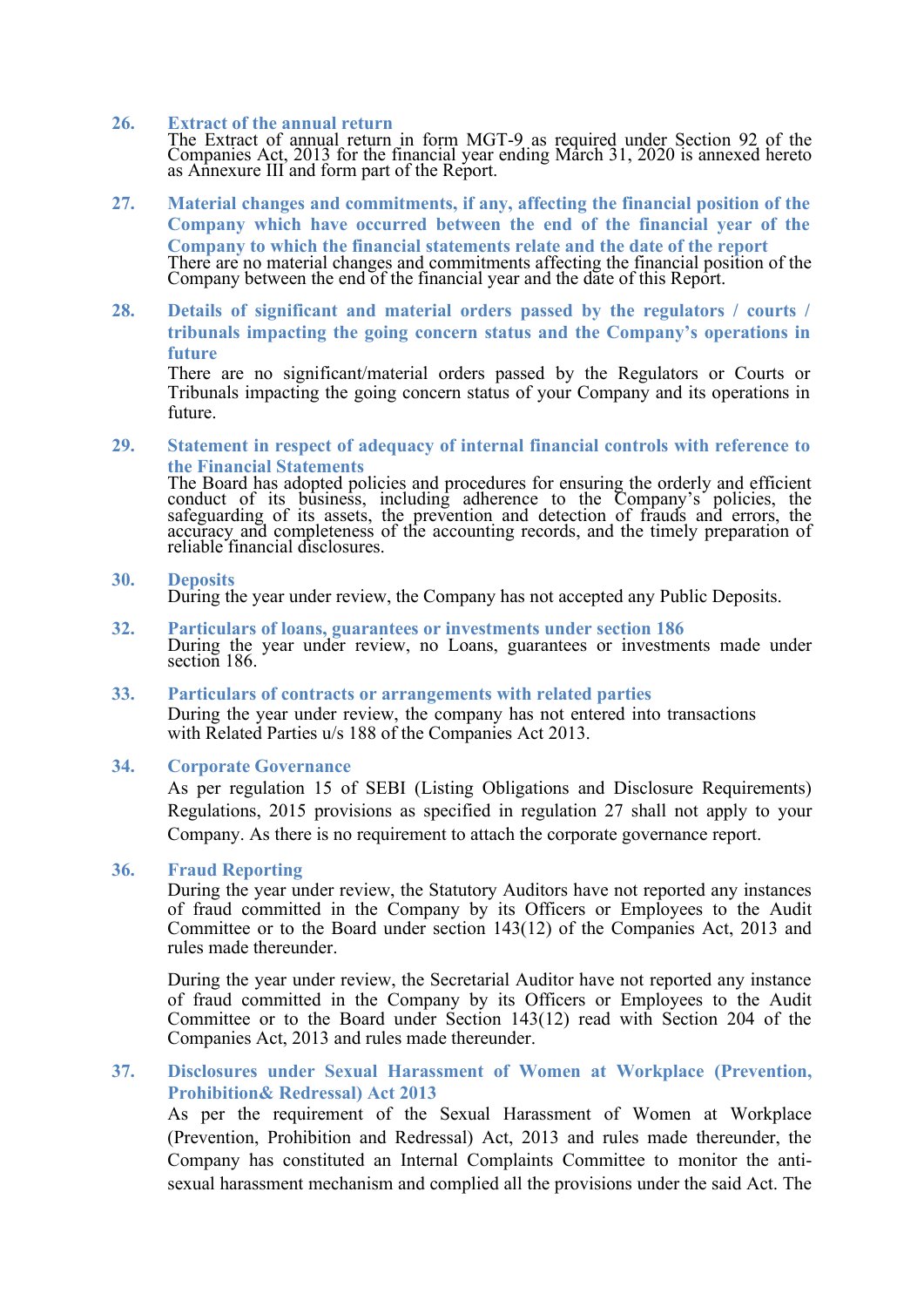#### **26. Extract of the annual return**

The Extract of annual return in form MGT-9 as required under Section 92 of the Companies Act, 2013 for the financial year ending March 31, 2020 is annexed hereto as Annexure III and form part of the Report.

- **27. Material changes and commitments, if any, affecting the financial position of the Company which have occurred between the end of the financial year of the Company to which the financial statements relate and the date of the report** There are no material changes and commitments affecting the financial position of the Company between the end of the financial year and the date of this Report.
- **28. Details of significant and material orders passed by the regulators / courts / tribunals impacting the going concern status and the Company's operations in future**

There are no significant/material orders passed by the Regulators or Courts or Tribunals impacting the going concern status of your Company and its operations in future.

**29. Statement in respect of adequacy of internal financial controls with reference to the Financial Statements**

The Board has adopted policies and procedures for ensuring the orderly and efficient conduct of its business, including adherence to the Company's policies, the safeguarding of its assets, the prevention and detection of frauds and errors, the accuracy and completeness of the accounting records, and the timely preparation of reliable financial disclosures.

#### **30. Deposits**

During the year under review, the Company has not accepted any Public Deposits.

- **32. Particulars of loans, guarantees or investments under section 186** During the year under review, no Loans, guarantees or investments made under section 186.
- **33. Particulars of contracts or arrangements with related parties** During the year under review, the company has not entered into transactions with Related Parties u/s 188 of the Companies Act 2013.

#### **34. Corporate Governance**

As per regulation 15 of SEBI (Listing Obligations and Disclosure Requirements) Regulations, 2015 provisions as specified in regulation 27 shall not apply to your Company. As there is no requirement to attach the corporate governance report.

#### **36. Fraud Reporting**

During the year under review, the Statutory Auditors have not reported any instances of fraud committed in the Company by its Officers or Employees to the Audit Committee or to the Board under section 143(12) of the Companies Act, 2013 and rules made thereunder.

During the year under review, the Secretarial Auditor have not reported any instance of fraud committed in the Company by its Officers or Employees to the Audit Committee or to the Board under Section 143(12) read with Section 204 of the Companies Act, 2013 and rules made thereunder.

#### **37. Disclosures under Sexual Harassment of Women at Workplace (Prevention, Prohibition& Redressal) Act 2013**

As per the requirement of the Sexual Harassment of Women at Workplace (Prevention, Prohibition and Redressal) Act, 2013 and rules made thereunder, the Company has constituted an Internal Complaints Committee to monitor the antisexual harassment mechanism and complied all the provisions under the said Act. The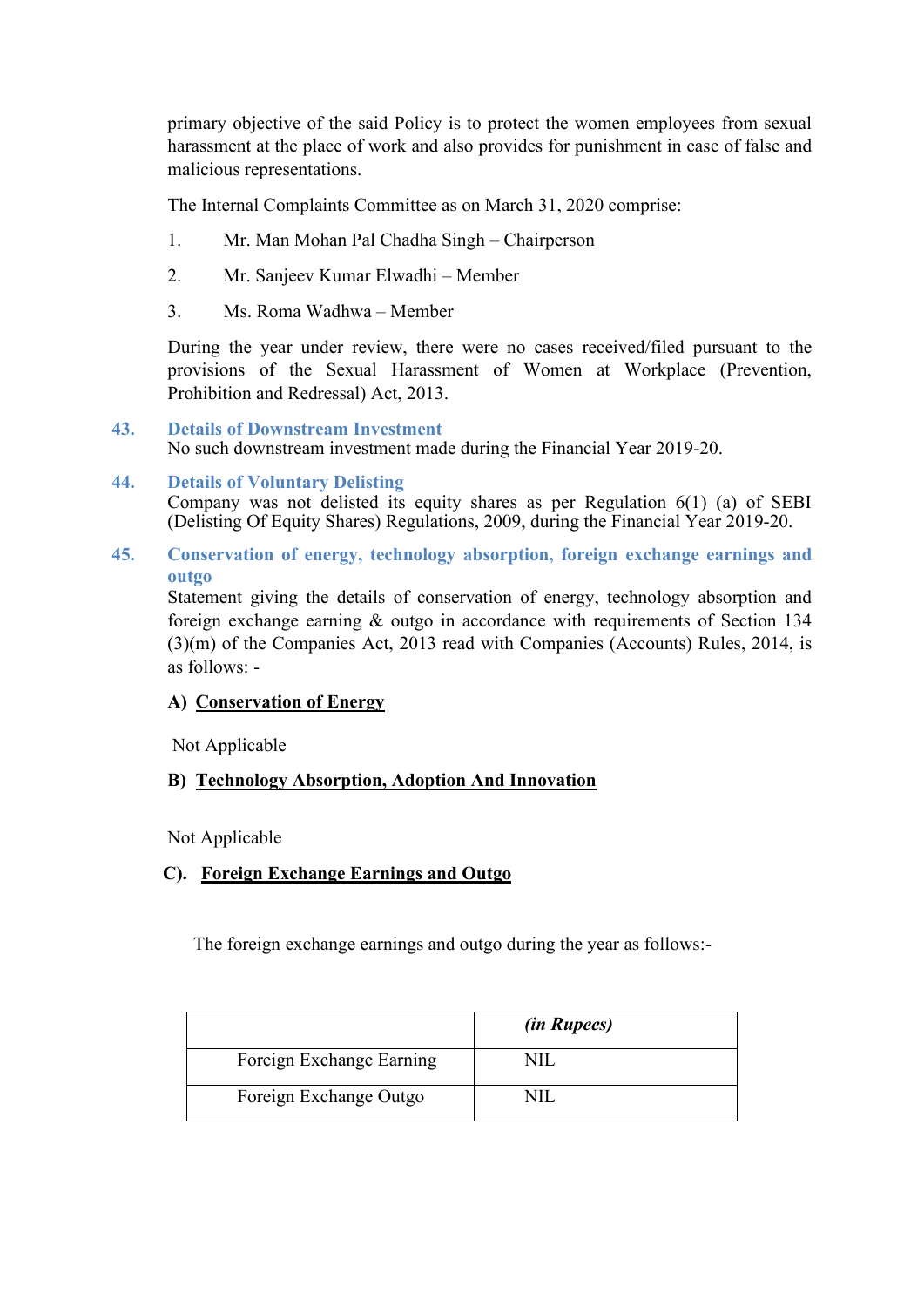primary objective of the said Policy is to protect the women employees from sexual harassment at the place of work and also provides for punishment in case of false and malicious representations.

The Internal Complaints Committee as on March 31, 2020 comprise:

- 1. Mr. Man Mohan Pal Chadha Singh Chairperson
- 2. Mr. Sanjeev Kumar Elwadhi Member
- 3. Ms. Roma Wadhwa Member

During the year under review, there were no cases received/filed pursuant to the provisions of the Sexual Harassment of Women at Workplace (Prevention, Prohibition and Redressal) Act, 2013.

**43. Details of Downstream Investment**

No such downstream investment made during the Financial Year 2019-20.

#### **44. Details of Voluntary Delisting** Company was not delisted its equity shares as per Regulation 6(1) (a) of SEBI (Delisting Of Equity Shares) Regulations, 2009, during the Financial Year 2019-20.

**45. Conservation of energy, technology absorption, foreign exchange earnings and outgo**

Statement giving the details of conservation of energy, technology absorption and foreign exchange earning & outgo in accordance with requirements of Section 134 (3)(m) of the Companies Act, 2013 read with Companies (Accounts) Rules, 2014, is as follows: -

#### **A) Conservation of Energy**

Not Applicable

#### **B) Technology Absorption, Adoption And Innovation**

Not Applicable

 **C). Foreign Exchange Earnings and Outgo**

The foreign exchange earnings and outgo during the year as follows:-

|                          | <i>(in Rupees)</i> |
|--------------------------|--------------------|
| Foreign Exchange Earning |                    |
| Foreign Exchange Outgo   |                    |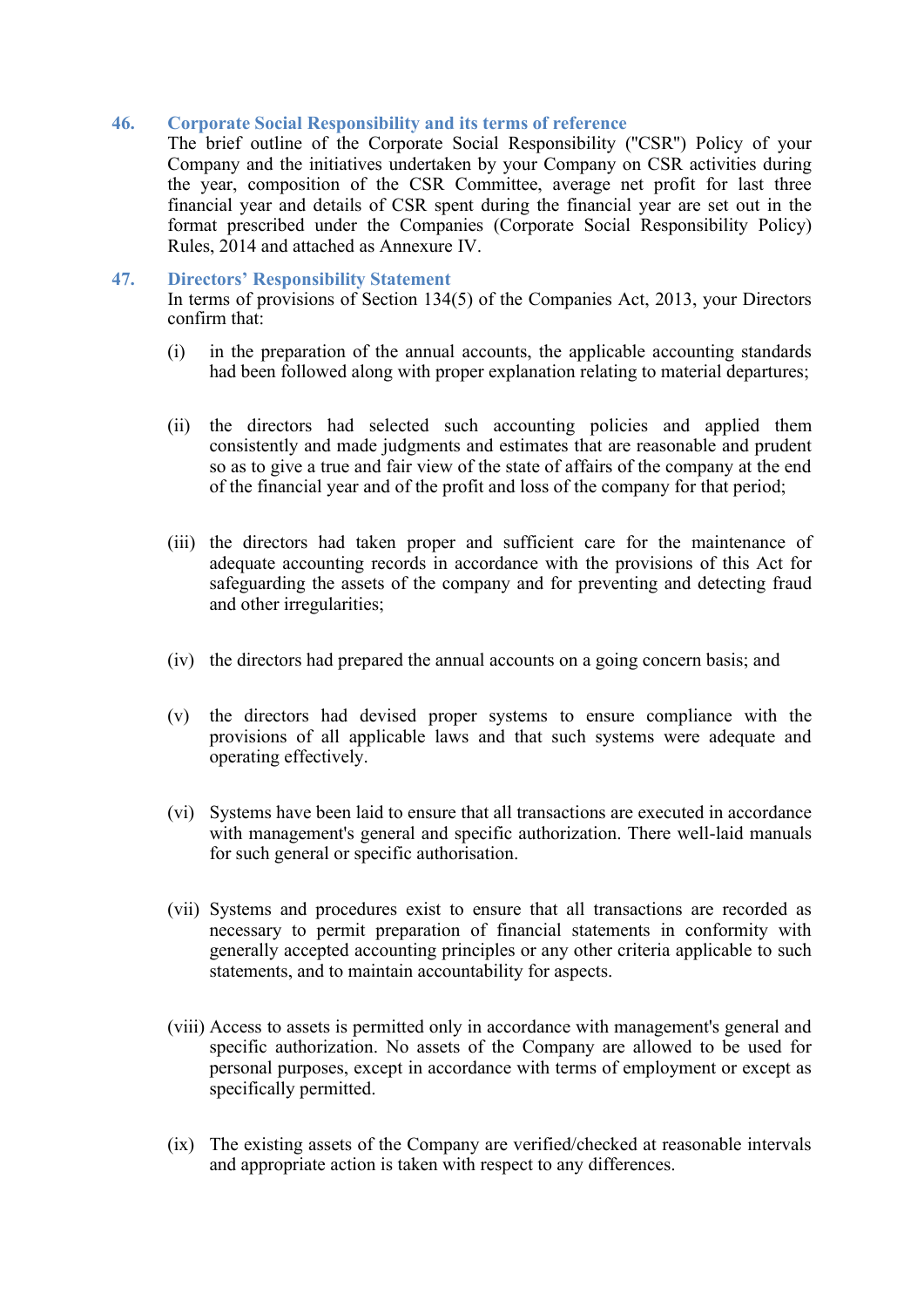#### **46. Corporate Social Responsibility and its terms of reference**

The brief outline of the Corporate Social Responsibility (''CSR'') Policy of your Company and the initiatives undertaken by your Company on CSR activities during the year, composition of the CSR Committee, average net profit for last three financial year and details of CSR spent during the financial year are set out in the format prescribed under the Companies (Corporate Social Responsibility Policy) Rules, 2014 and attached as Annexure IV.

#### **47. Directors' Responsibility Statement**

In terms of provisions of Section 134(5) of the Companies Act, 2013, your Directors confirm that:

- (i) in the preparation of the annual accounts, the applicable accounting standards had been followed along with proper explanation relating to material departures;
- (ii) the directors had selected such accounting policies and applied them consistently and made judgments and estimates that are reasonable and prudent so as to give a true and fair view of the state of affairs of the company at the end of the financial year and of the profit and loss of the company for that period;
- (iii) the directors had taken proper and sufficient care for the maintenance of adequate accounting records in accordance with the provisions of this Act for safeguarding the assets of the company and for preventing and detecting fraud and other irregularities;
- (iv) the directors had prepared the annual accounts on a going concern basis; and
- (v) the directors had devised proper systems to ensure compliance with the provisions of all applicable laws and that such systems were adequate and operating effectively.
- (vi) Systems have been laid to ensure that all transactions are executed in accordance with management's general and specific authorization. There well-laid manuals for such general or specific authorisation.
- (vii) Systems and procedures exist to ensure that all transactions are recorded as necessary to permit preparation of financial statements in conformity with generally accepted accounting principles or any other criteria applicable to such statements, and to maintain accountability for aspects.
- (viii) Access to assets is permitted only in accordance with management's general and specific authorization. No assets of the Company are allowed to be used for personal purposes, except in accordance with terms of employment or except as specifically permitted.
- (ix) The existing assets of the Company are verified/checked at reasonable intervals and appropriate action is taken with respect to any differences.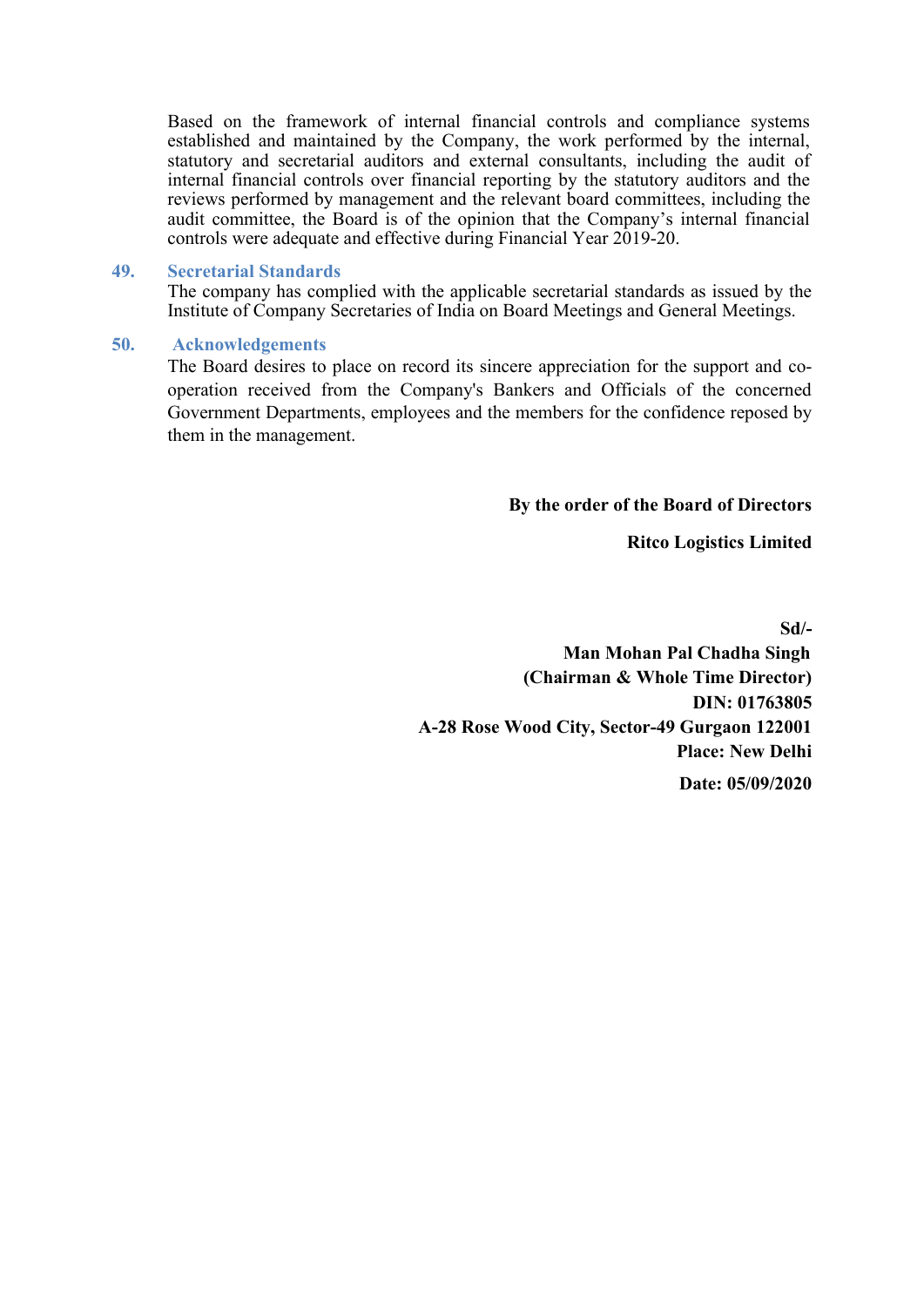Based on the framework of internal financial controls and compliance systems established and maintained by the Company, the work performed by the internal, statutory and secretarial auditors and external consultants, including the audit of internal financial controls over financial reporting by the statutory auditors and the reviews performed by management and the relevant board committees, including the audit committee, the Board is of the opinion that the Company's internal financial controls were adequate and effective during Financial Year 2019-20.

#### **49. Secretarial Standards**

The company has complied with the applicable secretarial standards as issued by the Institute of Company Secretaries of India on Board Meetings and General Meetings.

#### **50. Acknowledgements**

The Board desires to place on record its sincere appreciation for the support and cooperation received from the Company's Bankers and Officials of the concerned Government Departments, employees and the members for the confidence reposed by them in the management.

**By the order of the Board of Directors**

**Ritco Logistics Limited**

 **Sd/-**

 **Man Mohan Pal Chadha Singh (Chairman & Whole Time Director) DIN: 01763805 A-28 Rose Wood City, Sector-49 Gurgaon 122001 Place: New Delhi Date: 05/09/2020**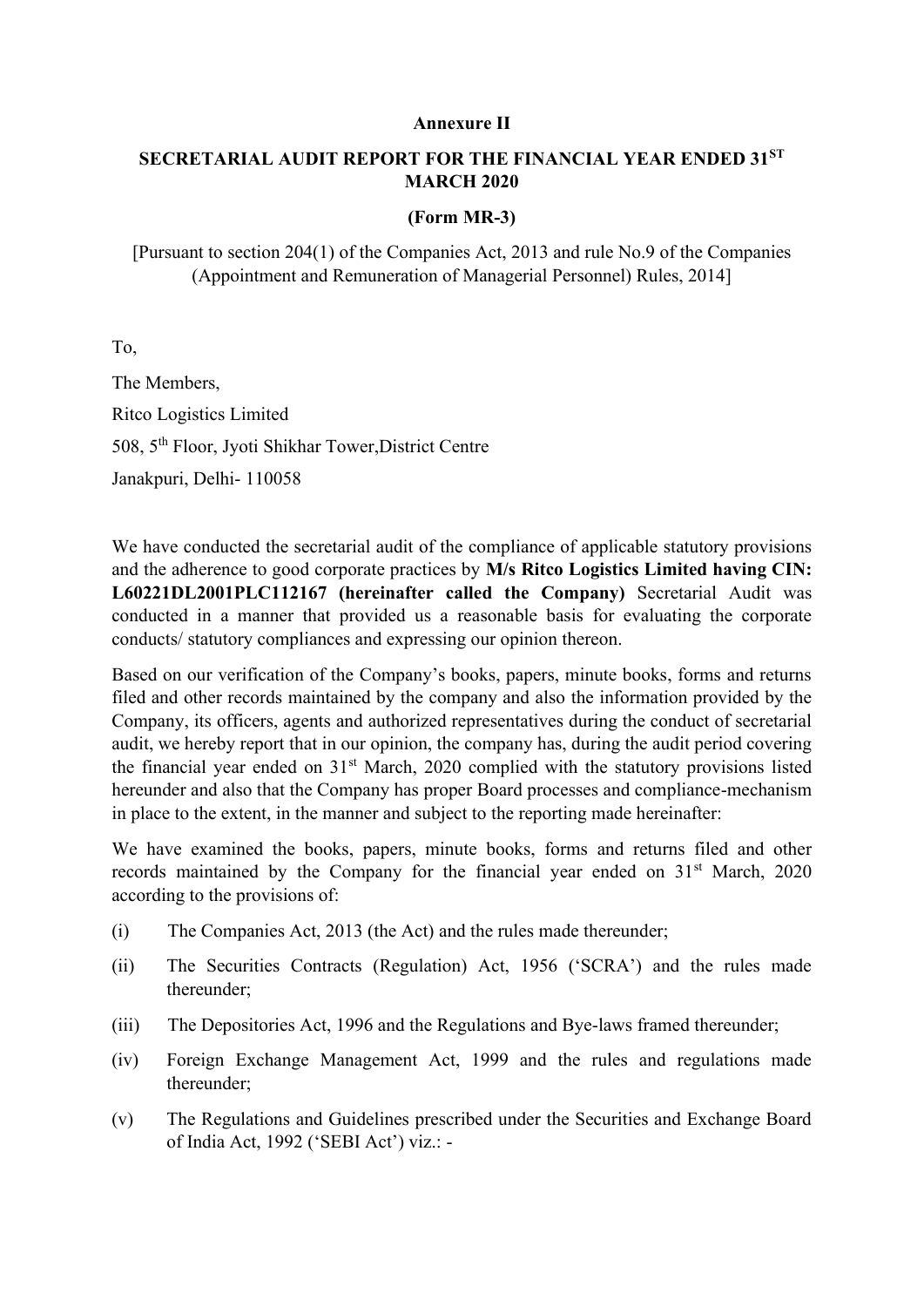#### **Annexure II**

#### **SECRETARIAL AUDIT REPORT FOR THE FINANCIAL YEAR ENDED 31ST MARCH 2020**

#### **(Form MR-3)**

[Pursuant to section 204(1) of the Companies Act, 2013 and rule No.9 of the Companies (Appointment and Remuneration of Managerial Personnel) Rules, 2014]

To,

The Members, Ritco Logistics Limited 508, 5th Floor, Jyoti Shikhar Tower,District Centre Janakpuri, Delhi- 110058

We have conducted the secretarial audit of the compliance of applicable statutory provisions and the adherence to good corporate practices by **M/s Ritco Logistics Limited having CIN: L60221DL2001PLC112167 (hereinafter called the Company)** Secretarial Audit was conducted in a manner that provided us a reasonable basis for evaluating the corporate conducts/ statutory compliances and expressing our opinion thereon.

Based on our verification of the Company's books, papers, minute books, forms and returns filed and other records maintained by the company and also the information provided by the Company, its officers, agents and authorized representatives during the conduct of secretarial audit, we hereby report that in our opinion, the company has, during the audit period covering the financial year ended on  $31<sup>st</sup>$  March, 2020 complied with the statutory provisions listed hereunder and also that the Company has proper Board processes and compliance-mechanism in place to the extent, in the manner and subject to the reporting made hereinafter:

We have examined the books, papers, minute books, forms and returns filed and other records maintained by the Company for the financial year ended on  $31<sup>st</sup>$  March, 2020 according to the provisions of:

- (i) The Companies Act, 2013 (the Act) and the rules made thereunder;
- (ii) The Securities Contracts (Regulation) Act, 1956 ('SCRA') and the rules made thereunder;
- (iii) The Depositories Act, 1996 and the Regulations and Bye-laws framed thereunder;
- (iv) Foreign Exchange Management Act, 1999 and the rules and regulations made thereunder;
- (v) The Regulations and Guidelines prescribed under the Securities and Exchange Board of India Act, 1992 ('SEBI Act') viz.: -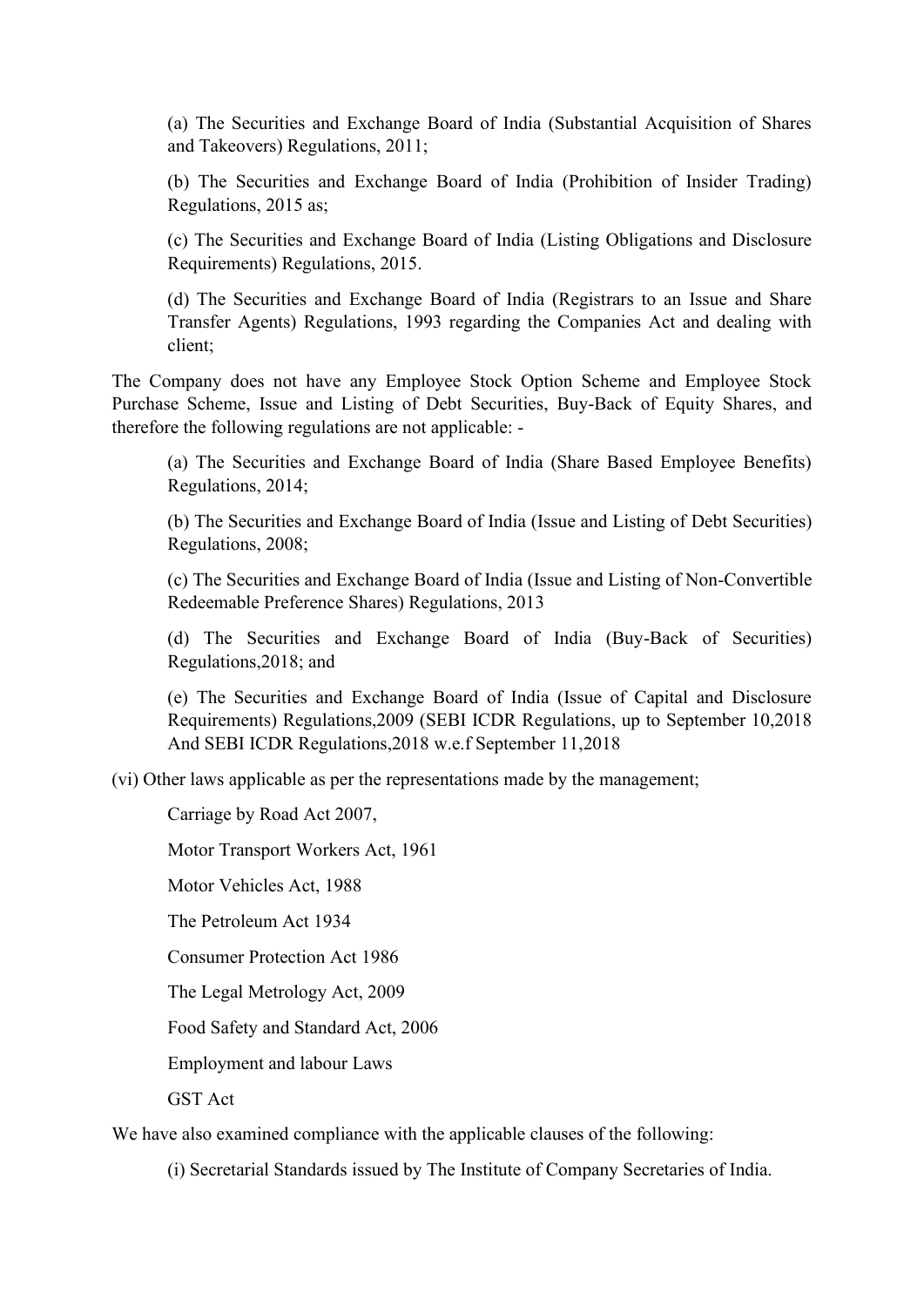(a) The Securities and Exchange Board of India (Substantial Acquisition of Shares and Takeovers) Regulations, 2011;

(b) The Securities and Exchange Board of India (Prohibition of Insider Trading) Regulations, 2015 as;

(c) The Securities and Exchange Board of India (Listing Obligations and Disclosure Requirements) Regulations, 2015.

(d) The Securities and Exchange Board of India (Registrars to an Issue and Share Transfer Agents) Regulations, 1993 regarding the Companies Act and dealing with client;

The Company does not have any Employee Stock Option Scheme and Employee Stock Purchase Scheme, Issue and Listing of Debt Securities, Buy-Back of Equity Shares, and therefore the following regulations are not applicable: -

(a) The Securities and Exchange Board of India (Share Based Employee Benefits) Regulations, 2014;

(b) The Securities and Exchange Board of India (Issue and Listing of Debt Securities) Regulations, 2008;

(c) The Securities and Exchange Board of India (Issue and Listing of Non-Convertible Redeemable Preference Shares) Regulations, 2013

(d) The Securities and Exchange Board of India (Buy-Back of Securities) Regulations,2018; and

(e) The Securities and Exchange Board of India (Issue of Capital and Disclosure Requirements) Regulations,2009 (SEBI ICDR Regulations, up to September 10,2018 And SEBI ICDR Regulations,2018 w.e.f September 11,2018

(vi) Other laws applicable as per the representations made by the management;

Carriage by Road Act 2007,

Motor Transport Workers Act, 1961

Motor Vehicles Act, 1988

The Petroleum Act 1934

Consumer Protection Act 1986

The Legal Metrology Act, 2009

Food Safety and Standard Act, 2006

Employment and labour Laws

GST Act

We have also examined compliance with the applicable clauses of the following:

(i) Secretarial Standards issued by The Institute of Company Secretaries of India.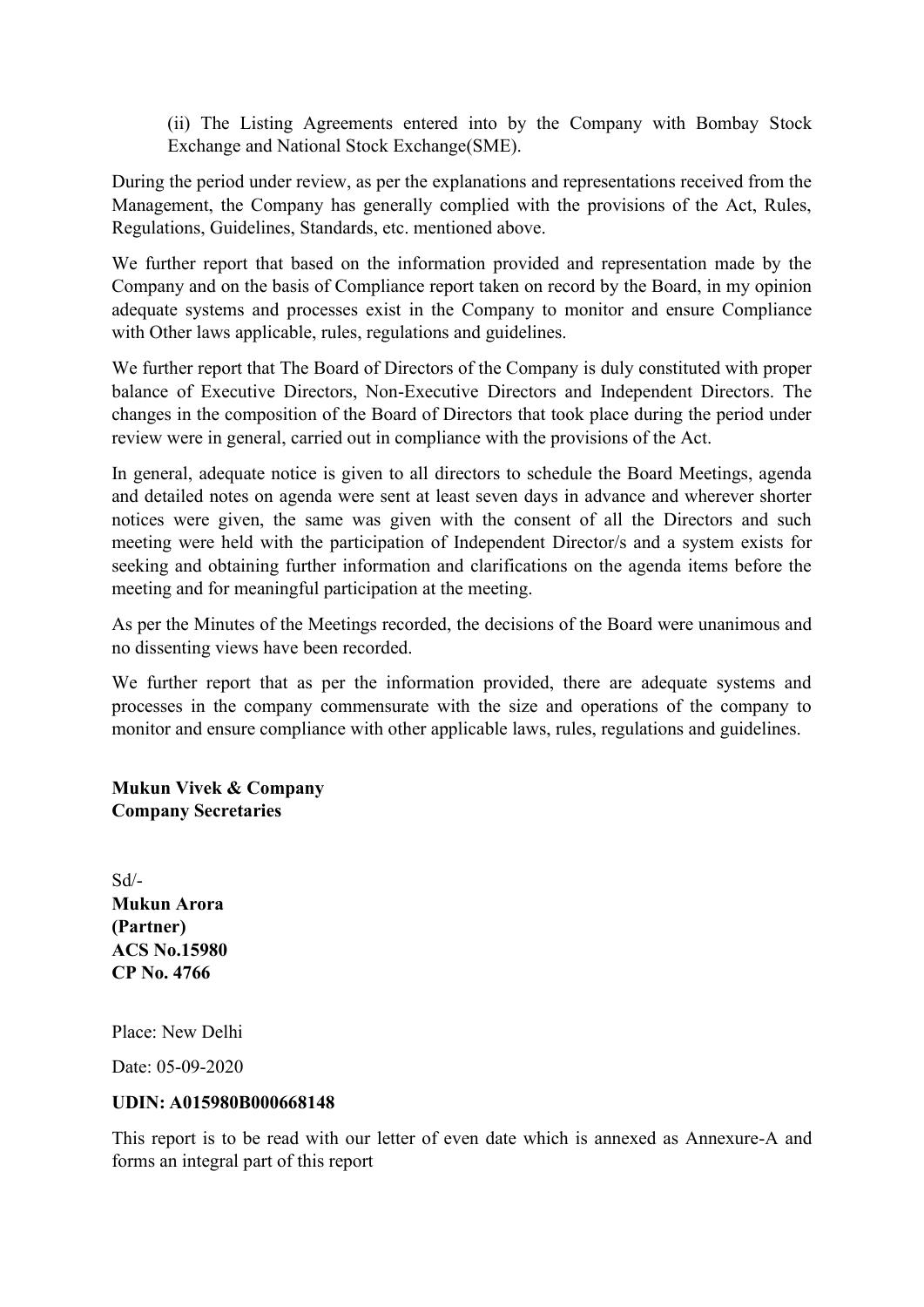(ii) The Listing Agreements entered into by the Company with Bombay Stock Exchange and National Stock Exchange(SME).

During the period under review, as per the explanations and representations received from the Management, the Company has generally complied with the provisions of the Act, Rules, Regulations, Guidelines, Standards, etc. mentioned above.

We further report that based on the information provided and representation made by the Company and on the basis of Compliance report taken on record by the Board, in my opinion adequate systems and processes exist in the Company to monitor and ensure Compliance with Other laws applicable, rules, regulations and guidelines.

We further report that The Board of Directors of the Company is duly constituted with proper balance of Executive Directors, Non-Executive Directors and Independent Directors. The changes in the composition of the Board of Directors that took place during the period under review were in general, carried out in compliance with the provisions of the Act.

In general, adequate notice is given to all directors to schedule the Board Meetings, agenda and detailed notes on agenda were sent at least seven days in advance and wherever shorter notices were given, the same was given with the consent of all the Directors and such meeting were held with the participation of Independent Director/s and a system exists for seeking and obtaining further information and clarifications on the agenda items before the meeting and for meaningful participation at the meeting.

As per the Minutes of the Meetings recorded, the decisions of the Board were unanimous and no dissenting views have been recorded.

We further report that as per the information provided, there are adequate systems and processes in the company commensurate with the size and operations of the company to monitor and ensure compliance with other applicable laws, rules, regulations and guidelines.

**Mukun Vivek & Company Company Secretaries**

Sd/- **Mukun Arora (Partner) ACS No.15980 CP No. 4766** 

Place: New Delhi

Date: 05-09-2020

#### **UDIN: A015980B000668148**

This report is to be read with our letter of even date which is annexed as Annexure-A and forms an integral part of this report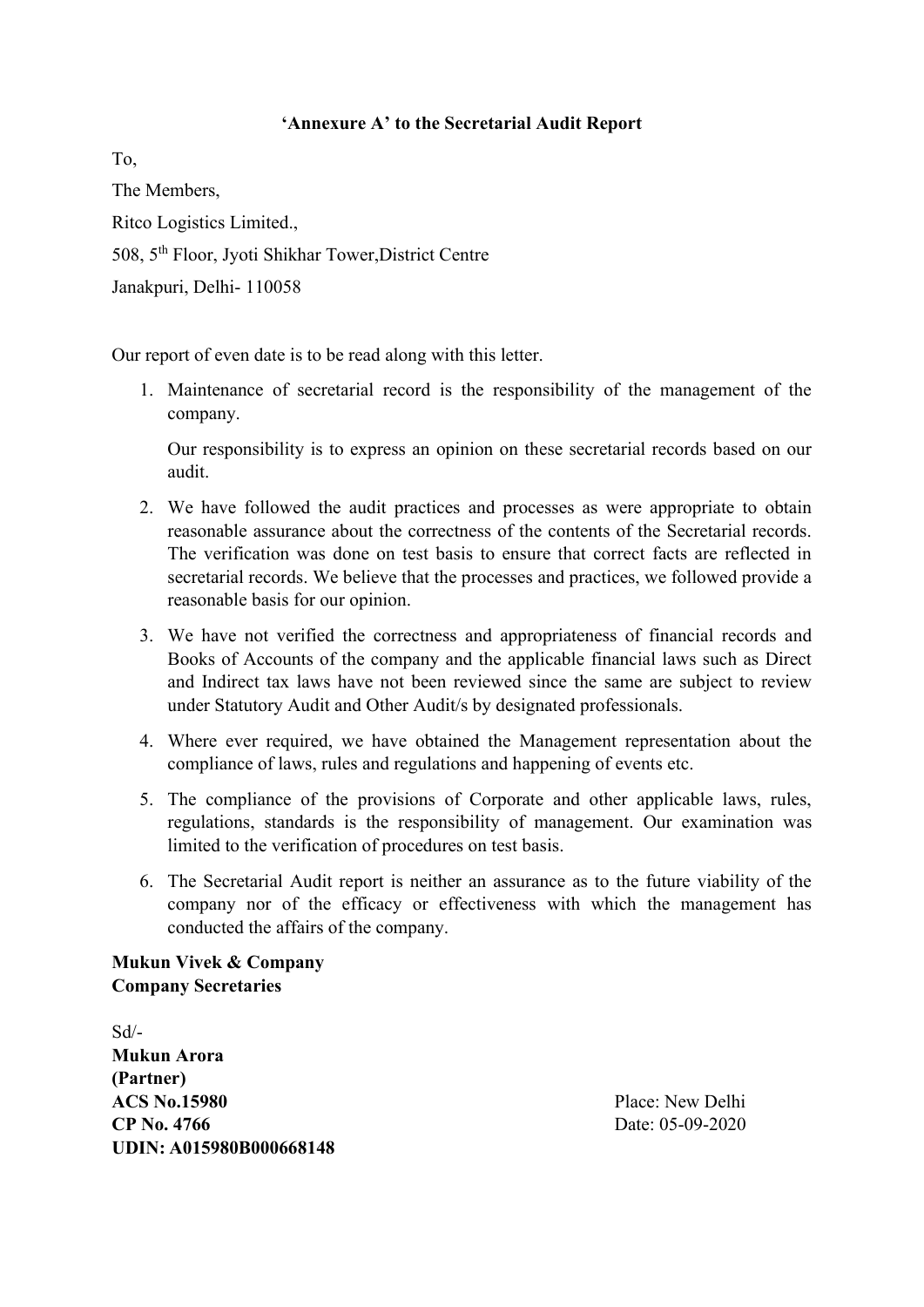#### **'Annexure A' to the Secretarial Audit Report**

To, The Members, Ritco Logistics Limited., 508, 5th Floor, Jyoti Shikhar Tower,District Centre Janakpuri, Delhi- 110058

Our report of even date is to be read along with this letter.

1. Maintenance of secretarial record is the responsibility of the management of the company.

Our responsibility is to express an opinion on these secretarial records based on our audit.

- 2. We have followed the audit practices and processes as were appropriate to obtain reasonable assurance about the correctness of the contents of the Secretarial records. The verification was done on test basis to ensure that correct facts are reflected in secretarial records. We believe that the processes and practices, we followed provide a reasonable basis for our opinion.
- 3. We have not verified the correctness and appropriateness of financial records and Books of Accounts of the company and the applicable financial laws such as Direct and Indirect tax laws have not been reviewed since the same are subject to review under Statutory Audit and Other Audit/s by designated professionals.
- 4. Where ever required, we have obtained the Management representation about the compliance of laws, rules and regulations and happening of events etc.
- 5. The compliance of the provisions of Corporate and other applicable laws, rules, regulations, standards is the responsibility of management. Our examination was limited to the verification of procedures on test basis.
- 6. The Secretarial Audit report is neither an assurance as to the future viability of the company nor of the efficacy or effectiveness with which the management has conducted the affairs of the company.

**Mukun Vivek & Company Company Secretaries**

Sd/- **Mukun Arora (Partner) ACS No.15980** Place: New Delhi **CP No. 4766** Date: 05-09-2020 **UDIN: A015980B000668148**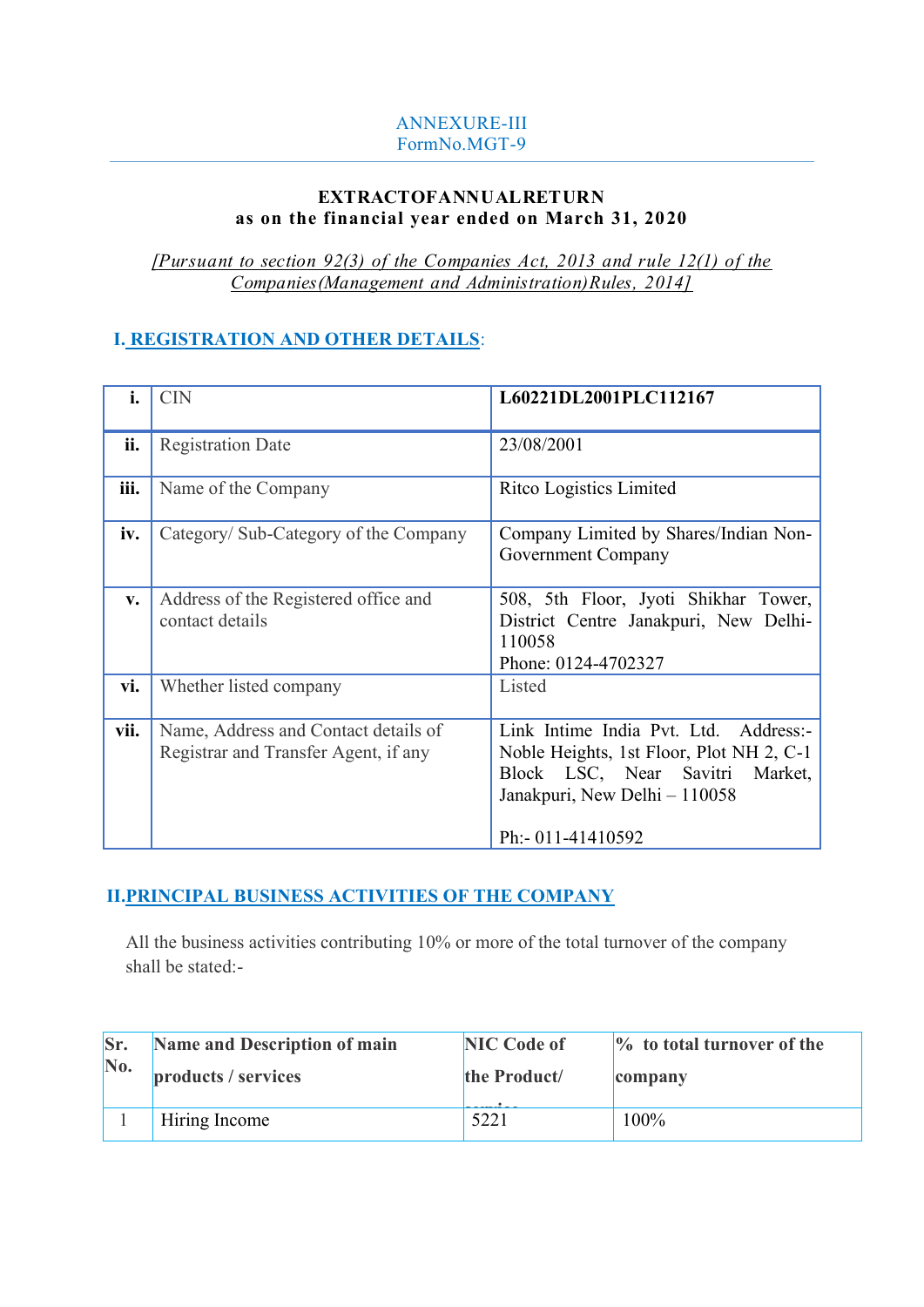#### ANNEXURE-III FormNo.MGT-9

#### **EXTRACTOFANNUALRETURN as on the financial year ended on March 31, 2020**

*[Pursuant to section 92(3) of the Companies Act, 2013 and rule 12(1) of the Companies(Management and Administration)Rules, 2014]*

#### **I. REGISTRATION AND OTHER DETAILS**:

|               | <b>CIN</b>                                                                   | L60221DL2001PLC112167                                                                                                                                                         |
|---------------|------------------------------------------------------------------------------|-------------------------------------------------------------------------------------------------------------------------------------------------------------------------------|
| ii.           | <b>Registration Date</b>                                                     | 23/08/2001                                                                                                                                                                    |
| iii.          | Name of the Company                                                          | Ritco Logistics Limited                                                                                                                                                       |
| iv.           | Category/ Sub-Category of the Company                                        | Company Limited by Shares/Indian Non-<br>Government Company                                                                                                                   |
| $V_{\bullet}$ | Address of the Registered office and<br>contact details                      | 508, 5th Floor, Jyoti Shikhar Tower,<br>District Centre Janakpuri, New Delhi-<br>110058<br>Phone: 0124-4702327                                                                |
| vi.           | Whether listed company                                                       | Listed                                                                                                                                                                        |
| vii.          | Name, Address and Contact details of<br>Registrar and Transfer Agent, if any | Link Intime India Pvt. Ltd. Address:-<br>Noble Heights, 1st Floor, Plot NH 2, C-1<br>Market,<br>Block LSC, Near Savitri<br>Janakpuri, New Delhi - 110058<br>Ph:- 011-41410592 |

#### **II.PRINCIPAL BUSINESS ACTIVITIES OF THE COMPANY**

All the business activities contributing 10% or more of the total turnover of the company shall be stated:-

| Sr. | Name and Description of main | <b>NIC Code of</b> | $\%$ to total turnover of the |
|-----|------------------------------|--------------------|-------------------------------|
| No. | products / services          | the Product/       | company                       |
|     | Hiring Income                | 5221               | 100%                          |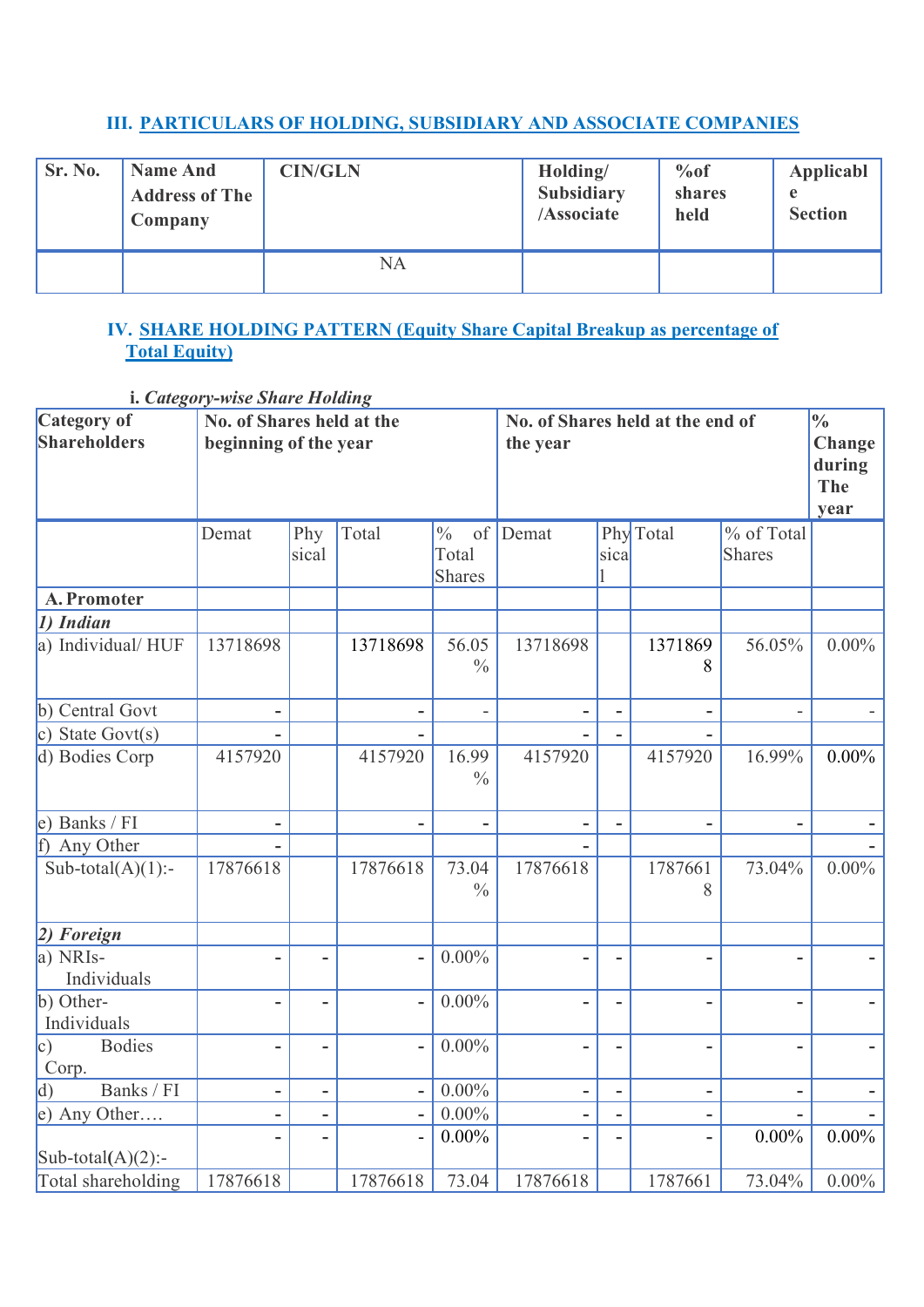### **III. PARTICULARS OF HOLDING, SUBSIDIARY AND ASSOCIATE COMPANIES**

| Sr. No. | <b>Name And</b><br><b>Address of The</b><br>Company | <b>CIN/GLN</b> | Holding/<br><b>Subsidiary</b><br>/Associate | %of<br>shares<br>held | Applicabl<br>e<br><b>Section</b> |
|---------|-----------------------------------------------------|----------------|---------------------------------------------|-----------------------|----------------------------------|
|         |                                                     | NA             |                                             |                       |                                  |

### **IV. SHARE HOLDING PATTERN (Equity Share Capital Breakup as percentage of Total Equity)**

**i.** *Category-wise Share Holding*

| Category of                     | L. Category-wise Share Hotang<br>No. of Shares held at the |                              |                          |                                               | No. of Shares held at the end of |                          |              |                             | $\frac{0}{0}$                   |
|---------------------------------|------------------------------------------------------------|------------------------------|--------------------------|-----------------------------------------------|----------------------------------|--------------------------|--------------|-----------------------------|---------------------------------|
| <b>Shareholders</b>             | beginning of the year                                      |                              |                          |                                               | the year                         |                          |              |                             | Change<br>during<br>The<br>year |
|                                 | Demat                                                      | Phy<br>sical                 | Total                    | $\frac{0}{0}$<br>of<br>Total<br><b>Shares</b> | Demat                            | sical                    | Phy Total    | % of Total<br><b>Shares</b> |                                 |
| A. Promoter                     |                                                            |                              |                          |                                               |                                  |                          |              |                             |                                 |
| 1) Indian                       |                                                            |                              |                          |                                               |                                  |                          |              |                             |                                 |
| a) Individual/HUF               | 13718698                                                   |                              | 13718698                 | 56.05<br>$\frac{0}{0}$                        | 13718698                         |                          | 1371869<br>8 | 56.05%                      | $0.00\%$                        |
| b) Central Govt                 |                                                            |                              |                          |                                               | $\overline{\phantom{0}}$         | $\overline{\phantom{m}}$ |              |                             |                                 |
| c) State Govt $(s)$             |                                                            |                              |                          |                                               |                                  |                          |              |                             |                                 |
| d) Bodies Corp                  | 4157920                                                    |                              | 4157920                  | 16.99<br>$\frac{0}{0}$                        | 4157920                          |                          | 4157920      | 16.99%                      | $0.00\%$                        |
| e) Banks / FI                   |                                                            |                              |                          |                                               |                                  |                          |              |                             |                                 |
| Any Other<br>f                  |                                                            |                              |                          |                                               |                                  |                          |              |                             |                                 |
| Sub-total $(A)(1)$ :-           | 17876618                                                   |                              | 17876618                 | 73.04<br>$\frac{0}{0}$                        | 17876618                         |                          | 1787661<br>8 | 73.04%                      | $0.00\%$                        |
| $ 2)$ Foreign                   |                                                            |                              |                          |                                               |                                  |                          |              |                             |                                 |
| a) NRIs-<br>Individuals         |                                                            |                              |                          | $0.00\%$                                      |                                  |                          |              |                             |                                 |
| b) Other-<br>Individuals        |                                                            |                              |                          | $0.00\%$                                      |                                  |                          |              |                             |                                 |
| <b>Bodies</b><br> c)<br>Corp.   |                                                            |                              |                          | $0.00\%$                                      |                                  |                          |              |                             |                                 |
| Banks / FI<br>$\vert d \rangle$ |                                                            | $\qquad \qquad \blacksquare$ |                          | $0.00\%$                                      | -                                | -                        | ۰            |                             |                                 |
| e) Any Other                    | ۰                                                          | $\overline{\phantom{a}}$     | $\overline{\phantom{0}}$ | $0.00\%$                                      | ۰                                | -                        | -            |                             |                                 |
| Sub-total(A)(2):-               |                                                            |                              |                          | $0.00\%$                                      |                                  |                          |              | $0.00\%$                    | $0.00\%$                        |
| Total shareholding              | 17876618                                                   |                              | 17876618                 | 73.04                                         | 17876618                         |                          | 1787661      | 73.04%                      | $0.00\%$                        |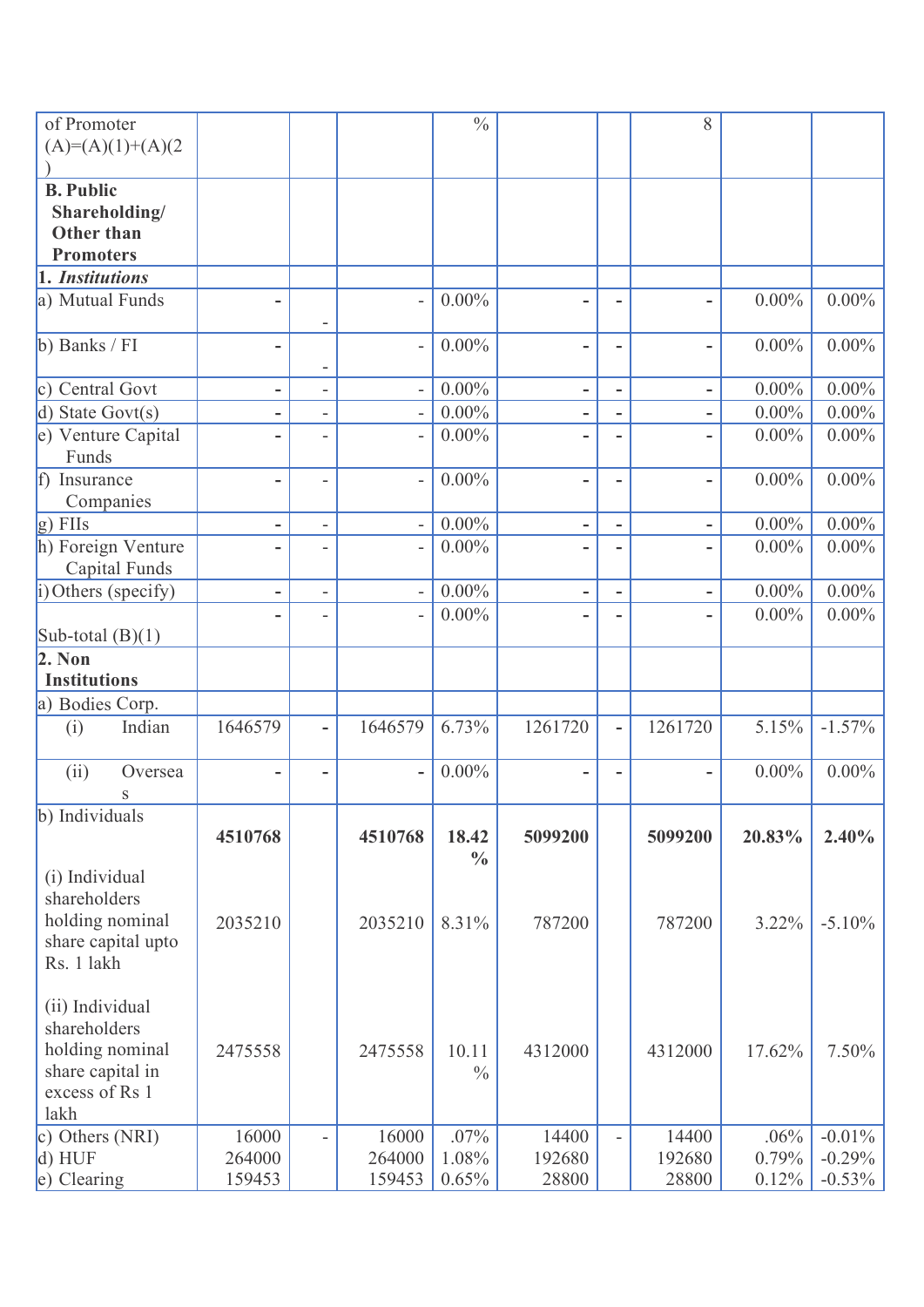| of Promoter<br>$(A)=(A)(1)+(A)(2$                                                                |                           |                          |                           | $\frac{0}{0}$          |                          |                              | 8                        |                        |                                    |
|--------------------------------------------------------------------------------------------------|---------------------------|--------------------------|---------------------------|------------------------|--------------------------|------------------------------|--------------------------|------------------------|------------------------------------|
| <b>B.</b> Public<br>Shareholding/<br><b>Other than</b><br><b>Promoters</b>                       |                           |                          |                           |                        |                          |                              |                          |                        |                                    |
| 1. Institutions                                                                                  |                           |                          |                           |                        |                          |                              |                          |                        |                                    |
| a) Mutual Funds                                                                                  | ۰                         |                          |                           | $0.00\%$               | -                        | $\qquad \qquad \blacksquare$ | $\overline{\phantom{0}}$ | $0.00\%$               | $0.00\%$                           |
| b) Banks / FI                                                                                    | ۰                         | -                        |                           | $0.00\%$               | -                        | $\qquad \qquad \blacksquare$ |                          | $0.00\%$               | $0.00\%$                           |
| c) Central Govt                                                                                  | -                         | $\overline{\phantom{0}}$ |                           | $0.00\%$               | $\overline{\phantom{a}}$ | $\overline{\phantom{a}}$     | $\overline{\phantom{0}}$ | $0.00\%$               | $0.00\%$                           |
| $d)$ State Govt $(s)$                                                                            | -                         | $\overline{\phantom{0}}$ |                           | $0.00\%$               | -                        | -                            |                          | $0.00\%$               | $0.00\%$                           |
| e) Venture Capital<br>Funds                                                                      |                           |                          |                           | $0.00\%$               |                          |                              |                          | $0.00\%$               | $0.00\%$                           |
| f) Insurance<br>Companies                                                                        |                           | $\overline{a}$           |                           | $0.00\%$               | -                        | $\qquad \qquad \blacksquare$ | -                        | $0.00\%$               | $0.00\%$                           |
| $g)$ FIIs                                                                                        | $\overline{\phantom{a}}$  | $\overline{a}$           | $\overline{\phantom{a}}$  | $0.00\%$               | $\overline{\phantom{a}}$ | $\overline{\phantom{a}}$     | $\overline{\phantom{a}}$ | $0.00\%$               | $0.00\%$                           |
| h) Foreign Venture<br>Capital Funds                                                              |                           |                          |                           | $0.00\%$               |                          |                              |                          | $0.00\%$               | $0.00\%$                           |
| i) Others (specify)                                                                              |                           |                          |                           | $0.00\%$               | -                        |                              |                          | $0.00\%$               | $0.00\%$                           |
| Sub-total $(B)(1)$                                                                               |                           |                          |                           | $0.00\%$               |                          |                              |                          | $0.00\%$               | $0.00\%$                           |
| $2.$ Non<br><b>Institutions</b>                                                                  |                           |                          |                           |                        |                          |                              |                          |                        |                                    |
| a) Bodies Corp.                                                                                  |                           |                          |                           |                        |                          |                              |                          |                        |                                    |
| Indian<br>(i)                                                                                    | 1646579                   | $\overline{a}$           | 1646579                   | 6.73%                  | 1261720                  | $\overline{\phantom{a}}$     | 1261720                  | 5.15%                  | $-1.57\%$                          |
| (ii)<br>Oversea<br>S                                                                             |                           |                          |                           | $0.00\%$               | ۰                        |                              |                          | $0.00\%$               | $0.00\%$                           |
| b) Individuals                                                                                   | 4510768                   |                          | 4510768                   | 18.42<br>$\frac{0}{0}$ | 5099200                  |                              | 5099200                  | 20.83%                 | $2.40\%$                           |
| (i) Individual<br>shareholders<br>holding nominal<br>share capital upto<br>Rs. 1 lakh            | 2035210                   |                          | 2035210                   | 8.31%                  | 787200                   |                              | 787200                   | 3.22%                  | $-5.10%$                           |
| (ii) Individual<br>shareholders<br>holding nominal<br>share capital in<br>excess of Rs 1<br>lakh | 2475558                   |                          | 2475558                   | 10.11<br>$\frac{0}{0}$ | 4312000                  |                              | 4312000                  | 17.62%                 | $7.50\%$                           |
| c) Others $(NRI)$<br>d) HUF<br>e) Clearing                                                       | 16000<br>264000<br>159453 |                          | 16000<br>264000<br>159453 | .07%<br>1.08%<br>0.65% | 14400<br>192680<br>28800 | $\bar{a}$                    | 14400<br>192680<br>28800 | .06%<br>0.79%<br>0.12% | $-0.01\%$<br>$-0.29%$<br>$-0.53\%$ |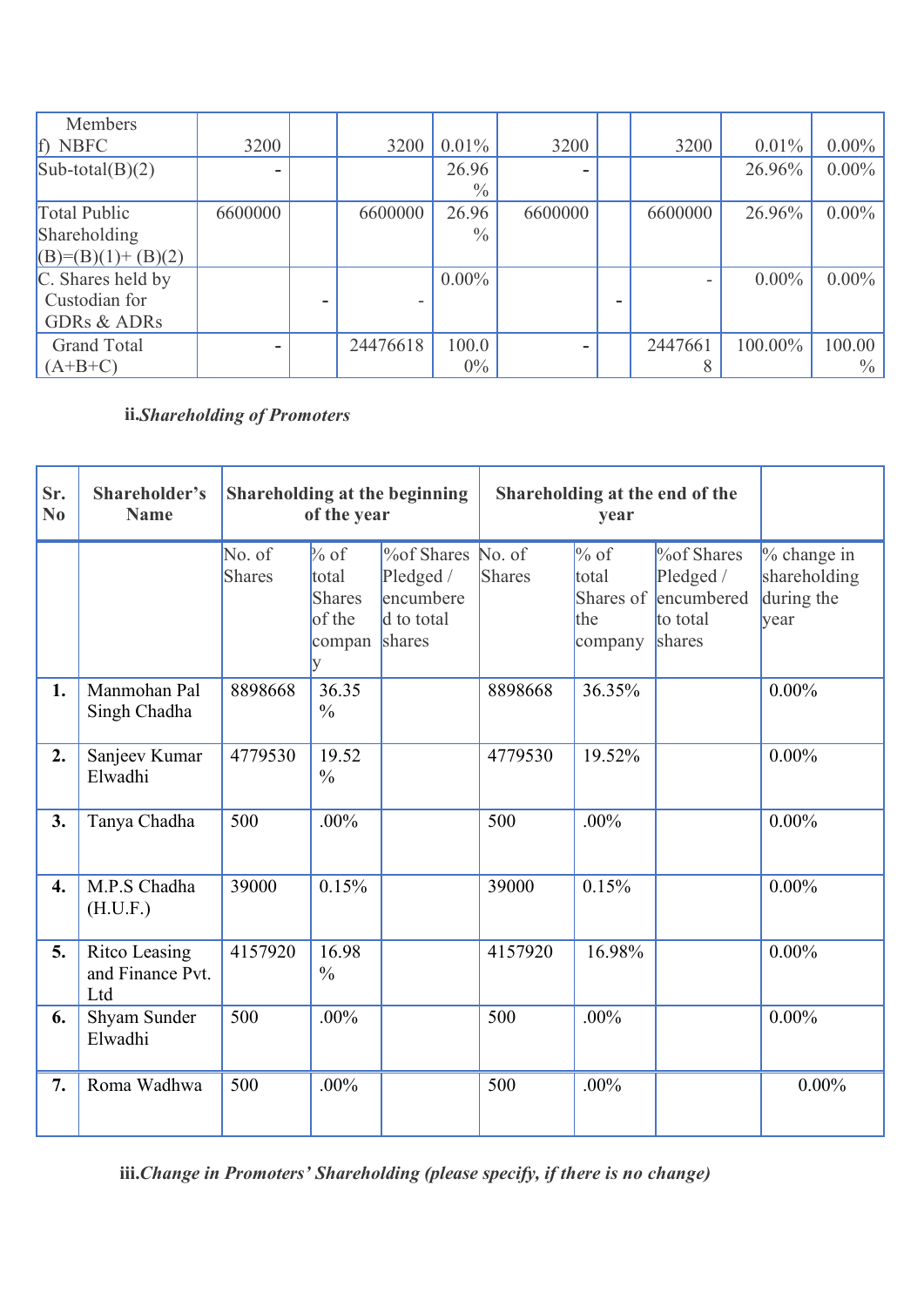| Members                |         |          |               |         |         |          |          |
|------------------------|---------|----------|---------------|---------|---------|----------|----------|
| f) NBFC                | 3200    | 3200     | $0.01\%$      | 3200    | 3200    | $0.01\%$ | $0.00\%$ |
| $Sub-total(B)(2)$      |         |          | 26.96         |         |         | 26.96%   | $0.00\%$ |
|                        |         |          | $\frac{0}{0}$ |         |         |          |          |
| Total Public           | 6600000 | 6600000  | 26.96         | 6600000 | 6600000 | 26.96%   | $0.00\%$ |
| Shareholding           |         |          | $\frac{0}{0}$ |         |         |          |          |
| $(B)=(B)(1)+(B)(2)$    |         |          |               |         |         |          |          |
| C. Shares held by      |         |          | $0.00\%$      |         |         | $0.00\%$ | $0.00\%$ |
| Custodian for          |         |          |               |         |         |          |          |
| <b>GDRs &amp; ADRs</b> |         |          |               |         |         |          |          |
| <b>Grand Total</b>     |         | 24476618 | 100.0         |         | 2447661 | 100.00%  | 100.00   |
| $(A+B+C)$              |         |          | $0\%$         |         |         |          | $\%$     |

### **ii.***Shareholding of Promoters*

| Sr.<br>N <sub>0</sub> | Shareholder's<br><b>Name</b>             |                         | Shareholding at the beginning<br>of the year          |                                                                     |                  | Shareholding at the end of the<br>year          |                                                                 |                                                     |  |
|-----------------------|------------------------------------------|-------------------------|-------------------------------------------------------|---------------------------------------------------------------------|------------------|-------------------------------------------------|-----------------------------------------------------------------|-----------------------------------------------------|--|
|                       |                                          | No. of<br><b>Shares</b> | $\%$ of<br>total<br><b>Shares</b><br>of the<br>compan | <b>%of Shares</b><br>Pledged /<br>encumbere<br>d to total<br>shares | No. of<br>Shares | $\%$ of<br>total<br>Shares of<br>the<br>company | $\%$ of Shares<br>Pledged /<br>encumbered<br>to total<br>shares | $%$ change in<br>shareholding<br>during the<br>year |  |
| 1.                    | Manmohan Pal<br>Singh Chadha             | 8898668                 | 36.35<br>$\frac{0}{0}$                                |                                                                     | 8898668          | 36.35%                                          |                                                                 | $0.00\%$                                            |  |
| 2.                    | Sanjeev Kumar<br>Elwadhi                 | 4779530                 | 19.52<br>$\frac{0}{0}$                                |                                                                     | 4779530          | 19.52%                                          |                                                                 | $0.00\%$                                            |  |
| 3.                    | Tanya Chadha                             | 500                     | $.00\%$                                               |                                                                     | 500              | .00%                                            |                                                                 | $0.00\%$                                            |  |
| 4.                    | M.P.S Chadha<br>(H.U.F.)                 | 39000                   | 0.15%                                                 |                                                                     | 39000            | 0.15%                                           |                                                                 | $0.00\%$                                            |  |
| 5.                    | Ritco Leasing<br>and Finance Pvt.<br>Ltd | 4157920                 | 16.98<br>$\frac{0}{0}$                                |                                                                     | 4157920          | 16.98%                                          |                                                                 | $0.00\%$                                            |  |
| 6.                    | Shyam Sunder<br>Elwadhi                  | 500                     | $.00\%$                                               |                                                                     | 500              | .00%                                            |                                                                 | $0.00\%$                                            |  |
| 7.                    | Roma Wadhwa                              | 500                     | $.00\%$                                               |                                                                     | 500              | .00%                                            |                                                                 | $0.00\%$                                            |  |

**iii.***Change in Promoters' Shareholding (please specify, if there is no change)*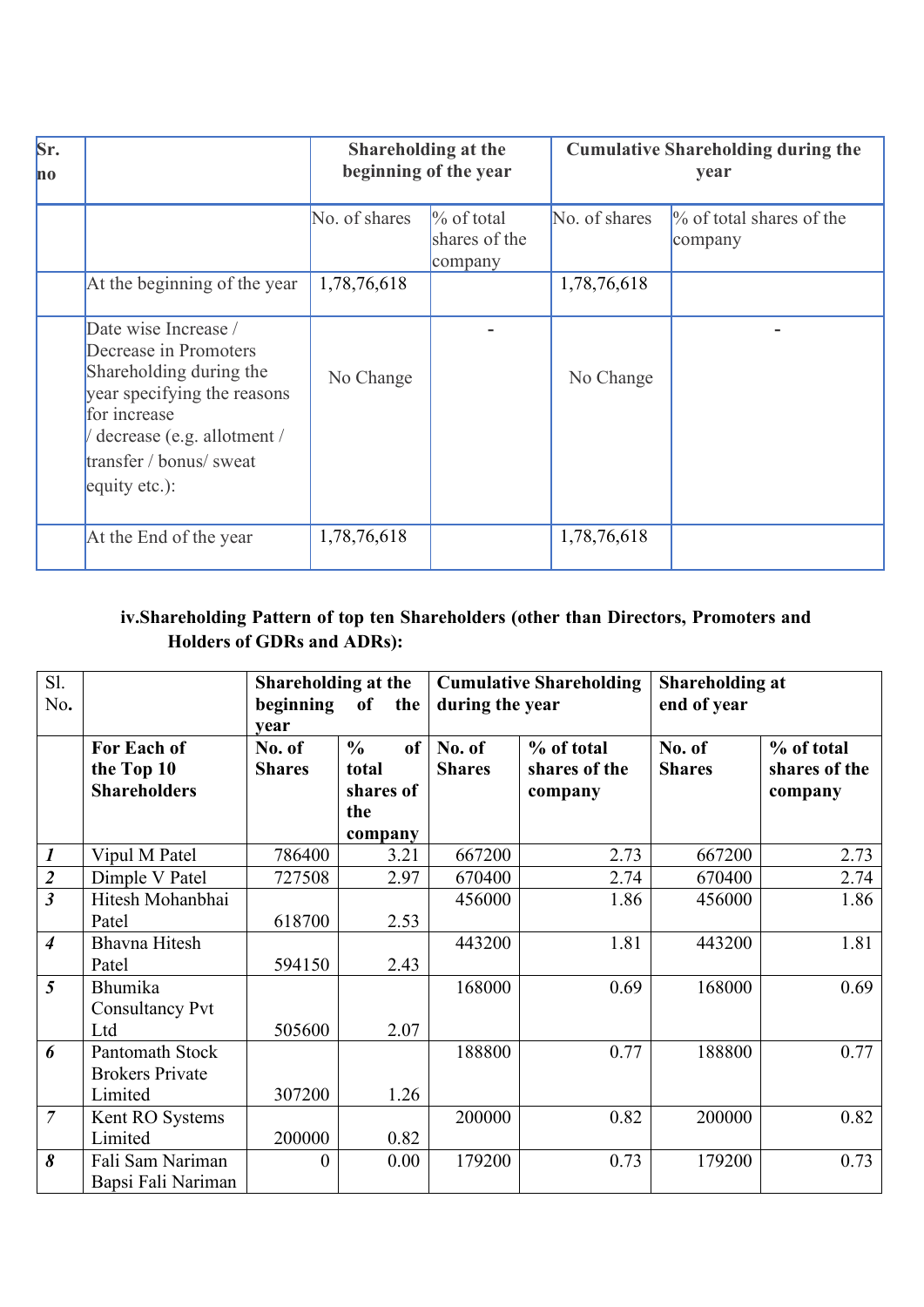| Sr.<br>$\mathbf{no}$ |                                                                                                                                                                                                   | Shareholding at the<br>beginning of the year |                                           | <b>Cumulative Shareholding during the</b><br>year |                                        |  |
|----------------------|---------------------------------------------------------------------------------------------------------------------------------------------------------------------------------------------------|----------------------------------------------|-------------------------------------------|---------------------------------------------------|----------------------------------------|--|
|                      |                                                                                                                                                                                                   | No. of shares                                | $\%$ of total<br>shares of the<br>company | No. of shares                                     | $\%$ of total shares of the<br>company |  |
|                      | At the beginning of the year                                                                                                                                                                      | 1,78,76,618                                  |                                           | 1,78,76,618                                       |                                        |  |
|                      | Date wise Increase /<br>Decrease in Promoters<br>Shareholding during the<br>year specifying the reasons<br>for increase<br>decrease (e.g. allotment /<br>transfer / bonus/ sweat<br>equity etc.): | No Change                                    |                                           | No Change                                         |                                        |  |
|                      | At the End of the year                                                                                                                                                                            | 1,78,76,618                                  |                                           | 1,78,76,618                                       |                                        |  |

# **iv.Shareholding Pattern of top ten Shareholders (other than Directors, Promoters and Holders of GDRs and ADRs):**

| S1.                     |                        | Shareholding at the |                     |                 | <b>Cumulative Shareholding</b> | <b>Shareholding at</b> |               |
|-------------------------|------------------------|---------------------|---------------------|-----------------|--------------------------------|------------------------|---------------|
| No.                     |                        | beginning           | of<br>the           | during the year |                                | end of year            |               |
|                         |                        | vear                |                     |                 |                                |                        |               |
|                         | For Each of            | No. of              | of<br>$\frac{6}{9}$ | No. of          | % of total                     | No. of                 | % of total    |
|                         | the Top 10             | <b>Shares</b>       | total               | <b>Shares</b>   | shares of the                  | <b>Shares</b>          | shares of the |
|                         | <b>Shareholders</b>    |                     | shares of           |                 | company                        |                        | company       |
|                         |                        |                     | the                 |                 |                                |                        |               |
|                         |                        |                     | company             |                 |                                |                        |               |
| $\boldsymbol{l}$        | Vipul M Patel          | 786400              | 3.21                | 667200          | 2.73                           | 667200                 | 2.73          |
| $\overline{2}$          | Dimple V Patel         | 727508              | 2.97                | 670400          | 2.74                           | 670400                 | 2.74          |
| $\overline{\mathbf{3}}$ | Hitesh Mohanbhai       |                     |                     | 456000          | 1.86                           | 456000                 | 1.86          |
|                         | Patel                  | 618700              | 2.53                |                 |                                |                        |               |
| $\overline{4}$          | <b>Bhavna Hitesh</b>   |                     |                     | 443200          | 1.81                           | 443200                 | 1.81          |
|                         | Patel                  | 594150              | 2.43                |                 |                                |                        |               |
| 5                       | Bhumika                |                     |                     | 168000          | 0.69                           | 168000                 | 0.69          |
|                         | <b>Consultancy Pvt</b> |                     |                     |                 |                                |                        |               |
|                         | Ltd                    | 505600              | 2.07                |                 |                                |                        |               |
| 6                       | Pantomath Stock        |                     |                     | 188800          | 0.77                           | 188800                 | 0.77          |
|                         | <b>Brokers Private</b> |                     |                     |                 |                                |                        |               |
|                         | Limited                | 307200              | 1.26                |                 |                                |                        |               |
| $\overline{7}$          | Kent RO Systems        |                     |                     | 200000          | 0.82                           | 200000                 | 0.82          |
|                         | Limited                | 200000              | 0.82                |                 |                                |                        |               |
| 8                       | Fali Sam Nariman       | $\boldsymbol{0}$    | 0.00                | 179200          | 0.73                           | 179200                 | 0.73          |
|                         | Bapsi Fali Nariman     |                     |                     |                 |                                |                        |               |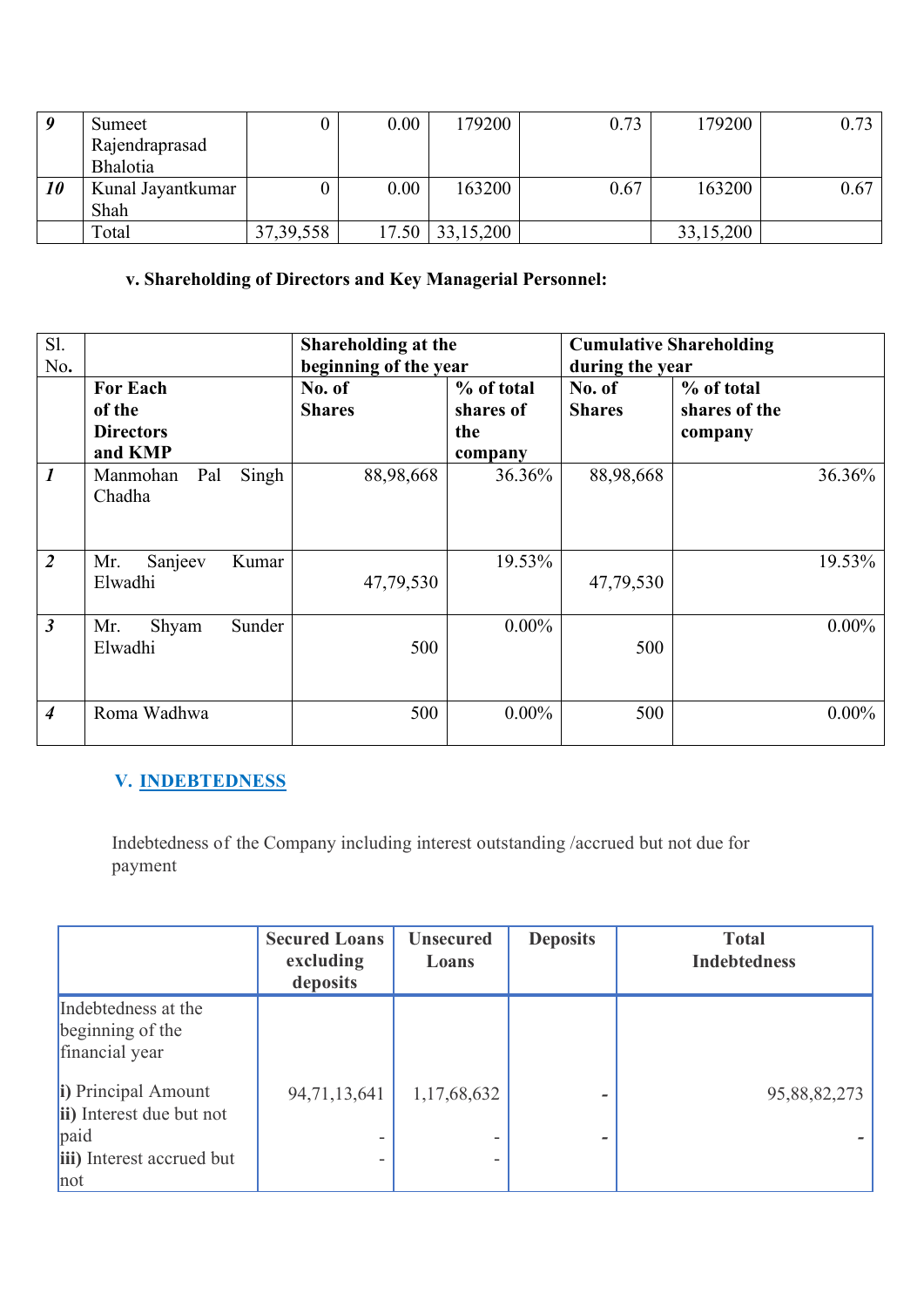|    | Sumeet            |             | 0.00 | 179200                 | 0.73 | 179200    | 0.73 |
|----|-------------------|-------------|------|------------------------|------|-----------|------|
|    | Rajendraprasad    |             |      |                        |      |           |      |
|    | Bhalotia          |             |      |                        |      |           |      |
| 10 | Kunal Jayantkumar |             | 0.00 | 163200                 | 0.67 | 163200    | 0.67 |
|    | Shah              |             |      |                        |      |           |      |
|    | Total             | 37, 39, 558 |      | $17.50 \mid 33,15,200$ |      | 33,15,200 |      |

### **v. Shareholding of Directors and Key Managerial Personnel:**

| Sl.<br>No.       |                                                          | Shareholding at the<br>beginning of the year |                                           | during the year         | <b>Cumulative Shareholding</b>         |
|------------------|----------------------------------------------------------|----------------------------------------------|-------------------------------------------|-------------------------|----------------------------------------|
|                  | <b>For Each</b><br>of the<br><b>Directors</b><br>and KMP | No. of<br><b>Shares</b>                      | % of total<br>shares of<br>the<br>company | No. of<br><b>Shares</b> | % of total<br>shares of the<br>company |
| $\boldsymbol{l}$ | Singh<br>Pal<br>Manmohan<br>Chadha                       | 88,98,668                                    | 36.36%                                    | 88,98,668               | 36.36%                                 |
| 2                | Sanjeev<br>Mr.<br>Kumar<br>Elwadhi                       | 47,79,530                                    | 19.53%                                    | 47,79,530               | 19.53%                                 |
| $\mathfrak{Z}$   | Sunder<br>Shyam<br>Mr.<br>Elwadhi                        | 500                                          | $0.00\%$                                  | 500                     | $0.00\%$                               |
| $\boldsymbol{4}$ | Roma Wadhwa                                              | 500                                          | $0.00\%$                                  | 500                     | $0.00\%$                               |

# **V. INDEBTEDNESS**

Indebtedness of the Company including interest outstanding /accrued but not due for payment

|                                                                                             | <b>Secured Loans</b><br>excluding<br>deposits | <b>Unsecured</b><br>Loans | <b>Deposits</b> | <b>Total</b><br><b>Indebtedness</b> |
|---------------------------------------------------------------------------------------------|-----------------------------------------------|---------------------------|-----------------|-------------------------------------|
| Indebtedness at the<br>beginning of the<br>financial year                                   |                                               |                           |                 |                                     |
| i) Principal Amount<br>ii) Interest due but not<br>paid<br>iii) Interest accrued but<br>not | 94,71,13,641                                  | 1,17,68,632               |                 | 95,88,82,273                        |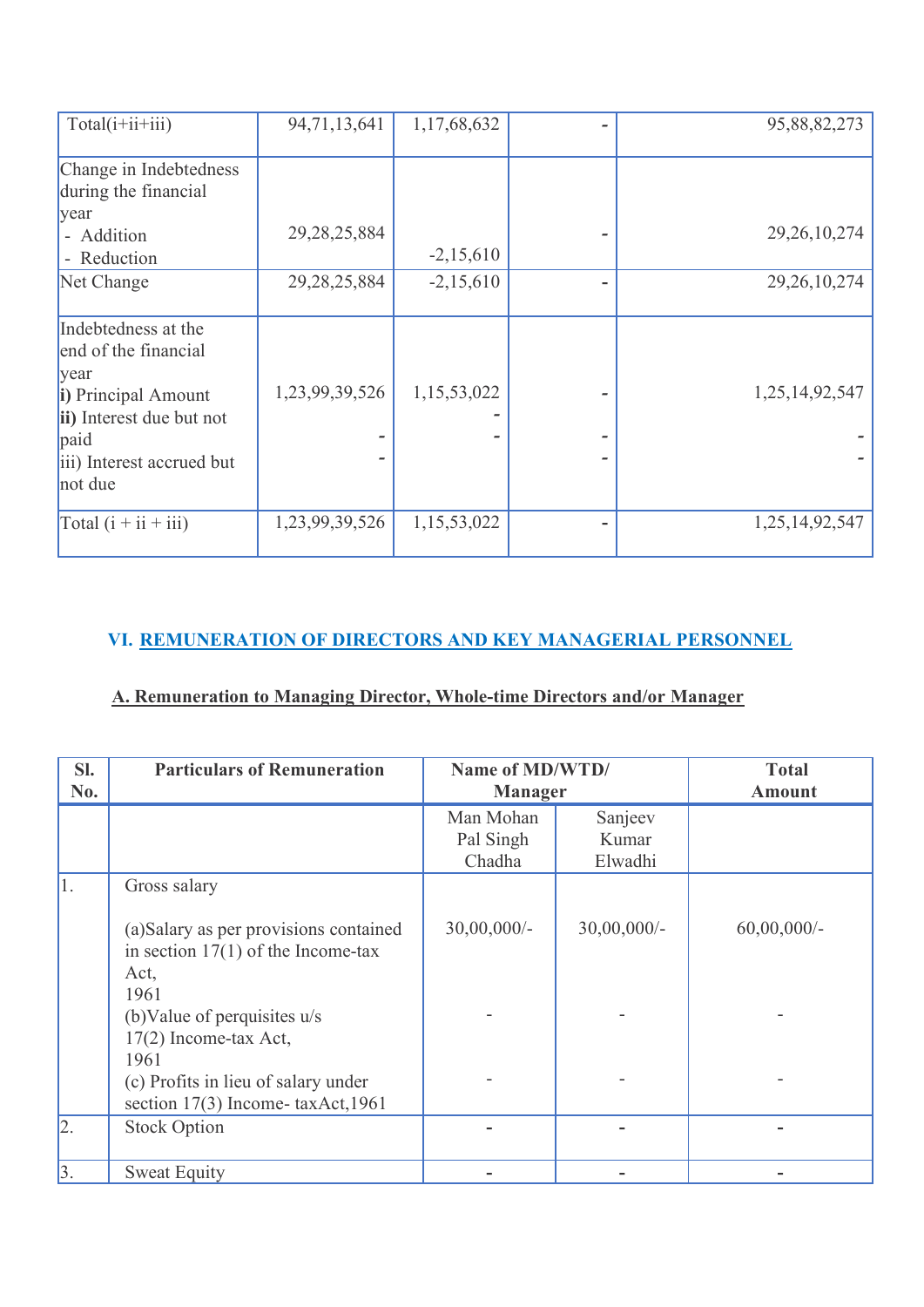| Total(i+ii+iii)           | 94,71,13,641    | 1,17,68,632 |   | 95,88,82,273    |
|---------------------------|-----------------|-------------|---|-----------------|
|                           |                 |             |   |                 |
| Change in Indebtedness    |                 |             |   |                 |
| during the financial      |                 |             |   |                 |
| year                      |                 |             |   |                 |
| - Addition                | 29, 28, 25, 884 |             |   | 29, 26, 10, 274 |
| - Reduction               |                 | $-2,15,610$ |   |                 |
| Net Change                | 29, 28, 25, 884 | $-2,15,610$ | ۰ | 29, 26, 10, 274 |
|                           |                 |             |   |                 |
| Indebtedness at the       |                 |             |   |                 |
| end of the financial      |                 |             |   |                 |
| vear                      |                 |             |   |                 |
| i) Principal Amount       | 1,23,99,39,526  | 1,15,53,022 |   | 1,25,14,92,547  |
| ii) Interest due but not  |                 |             |   |                 |
| paid                      |                 |             |   |                 |
| iii) Interest accrued but |                 |             |   |                 |
| not due                   |                 |             |   |                 |
| Total $(i + ii + iii)$    | 1,23,99,39,526  | 1,15,53,022 |   | 1,25,14,92,547  |
|                           |                 |             |   |                 |

# **VI. REMUNERATION OF DIRECTORS AND KEY MANAGERIAL PERSONNEL**

# **A. Remuneration to Managing Director, Whole-time Directors and/or Manager**

| SI.<br>No. | <b>Particulars of Remuneration</b>                                                                             | Name of MD/WTD/<br><b>Manager</b> |                             | <b>Total</b><br><b>Amount</b> |
|------------|----------------------------------------------------------------------------------------------------------------|-----------------------------------|-----------------------------|-------------------------------|
|            |                                                                                                                | Man Mohan<br>Pal Singh<br>Chadha  | Sanjeev<br>Kumar<br>Elwadhi |                               |
| 1.         | Gross salary<br>(a)Salary as per provisions contained<br>in section $17(1)$ of the Income-tax<br>Act,          | $30,00,000/$ -                    | 30,00,000/-                 | $60,00,000/$ -                |
|            | 1961<br>(b) Value of perquisites $u/s$<br>17(2) Income-tax Act,<br>1961<br>(c) Profits in lieu of salary under |                                   |                             |                               |
| 2.         | section 17(3) Income-taxAct, 1961<br><b>Stock Option</b>                                                       |                                   |                             |                               |
| 3.         | <b>Sweat Equity</b>                                                                                            |                                   |                             |                               |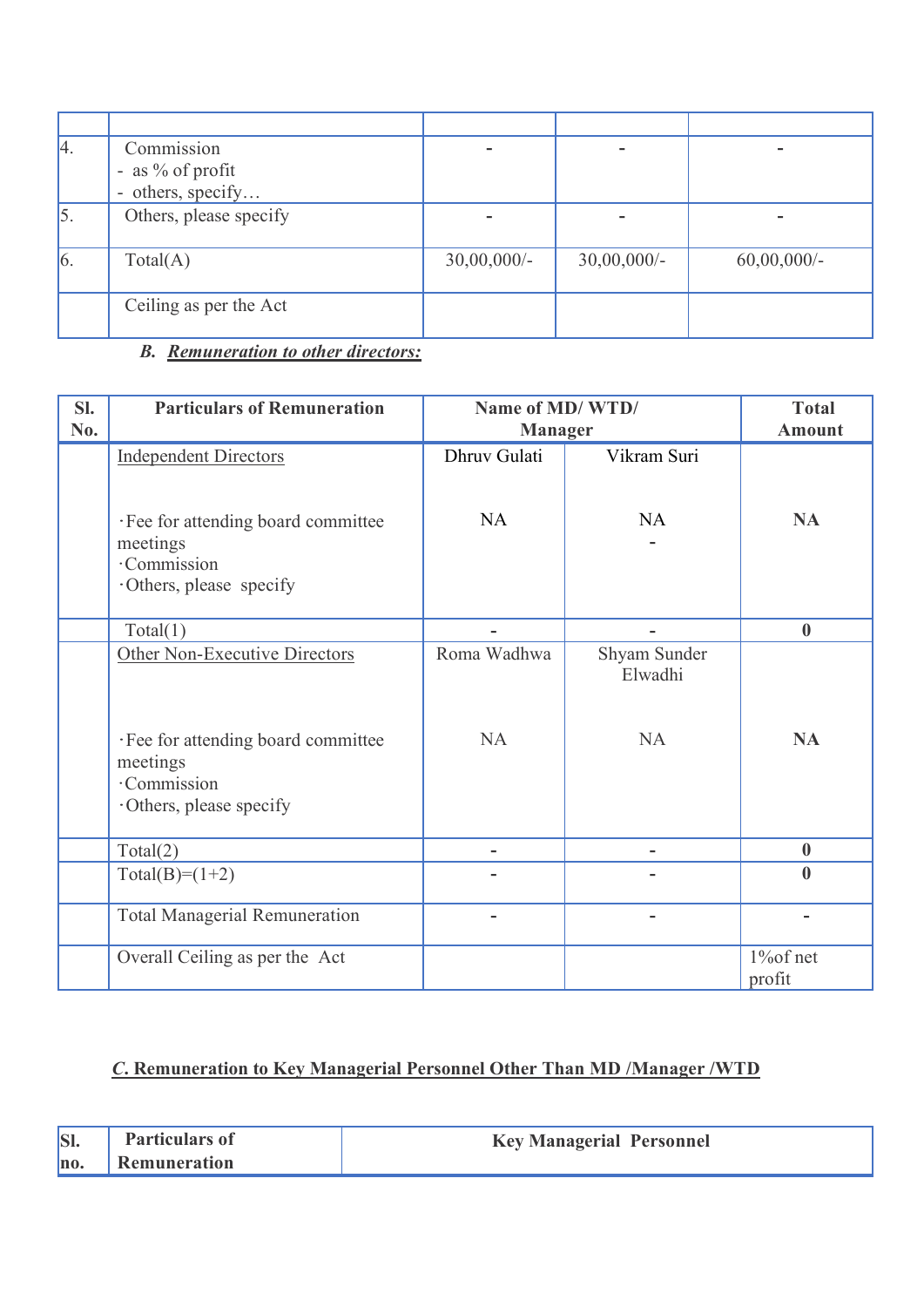| 4.         | Commission             |                |                |                |
|------------|------------------------|----------------|----------------|----------------|
|            | - as % of profit       |                |                |                |
|            | - others, specify      |                |                |                |
| 5.         | Others, please specify |                |                |                |
| $\vert 6.$ | Total(A)               | $30,00,000/$ - | $30,00,000/$ - | $60,00,000/$ - |
|            | Ceiling as per the Act |                |                |                |

# *B. Remuneration to other directors:*

| SI.<br>No. | <b>Particulars of Remuneration</b>                                                        | Name of MD/WTD/<br><b>Manager</b> | <b>Total</b><br><b>Amount</b>        |                     |
|------------|-------------------------------------------------------------------------------------------|-----------------------------------|--------------------------------------|---------------------|
|            | <b>Independent Directors</b>                                                              | Dhruv Gulati                      | Vikram Suri                          |                     |
|            | · Fee for attending board committee<br>meetings<br>·Commission<br>·Others, please specify | <b>NA</b>                         | NA                                   | <b>NA</b>           |
|            | Total(1)                                                                                  |                                   |                                      | $\boldsymbol{0}$    |
|            | Other Non-Executive Directors<br>· Fee for attending board committee<br>meetings          | Roma Wadhwa<br><b>NA</b>          | Shyam Sunder<br>Elwadhi<br><b>NA</b> | <b>NA</b>           |
|            | ·Commission<br>Others, please specify                                                     |                                   |                                      |                     |
|            | Total(2)                                                                                  |                                   |                                      | $\boldsymbol{0}$    |
|            | $Total(B)=(1+2)$                                                                          |                                   |                                      | $\boldsymbol{0}$    |
|            | <b>Total Managerial Remuneration</b>                                                      |                                   | $\overline{\phantom{0}}$             |                     |
|            | Overall Ceiling as per the Act                                                            |                                   |                                      | 1% of net<br>profit |

# *C***. Remuneration to Key Managerial Personnel Other Than MD /Manager /WTD**

| SI. | <b>Particulars of</b> | <b>Key Managerial Personnel</b> |
|-----|-----------------------|---------------------------------|
| no. | <b>Remuneration</b>   |                                 |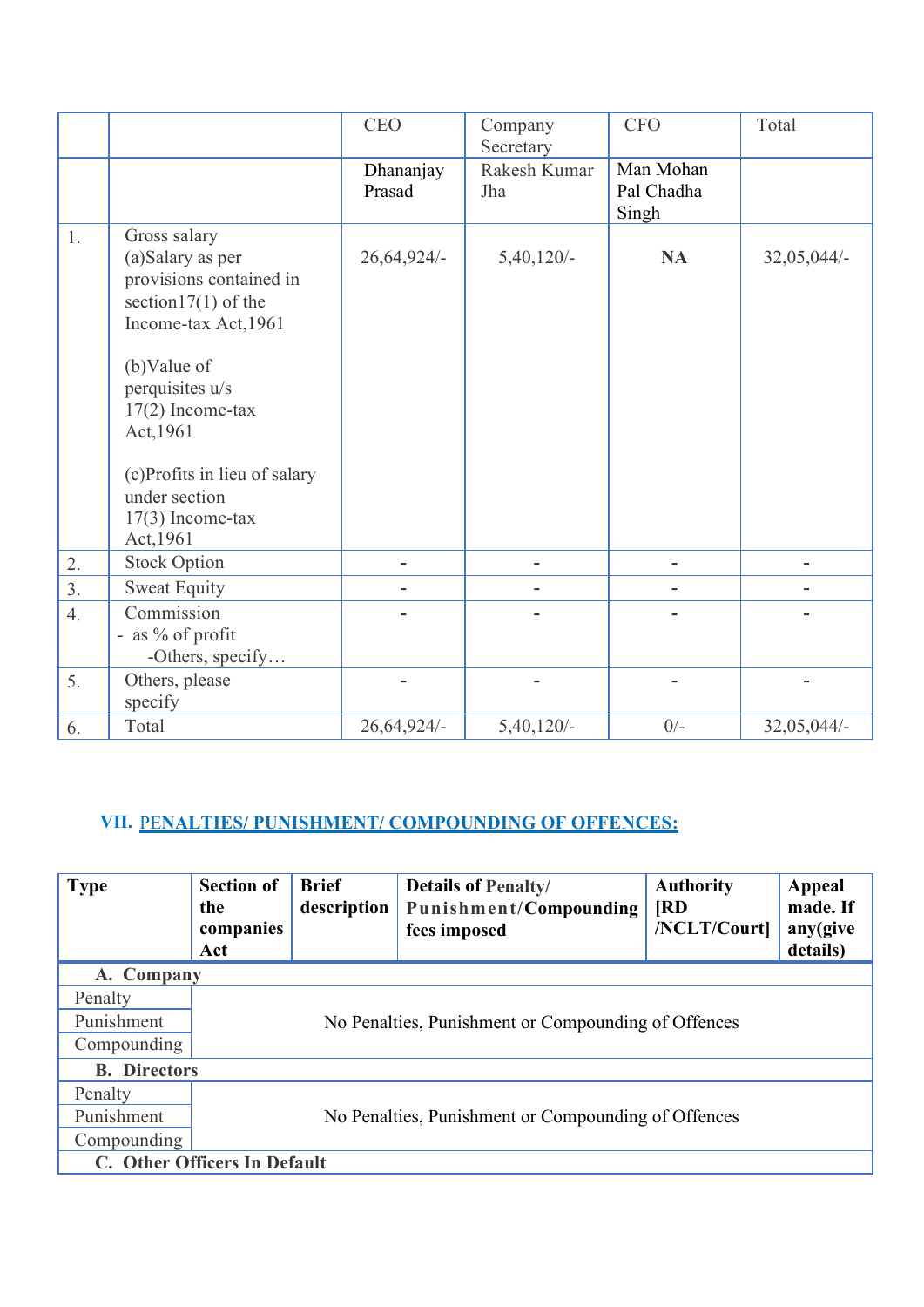|    |                                                                                                                                                                                                                                                                        | <b>CEO</b>          | Company<br>Secretary | <b>CFO</b>                       | Total       |
|----|------------------------------------------------------------------------------------------------------------------------------------------------------------------------------------------------------------------------------------------------------------------------|---------------------|----------------------|----------------------------------|-------------|
|    |                                                                                                                                                                                                                                                                        | Dhananjay<br>Prasad | Rakesh Kumar<br>Jha  | Man Mohan<br>Pal Chadha<br>Singh |             |
| 1. | Gross salary<br>(a)Salary as per<br>provisions contained in<br>section $17(1)$ of the<br>Income-tax Act, 1961<br>(b)Value of<br>perquisites u/s<br>$17(2)$ Income-tax<br>Act, 1961<br>(c)Profits in lieu of salary<br>under section<br>$17(3)$ Income-tax<br>Act, 1961 | 26,64,924/-         | $5,40,120/-$         | <b>NA</b>                        | 32,05,044/- |
| 2. | <b>Stock Option</b>                                                                                                                                                                                                                                                    |                     |                      | -                                |             |
| 3. | <b>Sweat Equity</b>                                                                                                                                                                                                                                                    |                     |                      |                                  |             |
| 4. | Commission<br>- as % of profit<br>-Others, specify                                                                                                                                                                                                                     |                     |                      |                                  |             |
| 5. | Others, please<br>specify                                                                                                                                                                                                                                              |                     |                      |                                  |             |
| 6. | Total                                                                                                                                                                                                                                                                  | 26,64,924/-         | $5,40,120/-$         | $0/-$                            | 32,05,044/- |

# **VII.** PE**NALTIES/ PUNISHMENT/ COMPOUNDING OF OFFENCES:**

| <b>Type</b>         | <b>Section of</b><br>the<br>companies<br>Act        | <b>Brief</b><br>description | <b>Details of Penalty/</b><br>Punishment/Compounding<br>fees imposed | <b>Authority</b><br>$\mathbf{R}$<br>/NCLT/Court] | Appeal<br>made. If<br>any(give<br>details) |  |
|---------------------|-----------------------------------------------------|-----------------------------|----------------------------------------------------------------------|--------------------------------------------------|--------------------------------------------|--|
| A. Company          |                                                     |                             |                                                                      |                                                  |                                            |  |
| Penalty             |                                                     |                             |                                                                      |                                                  |                                            |  |
| Punishment          |                                                     |                             | No Penalties, Punishment or Compounding of Offences                  |                                                  |                                            |  |
| Compounding         |                                                     |                             |                                                                      |                                                  |                                            |  |
| <b>B.</b> Directors |                                                     |                             |                                                                      |                                                  |                                            |  |
| Penalty             |                                                     |                             |                                                                      |                                                  |                                            |  |
| Punishment          | No Penalties, Punishment or Compounding of Offences |                             |                                                                      |                                                  |                                            |  |
| Compounding         |                                                     |                             |                                                                      |                                                  |                                            |  |
|                     | C. Other Officers In Default                        |                             |                                                                      |                                                  |                                            |  |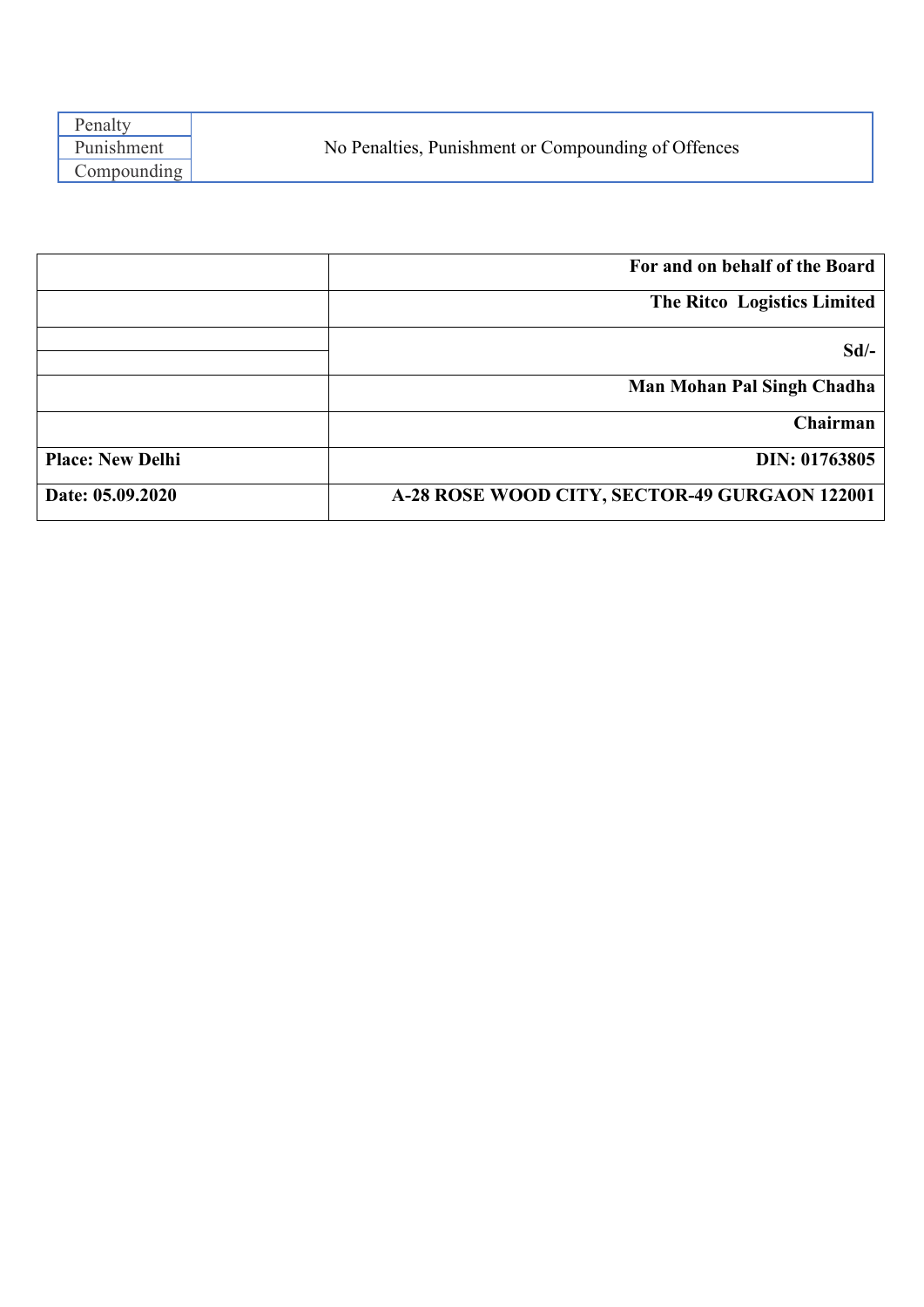| Penalty     |                                                     |
|-------------|-----------------------------------------------------|
| Punishment  | No Penalties, Punishment or Compounding of Offences |
| Compounding |                                                     |
|             |                                                     |

|                         | For and on behalf of the Board                |
|-------------------------|-----------------------------------------------|
|                         | The Ritco Logistics Limited                   |
|                         | $Sd$ /-                                       |
|                         | Man Mohan Pal Singh Chadha                    |
|                         | Chairman                                      |
| <b>Place: New Delhi</b> | DIN: 01763805                                 |
| Date: 05.09.2020        | A-28 ROSE WOOD CITY, SECTOR-49 GURGAON 122001 |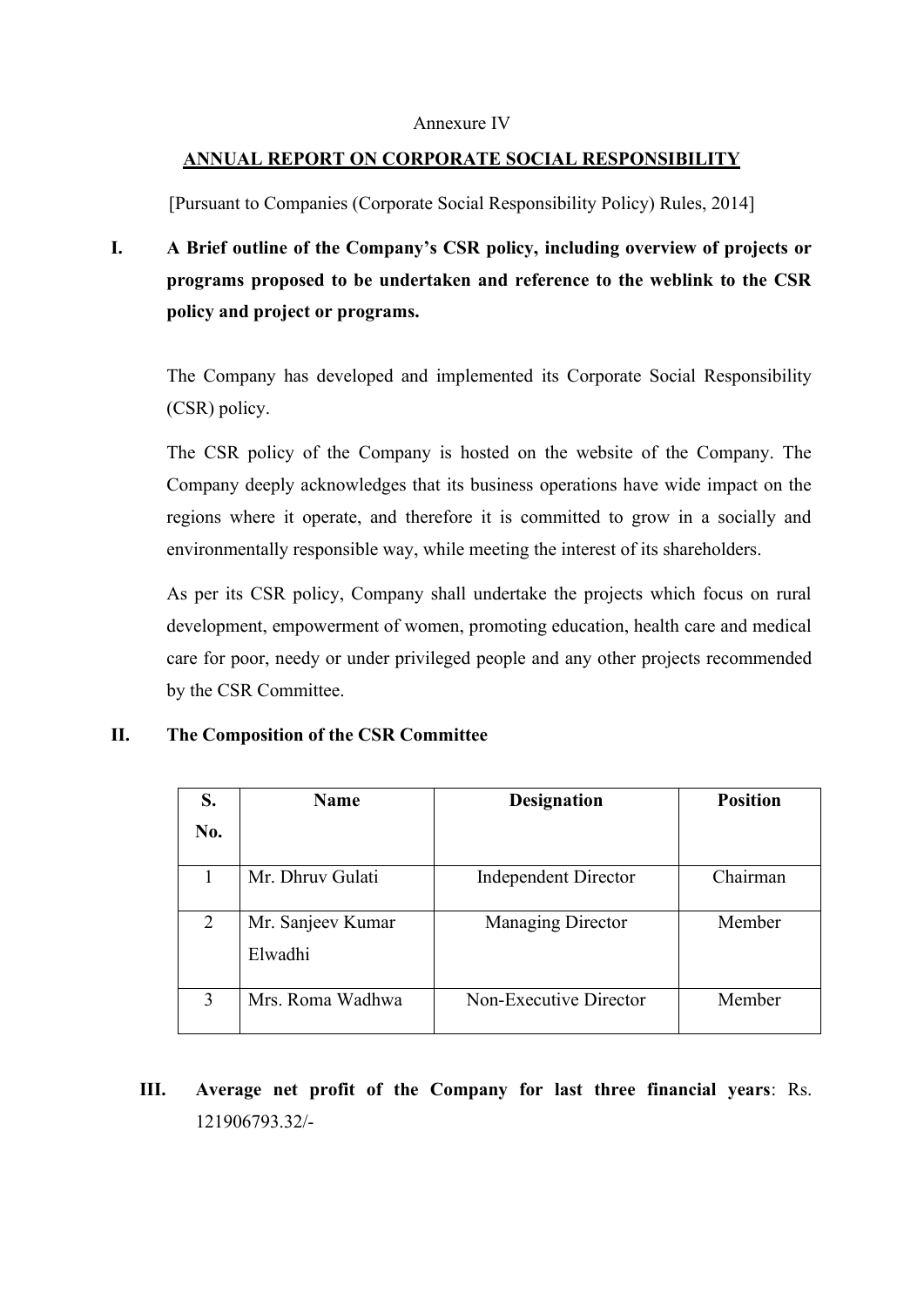#### Annexure IV

#### **ANNUAL REPORT ON CORPORATE SOCIAL RESPONSIBILITY**

[Pursuant to Companies (Corporate Social Responsibility Policy) Rules, 2014]

**I. A Brief outline of the Company's CSR policy, including overview of projects or programs proposed to be undertaken and reference to the weblink to the CSR policy and project or programs.**

The Company has developed and implemented its Corporate Social Responsibility (CSR) policy.

The CSR policy of the Company is hosted on the website of the Company. The Company deeply acknowledges that its business operations have wide impact on the regions where it operate, and therefore it is committed to grow in a socially and environmentally responsible way, while meeting the interest of its shareholders.

As per its CSR policy, Company shall undertake the projects which focus on rural development, empowerment of women, promoting education, health care and medical care for poor, needy or under privileged people and any other projects recommended by the CSR Committee.

#### **II. The Composition of the CSR Committee**

| S.  | Name                         | <b>Designation</b>          | <b>Position</b> |
|-----|------------------------------|-----------------------------|-----------------|
| No. |                              |                             |                 |
|     | Mr. Dhruy Gulati             | <b>Independent Director</b> | Chairman        |
| 2   | Mr. Sanjeev Kumar<br>Elwadhi | <b>Managing Director</b>    | Member          |
| 3   | Mrs. Roma Wadhwa             | Non-Executive Director      | Member          |

**III. Average net profit of the Company for last three financial years**: Rs. 121906793.32/-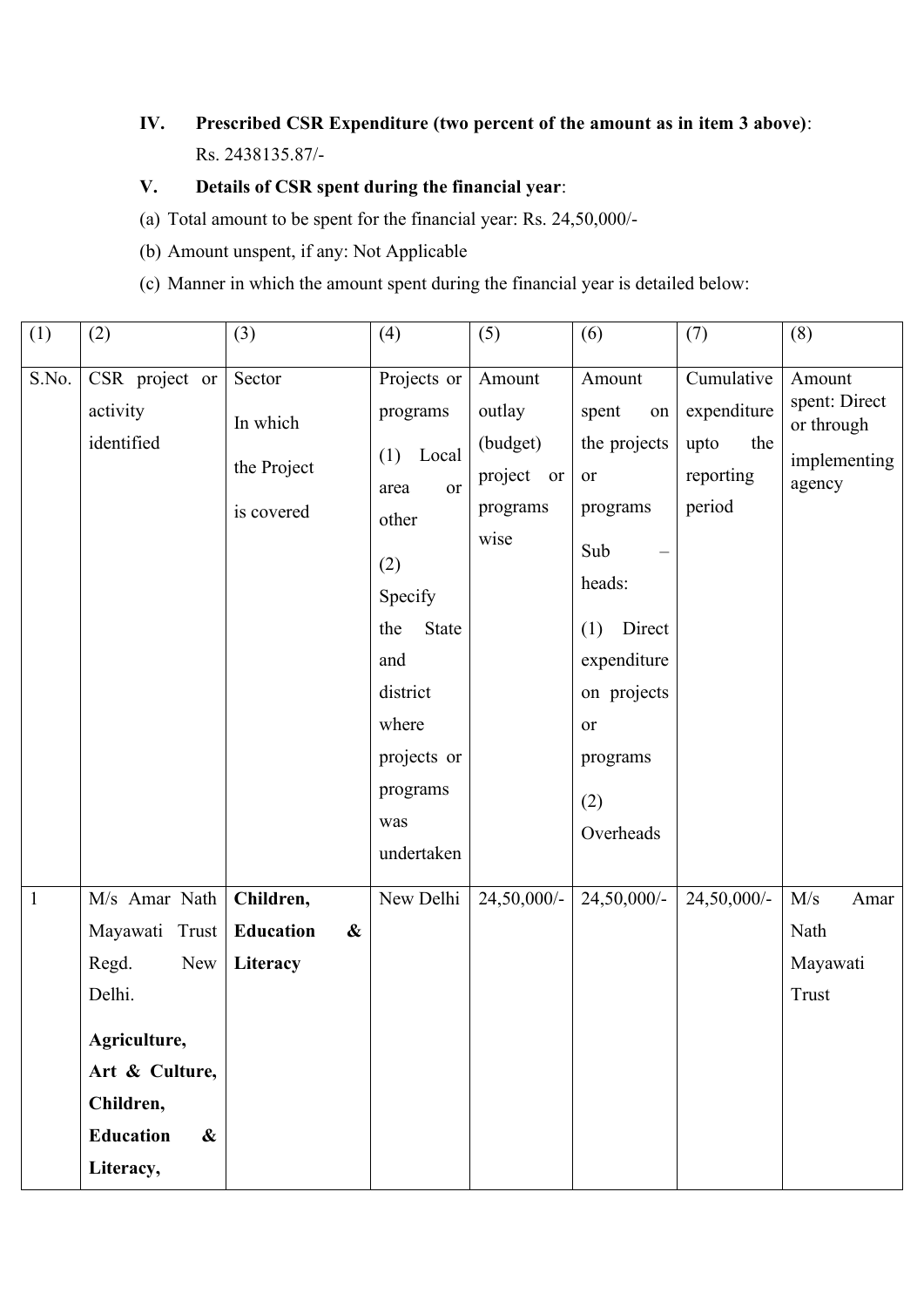# **IV. Prescribed CSR Expenditure (two percent of the amount as in item 3 above)**: Rs. 2438135.87/-

# **V. Details of CSR spent during the financial year**:

- (a) Total amount to be spent for the financial year: Rs. 24,50,000/-
- (b) Amount unspent, if any: Not Applicable
- (c) Manner in which the amount spent during the financial year is detailed below:

| (1)            | (2)                                                                                                                                                            | (3)                                                            | (4)                                                                                                                                                                                | (5)                                                               | (6)                                                                                                                                                           | (7)                                                             | (8)                                                             |
|----------------|----------------------------------------------------------------------------------------------------------------------------------------------------------------|----------------------------------------------------------------|------------------------------------------------------------------------------------------------------------------------------------------------------------------------------------|-------------------------------------------------------------------|---------------------------------------------------------------------------------------------------------------------------------------------------------------|-----------------------------------------------------------------|-----------------------------------------------------------------|
| S.No.          | CSR project or<br>activity<br>identified                                                                                                                       | Sector<br>In which<br>the Project<br>is covered                | Projects or<br>programs<br>$(1)$ Local<br>or<br>area<br>other<br>(2)<br>Specify<br><b>State</b><br>the<br>and<br>district<br>where<br>projects or<br>programs<br>was<br>undertaken | Amount<br>outlay<br>(budget)<br>project<br>or<br>programs<br>wise | Amount<br>spent<br>on<br>the projects<br>or<br>programs<br>Sub<br>heads:<br>Direct<br>(1)<br>expenditure<br>on projects<br>or<br>programs<br>(2)<br>Overheads | Cumulative<br>expenditure<br>upto<br>the<br>reporting<br>period | Amount<br>spent: Direct<br>or through<br>implementing<br>agency |
| $\overline{1}$ | M/s Amar Nath<br>Mayawati Trust<br>Regd.<br>New<br>Delhi.<br>Agriculture,<br>Art & Culture,<br>Children,<br><b>Education</b><br>$\boldsymbol{\&}$<br>Literacy, | Children,<br><b>Education</b><br>$\boldsymbol{\&}$<br>Literacy | New Delhi                                                                                                                                                                          | 24,50,000/-                                                       | 24,50,000/-                                                                                                                                                   | 24,50,000/-                                                     | M/s<br>Amar<br>Nath<br>Mayawati<br><b>Trust</b>                 |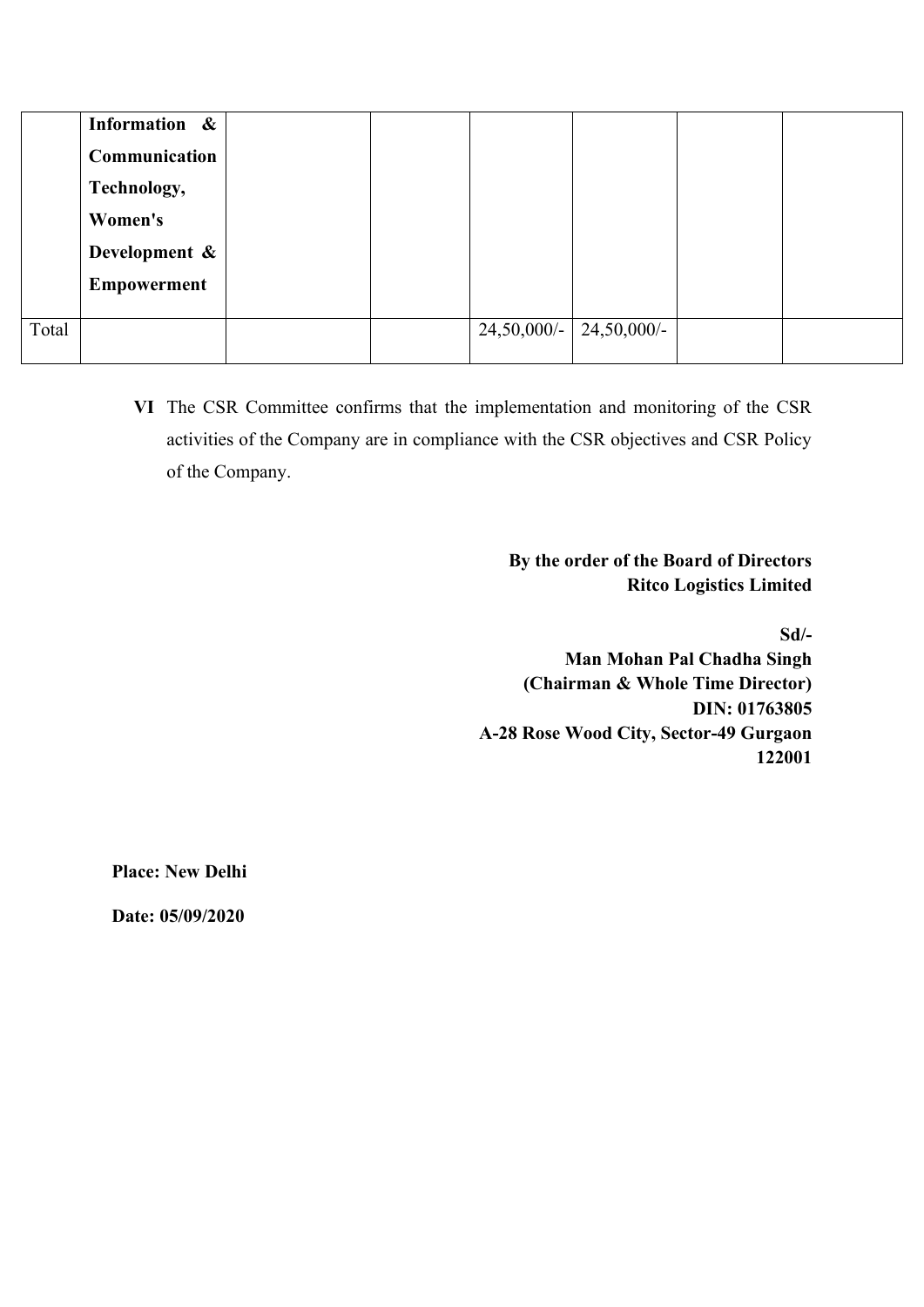|       | Information &      |  |                |             |  |
|-------|--------------------|--|----------------|-------------|--|
|       | Communication      |  |                |             |  |
|       | Technology,        |  |                |             |  |
|       | Women's            |  |                |             |  |
|       | Development &      |  |                |             |  |
|       | <b>Empowerment</b> |  |                |             |  |
|       |                    |  |                |             |  |
| Total |                    |  | $24,50,000/$ - | 24,50,000/- |  |
|       |                    |  |                |             |  |

**VI** The CSR Committee confirms that the implementation and monitoring of the CSR activities of the Company are in compliance with the CSR objectives and CSR Policy of the Company.

> **By the order of the Board of Directors Ritco Logistics Limited**

> > **Sd/-**

 **Man Mohan Pal Chadha Singh (Chairman & Whole Time Director) DIN: 01763805 A-28 Rose Wood City, Sector-49 Gurgaon 122001**

**Place: New Delhi**

**Date: 05/09/2020**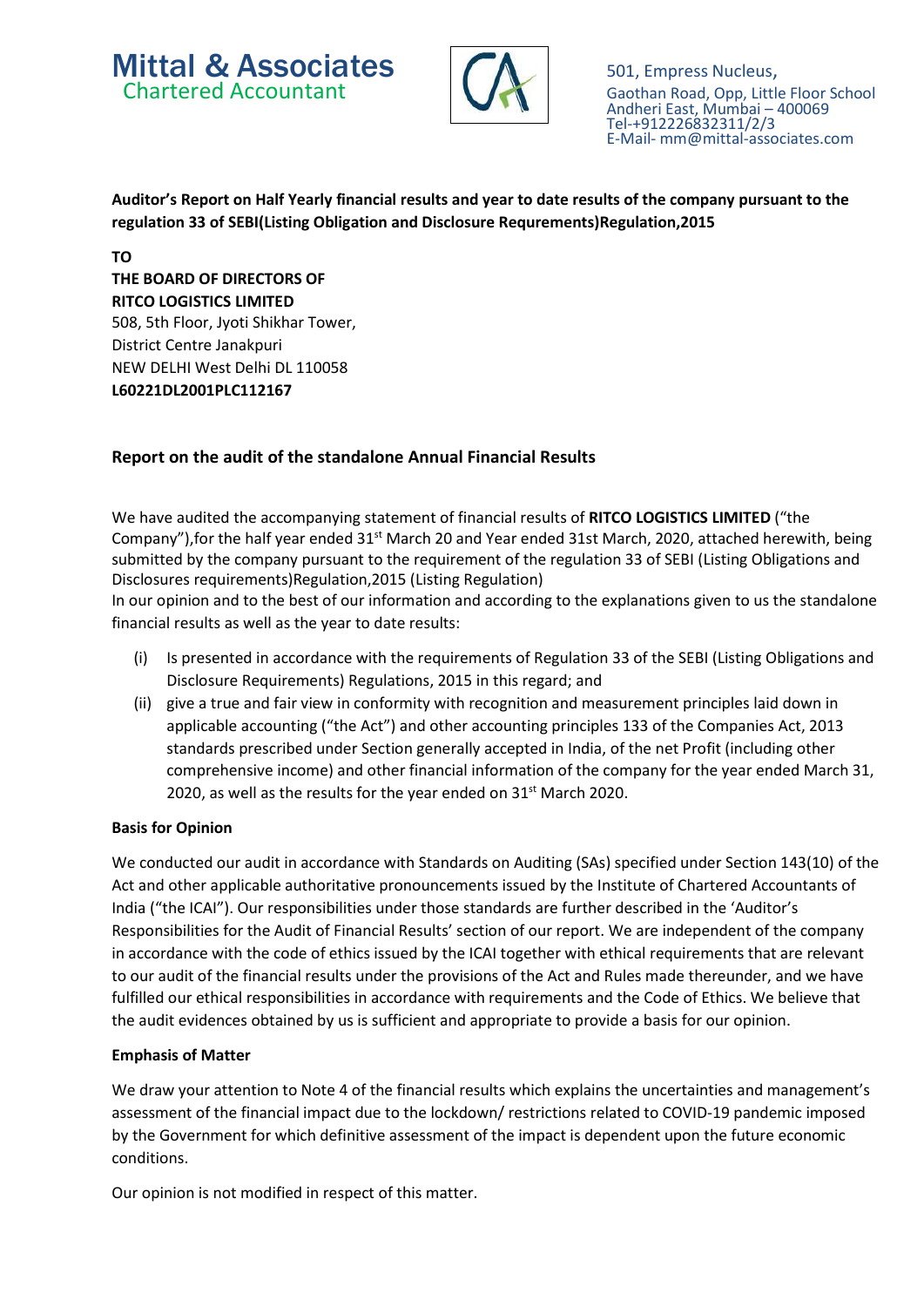# **Mittal & Associates** 601, Empress Nucleus,<br>Chartered Accountant 6aothan Road, Opp. Little



Gaothan Road, Opp, Little Floor School Andheri East, Mumbai – 400069 Tel-+912226832311/2/3 E-Mail- mm@mittal-associates.com

#### Auditor's Report on Half Yearly financial results and year to date results of the company pursuant to the regulation 33 of SEBI(Listing Obligation and Disclosure Requrements)Regulation,2015

TO THE BOARD OF DIRECTORS OF RITCO LOGISTICS LIMITED 508, 5th Floor, Jyoti Shikhar Tower, District Centre Janakpuri NEW DELHI West Delhi DL 110058 L60221DL2001PLC112167

#### Report on the audit of the standalone Annual Financial Results

We have audited the accompanying statement of financial results of RITCO LOGISTICS LIMITED ("the Company"), for the half year ended 31<sup>st</sup> March 20 and Year ended 31st March, 2020, attached herewith, being submitted by the company pursuant to the requirement of the regulation 33 of SEBI (Listing Obligations and Disclosures requirements)Regulation,2015 (Listing Regulation)

In our opinion and to the best of our information and according to the explanations given to us the standalone financial results as well as the year to date results:

- (i) Is presented in accordance with the requirements of Regulation 33 of the SEBI (Listing Obligations and Disclosure Requirements) Regulations, 2015 in this regard; and
- (ii) give a true and fair view in conformity with recognition and measurement principles laid down in applicable accounting ("the Act") and other accounting principles 133 of the Companies Act, 2013 standards prescribed under Section generally accepted in India, of the net Profit (including other comprehensive income) and other financial information of the company for the year ended March 31, 2020, as well as the results for the year ended on  $31<sup>st</sup>$  March 2020.

#### Basis for Opinion

We conducted our audit in accordance with Standards on Auditing (SAs) specified under Section 143(10) of the Act and other applicable authoritative pronouncements issued by the Institute of Chartered Accountants of India ("the ICAI"). Our responsibilities under those standards are further described in the 'Auditor's Responsibilities for the Audit of Financial Results' section of our report. We are independent of the company in accordance with the code of ethics issued by the ICAI together with ethical requirements that are relevant to our audit of the financial results under the provisions of the Act and Rules made thereunder, and we have fulfilled our ethical responsibilities in accordance with requirements and the Code of Ethics. We believe that the audit evidences obtained by us is sufficient and appropriate to provide a basis for our opinion.

#### Emphasis of Matter

We draw your attention to Note 4 of the financial results which explains the uncertainties and management's assessment of the financial impact due to the lockdown/ restrictions related to COVID-19 pandemic imposed by the Government for which definitive assessment of the impact is dependent upon the future economic conditions.

Our opinion is not modified in respect of this matter.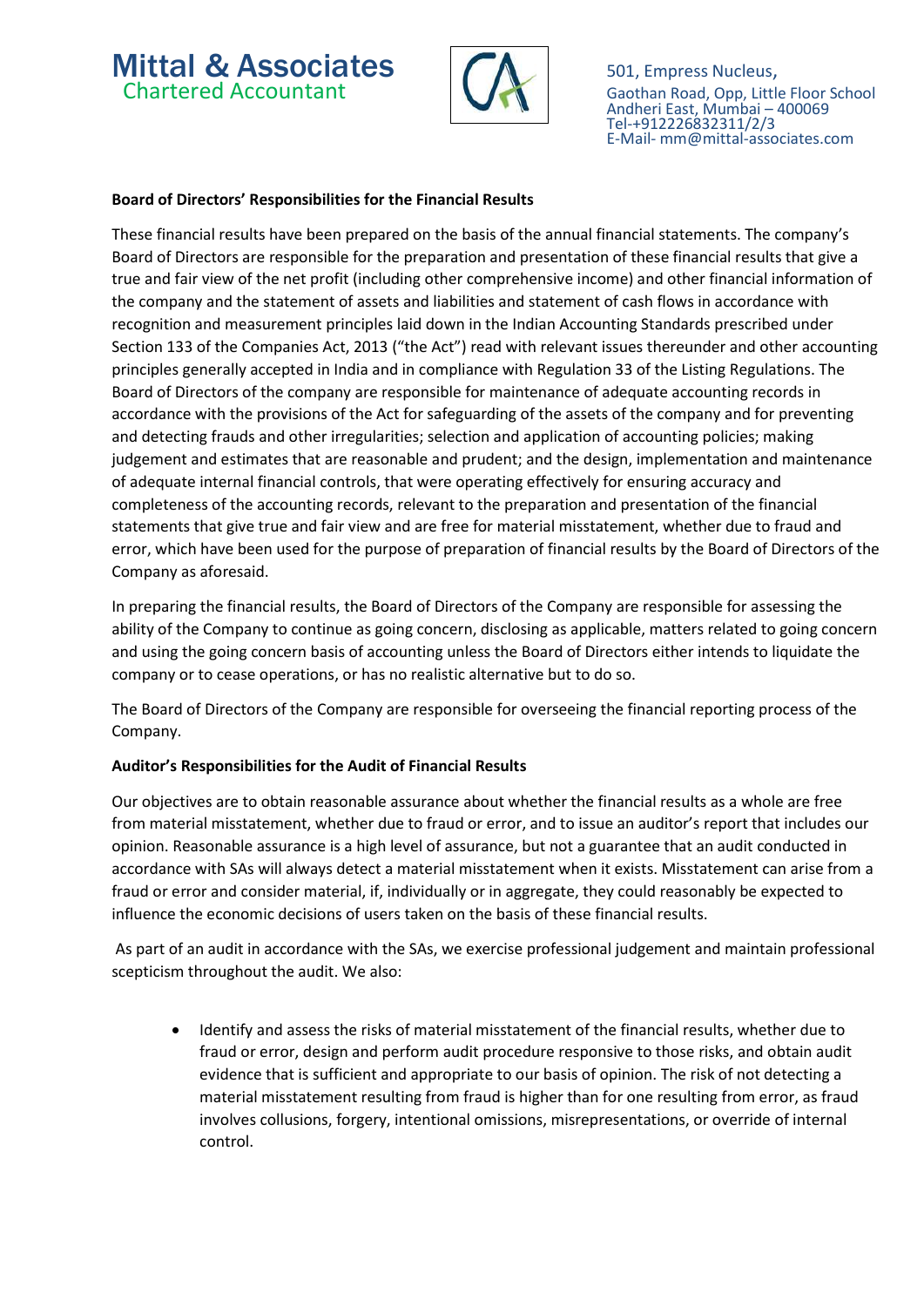# **Mittal & Associates**  $\bigcap_{\text{Gaothan Road. Opp. Little}}$  501, Empress Nucleus,



Gaothan Road, Opp, Little Floor School Andheri East, Mumbai – 400069 Tel-+912226832311/2/3 E-Mail- mm@mittal-associates.com

#### Board of Directors' Responsibilities for the Financial Results

These financial results have been prepared on the basis of the annual financial statements. The company's Board of Directors are responsible for the preparation and presentation of these financial results that give a true and fair view of the net profit (including other comprehensive income) and other financial information of the company and the statement of assets and liabilities and statement of cash flows in accordance with recognition and measurement principles laid down in the Indian Accounting Standards prescribed under Section 133 of the Companies Act, 2013 ("the Act") read with relevant issues thereunder and other accounting principles generally accepted in India and in compliance with Regulation 33 of the Listing Regulations. The Board of Directors of the company are responsible for maintenance of adequate accounting records in accordance with the provisions of the Act for safeguarding of the assets of the company and for preventing and detecting frauds and other irregularities; selection and application of accounting policies; making judgement and estimates that are reasonable and prudent; and the design, implementation and maintenance of adequate internal financial controls, that were operating effectively for ensuring accuracy and completeness of the accounting records, relevant to the preparation and presentation of the financial statements that give true and fair view and are free for material misstatement, whether due to fraud and error, which have been used for the purpose of preparation of financial results by the Board of Directors of the Company as aforesaid.

In preparing the financial results, the Board of Directors of the Company are responsible for assessing the ability of the Company to continue as going concern, disclosing as applicable, matters related to going concern and using the going concern basis of accounting unless the Board of Directors either intends to liquidate the company or to cease operations, or has no realistic alternative but to do so.

The Board of Directors of the Company are responsible for overseeing the financial reporting process of the Company.

#### Auditor's Responsibilities for the Audit of Financial Results

Our objectives are to obtain reasonable assurance about whether the financial results as a whole are free from material misstatement, whether due to fraud or error, and to issue an auditor's report that includes our opinion. Reasonable assurance is a high level of assurance, but not a guarantee that an audit conducted in accordance with SAs will always detect a material misstatement when it exists. Misstatement can arise from a fraud or error and consider material, if, individually or in aggregate, they could reasonably be expected to influence the economic decisions of users taken on the basis of these financial results.

 As part of an audit in accordance with the SAs, we exercise professional judgement and maintain professional scepticism throughout the audit. We also:

 Identify and assess the risks of material misstatement of the financial results, whether due to fraud or error, design and perform audit procedure responsive to those risks, and obtain audit evidence that is sufficient and appropriate to our basis of opinion. The risk of not detecting a material misstatement resulting from fraud is higher than for one resulting from error, as fraud involves collusions, forgery, intentional omissions, misrepresentations, or override of internal control.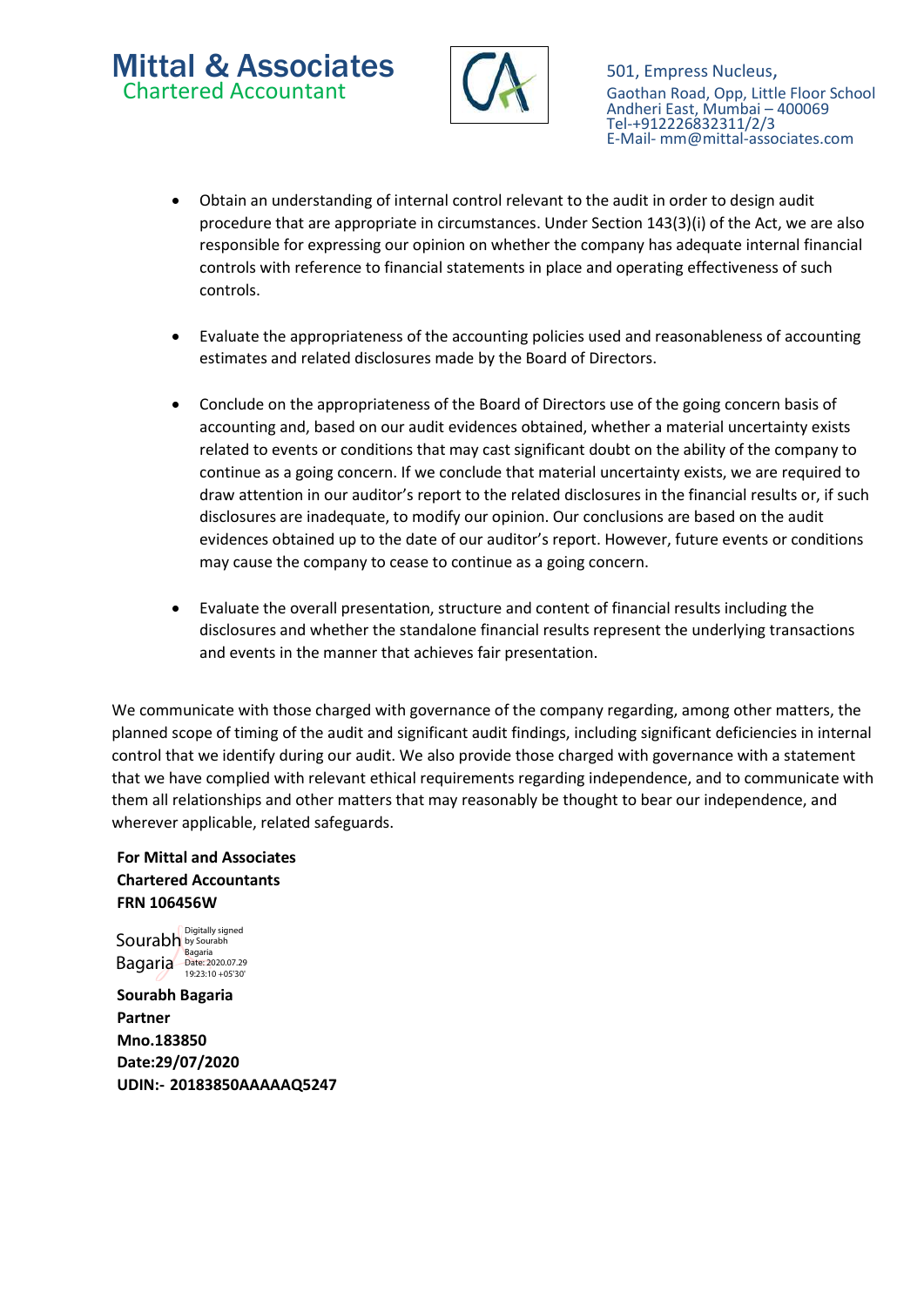# **Mittal & Associates**  $\bigcap_{\text{Gaothan Road. Opp. Little}}$  501, Empress Nucleus,



Gaothan Road, Opp, Little Floor School Andheri East, Mumbai – 400069 Tel-+912226832311/2/3 E-Mail- mm@mittal-associates.com

- Obtain an understanding of internal control relevant to the audit in order to design audit procedure that are appropriate in circumstances. Under Section 143(3)(i) of the Act, we are also responsible for expressing our opinion on whether the company has adequate internal financial controls with reference to financial statements in place and operating effectiveness of such controls.
- Evaluate the appropriateness of the accounting policies used and reasonableness of accounting estimates and related disclosures made by the Board of Directors.
- Conclude on the appropriateness of the Board of Directors use of the going concern basis of accounting and, based on our audit evidences obtained, whether a material uncertainty exists related to events or conditions that may cast significant doubt on the ability of the company to continue as a going concern. If we conclude that material uncertainty exists, we are required to draw attention in our auditor's report to the related disclosures in the financial results or, if such disclosures are inadequate, to modify our opinion. Our conclusions are based on the audit evidences obtained up to the date of our auditor's report. However, future events or conditions may cause the company to cease to continue as a going concern.
- Evaluate the overall presentation, structure and content of financial results including the disclosures and whether the standalone financial results represent the underlying transactions and events in the manner that achieves fair presentation.

We communicate with those charged with governance of the company regarding, among other matters, the planned scope of timing of the audit and significant audit findings, including significant deficiencies in internal control that we identify during our audit. We also provide those charged with governance with a statement that we have complied with relevant ethical requirements regarding independence, and to communicate with them all relationships and other matters that may reasonably be thought to bear our independence, and wherever applicable, related safeguards.

For Mittal and Associates Chartered Accountants FRN 106456W

Sourabh by Sourabh Bagaria Bagaria Date: 2020.07.29 19:23:10 +05'30'Digitally signed

Sourabh Bagaria Partner Mno.183850 Date:29/07/2020 UDIN:- 20183850AAAAAQ5247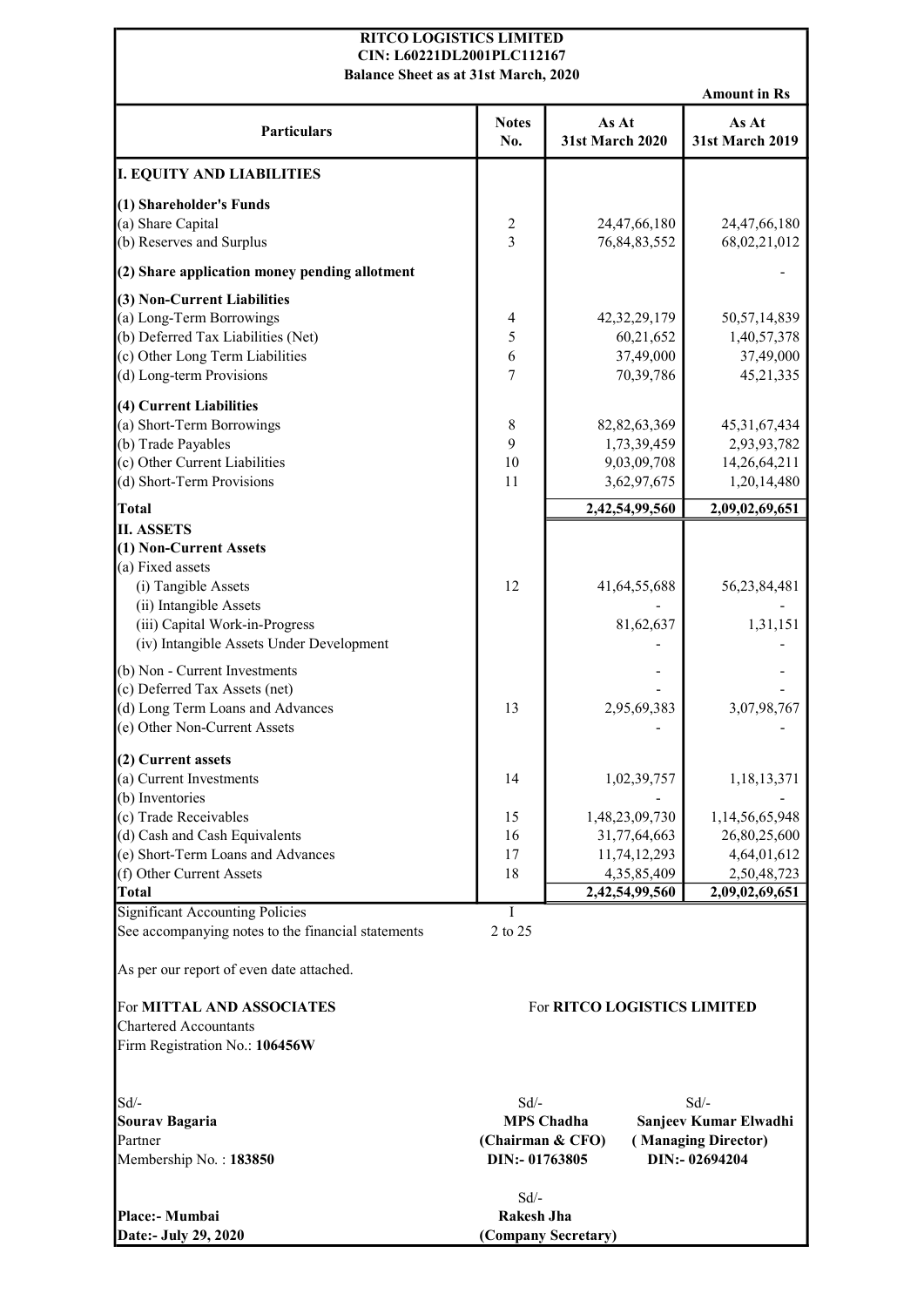#### RITCO LOGISTICS LIMITED CIN: L60221DL2001PLC112167

Amount in Rs Particulars Notes No. As At 31st March 2020 As At 31st March 2019 I. EQUITY AND LIABILITIES (1) Shareholder's Funds (a) Share Capital 2 24,47,66,180 24,47,66,180 24,47,66,180 (b) Reserves and Surplus 3 76,84,83,552 68,02,21,012  $(2)$  Share application money pending allotment (3) Non-Current Liabilities (a) Long-Term Borrowings  $\begin{array}{|c|c|c|c|c|c|c|c|} \hline \end{array}$  4  $\begin{array}{|c|c|c|c|c|c|c|c|} \hline \end{array}$  42,32,29,179  $\begin{array}{|c|c|c|c|c|c|c|c|} \hline \end{array}$  50,57,14,839 (b) Deferred Tax Liabilities (Net)  $\begin{array}{ccc} 5 & 60,21,652 & 1,40,57,378 \end{array}$ (c) Other Long Term Liabilities  $\begin{bmatrix} 6 & 37,49,000 \\ 37,49,000 \end{bmatrix}$  37,49,000 (d) Long-term Provisions  $\begin{array}{|c|c|c|c|c|c|c|c|} \hline \end{array}$  7 70,39,786 45,21,335 (4) Current Liabilities (a) Short-Term Borrowings  $8 \t 82,82,63,369$  45,31,67,434 (b) Trade Payables 2,93,93,782 1,73,39,459 2,93,93,782 (c) Other Current Liabilities  $\begin{bmatrix} 10 \\ 10 \\ 9,03,09,708 \end{bmatrix}$  14,26,64,211 (d) Short-Term Provisions 11 3,62,97,675 1,20,14,480 Total 2,42,54,99,560 2,09,02,69,651 II. ASSETS (1) Non-Current Assets (a) Fixed assets (i) Tangible Assets 12 41,64,55,688 56,23,84,481 (ii) Intangible Assets (iii) Capital Work-in-Progress 81,62,637 1,31,151 (iv) Intangible Assets Under Development (b) Non - Current Investments (c) Deferred Tax Assets (net) (d) Long Term Loans and Advances 13 13 2,95,69,383 3,07,98,767  $(e)$  Other Non-Current Assets (2) Current assets (a) Current Investments 1,02,39,757 1,18,13,371 (b) Inventories - - (c) Trade Receivables 15 1,48,23,09,730 1,14,56,65,948 (d) Cash and Cash Equivalents  $\begin{array}{|c|c|c|c|c|c|c|c|c|} \hline \end{array}$  16  $\begin{array}{|c|c|c|c|c|c|c|c|} \hline \end{array}$  31,77,64,663  $\begin{array}{|c|c|c|c|c|c|c|c|} \hline \end{array}$  26,80,25,600 (e) Short-Term Loans and Advances 17 11,74,12,293 4,64,01,612 (f) Other Current Assets 18 18 4,35,85,409 2,50,48,723 Total 2,42,54,99,560 2,09,02,69,651 Significant Accounting Policies I See accompanying notes to the financial statements 2 to 25 As per our report of even date attached. For MITTAL AND ASSOCIATES Chartered Accountants Firm Registration No.: 106456W  $Sd$ - $Sd$ - $Sd$ -Sourav Bagaria Partner Membership No. : 183850 DIN:- 01763805 DIN:- 02694204 MPS Chadha Sanjeev Kumar Elwadhi (Chairman & CFO) ( Managing Director) For RITCO LOGISTICS LIMITED Balance Sheet as at 31st March, 2020

Sd/- Place:- Mumbai Rakesh Jha Date:- July 29, 2020 (Company Secretary)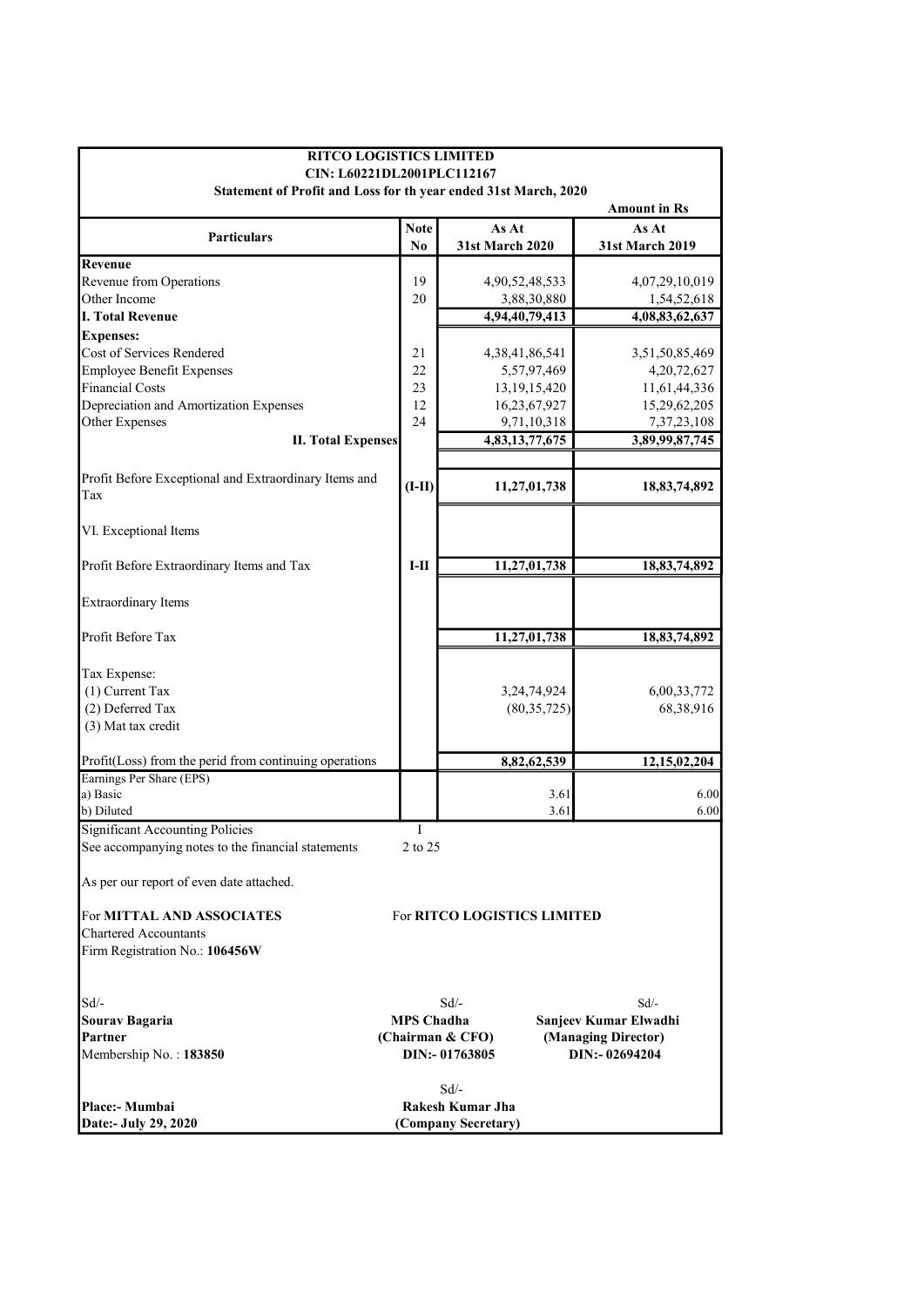| <b>RITCO LOGISTICS LIMITED</b><br>CIN: L60221DL2001PLC112167    |                   |                             |                |                                 |  |  |
|-----------------------------------------------------------------|-------------------|-----------------------------|----------------|---------------------------------|--|--|
| Statement of Profit and Loss for th year ended 31st March, 2020 |                   |                             |                |                                 |  |  |
|                                                                 |                   |                             |                | <b>Amount in Rs</b>             |  |  |
|                                                                 | <b>Note</b>       | As At                       |                |                                 |  |  |
| <b>Particulars</b>                                              | No                | <b>31st March 2020</b>      |                | As At<br><b>31st March 2019</b> |  |  |
|                                                                 |                   |                             |                |                                 |  |  |
| Revenue                                                         |                   |                             |                |                                 |  |  |
| Revenue from Operations<br>Other Income                         | 19<br>20          | 4,90,52,48,533              | 3,88,30,880    | 4,07,29,10,019                  |  |  |
| <b>I. Total Revenue</b>                                         |                   |                             |                | 1,54,52,618                     |  |  |
|                                                                 |                   | 4,94,40,79,413              |                | 4,08,83,62,637                  |  |  |
| <b>Expenses:</b><br>Cost of Services Rendered                   |                   |                             |                |                                 |  |  |
|                                                                 | 21                | 4, 38, 41, 86, 541          |                | 3,51,50,85,469                  |  |  |
| <b>Employee Benefit Expenses</b>                                | 22                |                             | 5,57,97,469    | 4,20,72,627                     |  |  |
| <b>Financial Costs</b>                                          | 23                | 13, 19, 15, 420             |                | 11,61,44,336                    |  |  |
| Depreciation and Amortization Expenses                          | 12                | 16,23,67,927                |                | 15,29,62,205                    |  |  |
| Other Expenses                                                  | 24                |                             | 9,71,10,318    | 7, 37, 23, 108                  |  |  |
| <b>II. Total Expenses</b>                                       |                   | 4,83,13,77,675              |                | 3,89,99,87,745                  |  |  |
|                                                                 |                   |                             |                |                                 |  |  |
| Profit Before Exceptional and Extraordinary Items and           | $(I-II)$          | 11,27,01,738                |                | 18,83,74,892                    |  |  |
| Tax                                                             |                   |                             |                |                                 |  |  |
|                                                                 |                   |                             |                |                                 |  |  |
| VI. Exceptional Items                                           |                   |                             |                |                                 |  |  |
|                                                                 |                   |                             |                |                                 |  |  |
| Profit Before Extraordinary Items and Tax                       | $I-II$            | 11,27,01,738                |                | 18,83,74,892                    |  |  |
|                                                                 |                   |                             |                |                                 |  |  |
| <b>Extraordinary Items</b>                                      |                   |                             |                |                                 |  |  |
|                                                                 |                   |                             |                |                                 |  |  |
| Profit Before Tax                                               |                   | 11,27,01,738                |                | 18,83,74,892                    |  |  |
|                                                                 |                   |                             |                |                                 |  |  |
| Tax Expense:                                                    |                   |                             |                |                                 |  |  |
| (1) Current Tax                                                 |                   |                             | 3, 24, 74, 924 | 6,00,33,772                     |  |  |
| (2) Deferred Tax                                                |                   | (80,35,725)                 |                | 68,38,916                       |  |  |
| (3) Mat tax credit                                              |                   |                             |                |                                 |  |  |
|                                                                 |                   |                             |                |                                 |  |  |
| Profit(Loss) from the perid from continuing operations          |                   |                             | 8,82,62,539    | 12, 15, 02, 204                 |  |  |
| Earnings Per Share (EPS)                                        |                   |                             |                |                                 |  |  |
| a) Basic                                                        |                   |                             | 3.61           | 6.00                            |  |  |
| b) Diluted                                                      |                   |                             | 3.61           | 6.00                            |  |  |
| <b>Significant Accounting Policies</b>                          | I                 |                             |                |                                 |  |  |
| See accompanying notes to the financial statements              | 2 to 25           |                             |                |                                 |  |  |
|                                                                 |                   |                             |                |                                 |  |  |
| As per our report of even date attached.                        |                   |                             |                |                                 |  |  |
|                                                                 |                   |                             |                |                                 |  |  |
| For MITTAL AND ASSOCIATES                                       |                   | For RITCO LOGISTICS LIMITED |                |                                 |  |  |
| <b>Chartered Accountants</b>                                    |                   |                             |                |                                 |  |  |
| Firm Registration No.: 106456W                                  |                   |                             |                |                                 |  |  |
|                                                                 |                   |                             |                |                                 |  |  |
|                                                                 |                   |                             |                |                                 |  |  |
| Sd/-                                                            |                   | $Sd$ /-                     |                | $Sd$ /-                         |  |  |
| Sourav Bagaria                                                  | <b>MPS Chadha</b> |                             |                | Sanjeev Kumar Elwadhi           |  |  |
| Partner                                                         | (Chairman & CFO)  |                             |                | (Managing Director)             |  |  |
| Membership No.: 183850                                          |                   | DIN:-01763805               |                | DIN:-02694204                   |  |  |
|                                                                 |                   |                             |                |                                 |  |  |
|                                                                 |                   | $Sd$ /-                     |                |                                 |  |  |
| Place:- Mumbai                                                  |                   | Rakesh Kumar Jha            |                |                                 |  |  |
| Date:- July 29, 2020                                            |                   | (Company Secretary)         |                |                                 |  |  |
|                                                                 |                   |                             |                |                                 |  |  |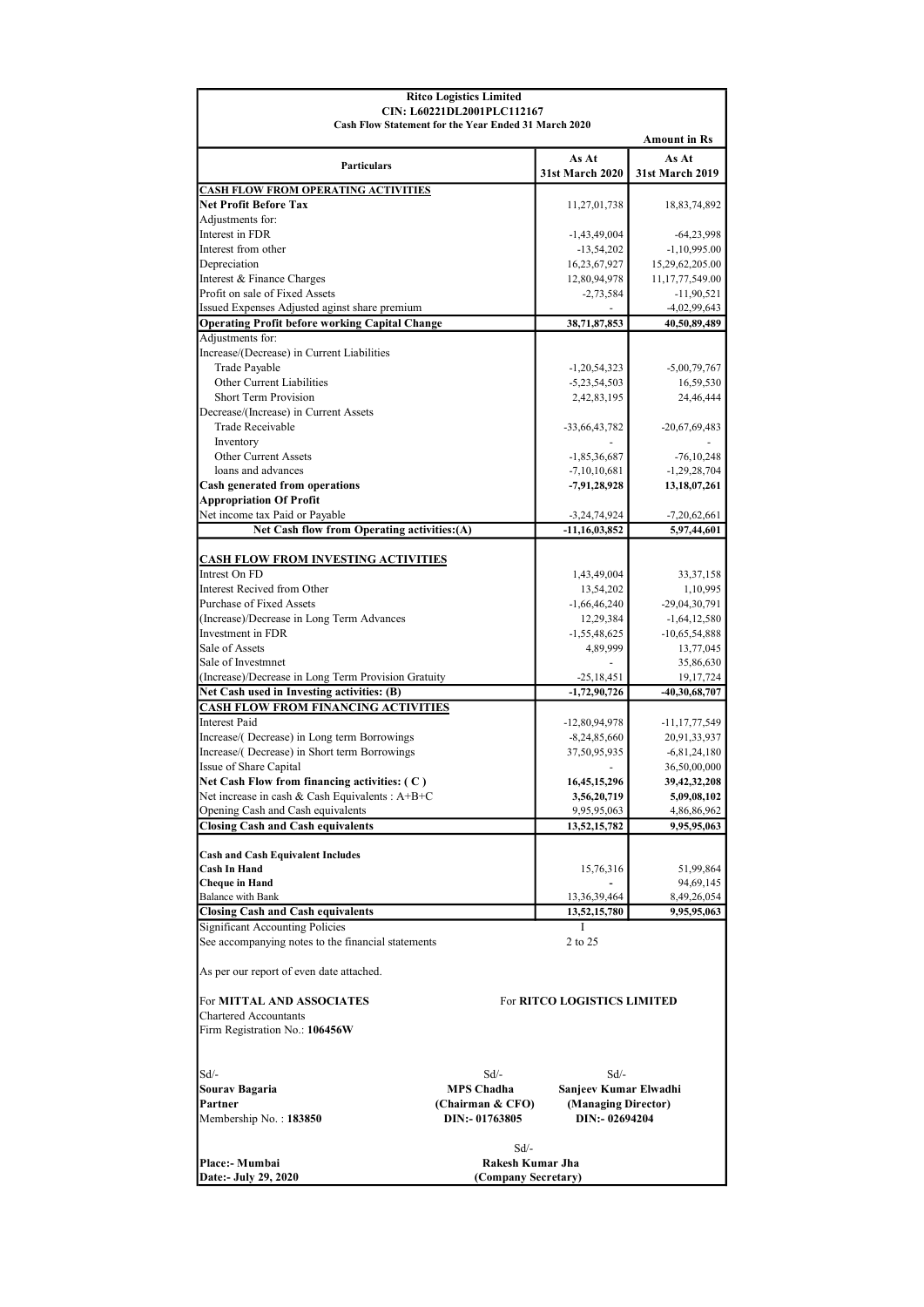| <b>Ritco Logistics Limited</b>                                                       |                                                                                    |                                  |                                  |  |  |  |
|--------------------------------------------------------------------------------------|------------------------------------------------------------------------------------|----------------------------------|----------------------------------|--|--|--|
|                                                                                      | CIN: L60221DL2001PLC112167<br>Cash Flow Statement for the Year Ended 31 March 2020 |                                  |                                  |  |  |  |
|                                                                                      |                                                                                    |                                  | <b>Amount in Rs</b>              |  |  |  |
| <b>Particulars</b>                                                                   |                                                                                    | As At                            | As At                            |  |  |  |
|                                                                                      |                                                                                    | <b>31st March 2020</b>           | 31st March 2019                  |  |  |  |
| <b>CASH FLOW FROM OPERATING ACTIVITIES</b><br><b>Net Profit Before Tax</b>           |                                                                                    |                                  |                                  |  |  |  |
| Adjustments for:                                                                     |                                                                                    | 11,27,01,738                     | 18,83,74,892                     |  |  |  |
| Interest in FDR                                                                      |                                                                                    | $-1,43,49,004$                   | $-64,23,998$                     |  |  |  |
| Interest from other                                                                  |                                                                                    | $-13,54,202$                     | $-1,10,995.00$                   |  |  |  |
| Depreciation                                                                         |                                                                                    | 16,23,67,927                     | 15,29,62,205.00                  |  |  |  |
| Interest & Finance Charges<br>Profit on sale of Fixed Assets                         |                                                                                    | 12,80,94,978<br>$-2,73,584$      | 11,17,77,549.00<br>$-11,90,521$  |  |  |  |
| Issued Expenses Adjusted aginst share premium                                        |                                                                                    |                                  | $-4,02,99,643$                   |  |  |  |
| <b>Operating Profit before working Capital Change</b>                                |                                                                                    | 38,71,87,853                     | 40,50,89,489                     |  |  |  |
| Adjustments for:                                                                     |                                                                                    |                                  |                                  |  |  |  |
| Increase/(Decrease) in Current Liabilities                                           |                                                                                    |                                  |                                  |  |  |  |
| Trade Payable<br>Other Current Liabilities                                           |                                                                                    | $-1,20,54,323$<br>$-5,23,54,503$ | $-5,00,79,767$<br>16,59,530      |  |  |  |
| Short Term Provision                                                                 |                                                                                    | 2,42,83,195                      | 24,46,444                        |  |  |  |
| Decrease/(Increase) in Current Assets                                                |                                                                                    |                                  |                                  |  |  |  |
| Trade Receivable                                                                     |                                                                                    | -33,66,43,782                    | $-20,67,69,483$                  |  |  |  |
| Inventory                                                                            |                                                                                    |                                  |                                  |  |  |  |
| Other Current Assets<br>loans and advances                                           |                                                                                    | $-1,85,36,687$<br>$-7,10,10,681$ | $-76, 10, 248$<br>$-1,29,28,704$ |  |  |  |
| Cash generated from operations                                                       |                                                                                    | $-7,91,28,928$                   | 13, 18, 07, 261                  |  |  |  |
| <b>Appropriation Of Profit</b>                                                       |                                                                                    |                                  |                                  |  |  |  |
| Net income tax Paid or Payable                                                       |                                                                                    | $-3,24,74,924$                   | $-7,20,62,661$                   |  |  |  |
| Net Cash flow from Operating activities: (A)                                         |                                                                                    | $-11,16,03,852$                  | 5,97,44,601                      |  |  |  |
| <b>CASH FLOW FROM INVESTING ACTIVITIES</b>                                           |                                                                                    |                                  |                                  |  |  |  |
| Intrest On FD                                                                        |                                                                                    | 1,43,49,004                      | 33, 37, 158                      |  |  |  |
| Interest Recived from Other                                                          |                                                                                    | 13,54,202                        | 1,10,995                         |  |  |  |
| Purchase of Fixed Assets                                                             |                                                                                    | $-1,66,46,240$                   | $-29,04,30,791$                  |  |  |  |
| (Increase)/Decrease in Long Term Advances<br>Investment in FDR                       |                                                                                    | 12,29,384                        | $-1,64,12,580$                   |  |  |  |
| Sale of Assets                                                                       |                                                                                    | $-1,55,48,625$<br>4,89,999       | $-10,65,54,888$<br>13,77,045     |  |  |  |
| Sale of Investmnet                                                                   |                                                                                    |                                  | 35,86,630                        |  |  |  |
| (Increase)/Decrease in Long Term Provision Gratuity                                  |                                                                                    | $-25,18,451$                     | 19, 17, 724                      |  |  |  |
| Net Cash used in Investing activities: (B)                                           |                                                                                    | $-1,72,90,726$                   | $-40,30,68,707$                  |  |  |  |
| <b>CASH FLOW FROM FINANCING ACTIVITIES</b><br><b>Interest Paid</b>                   |                                                                                    | $-12,80,94,978$                  | $-11, 17, 77, 549$               |  |  |  |
| Increase/(Decrease) in Long term Borrowings                                          |                                                                                    | $-8,24,85,660$                   | 20,91,33,937                     |  |  |  |
| Increase/(Decrease) in Short term Borrowings                                         |                                                                                    | 37,50,95,935                     | $-6,81,24,180$                   |  |  |  |
| Issue of Share Capital                                                               |                                                                                    |                                  | 36,50,00,000                     |  |  |  |
| Net Cash Flow from financing activities: (C)                                         |                                                                                    | 16,45,15,296                     | 39,42,32,208                     |  |  |  |
| Net increase in cash & Cash Equivalents : A+B+C<br>Opening Cash and Cash equivalents |                                                                                    | 3,56,20,719<br>9,95,95,063       | 5,09,08,102<br>4,86,86,962       |  |  |  |
| <b>Closing Cash and Cash equivalents</b>                                             |                                                                                    | 13,52,15,782                     | 9,95,95,063                      |  |  |  |
|                                                                                      |                                                                                    |                                  |                                  |  |  |  |
| <b>Cash and Cash Equivalent Includes</b>                                             |                                                                                    |                                  |                                  |  |  |  |
| <b>Cash In Hand</b><br><b>Cheque in Hand</b>                                         |                                                                                    | 15,76,316                        | 51,99,864<br>94,69,145           |  |  |  |
| <b>Balance with Bank</b>                                                             |                                                                                    | 13,36,39,464                     | 8,49,26,054                      |  |  |  |
| <b>Closing Cash and Cash equivalents</b>                                             |                                                                                    | 13,52,15,780                     | 9,95,95,063                      |  |  |  |
| <b>Significant Accounting Policies</b>                                               |                                                                                    | I                                |                                  |  |  |  |
| See accompanying notes to the financial statements                                   |                                                                                    | 2 to 25                          |                                  |  |  |  |
| As per our report of even date attached.                                             |                                                                                    |                                  |                                  |  |  |  |
| For MITTAL AND ASSOCIATES<br>For RITCO LOGISTICS LIMITED                             |                                                                                    |                                  |                                  |  |  |  |
| Chartered Accountants                                                                |                                                                                    |                                  |                                  |  |  |  |
| Firm Registration No.: 106456W                                                       |                                                                                    |                                  |                                  |  |  |  |
| Sd/-                                                                                 | Sd/-                                                                               | $Sd$ /-                          |                                  |  |  |  |
| Sourav Bagaria                                                                       | <b>MPS Chadha</b>                                                                  | Sanjeev Kumar Elwadhi            |                                  |  |  |  |
| Partner                                                                              | (Chairman & CFO)                                                                   | (Managing Director)              |                                  |  |  |  |
| Membership No.: 183850                                                               | DIN:- 01763805                                                                     | DIN: - 02694204                  |                                  |  |  |  |
|                                                                                      | $Sd$ /-                                                                            |                                  |                                  |  |  |  |
| Place:- Mumbai                                                                       | Rakesh Kumar Jha                                                                   |                                  |                                  |  |  |  |
| Date:- July 29, 2020                                                                 | (Company Secretary)                                                                |                                  |                                  |  |  |  |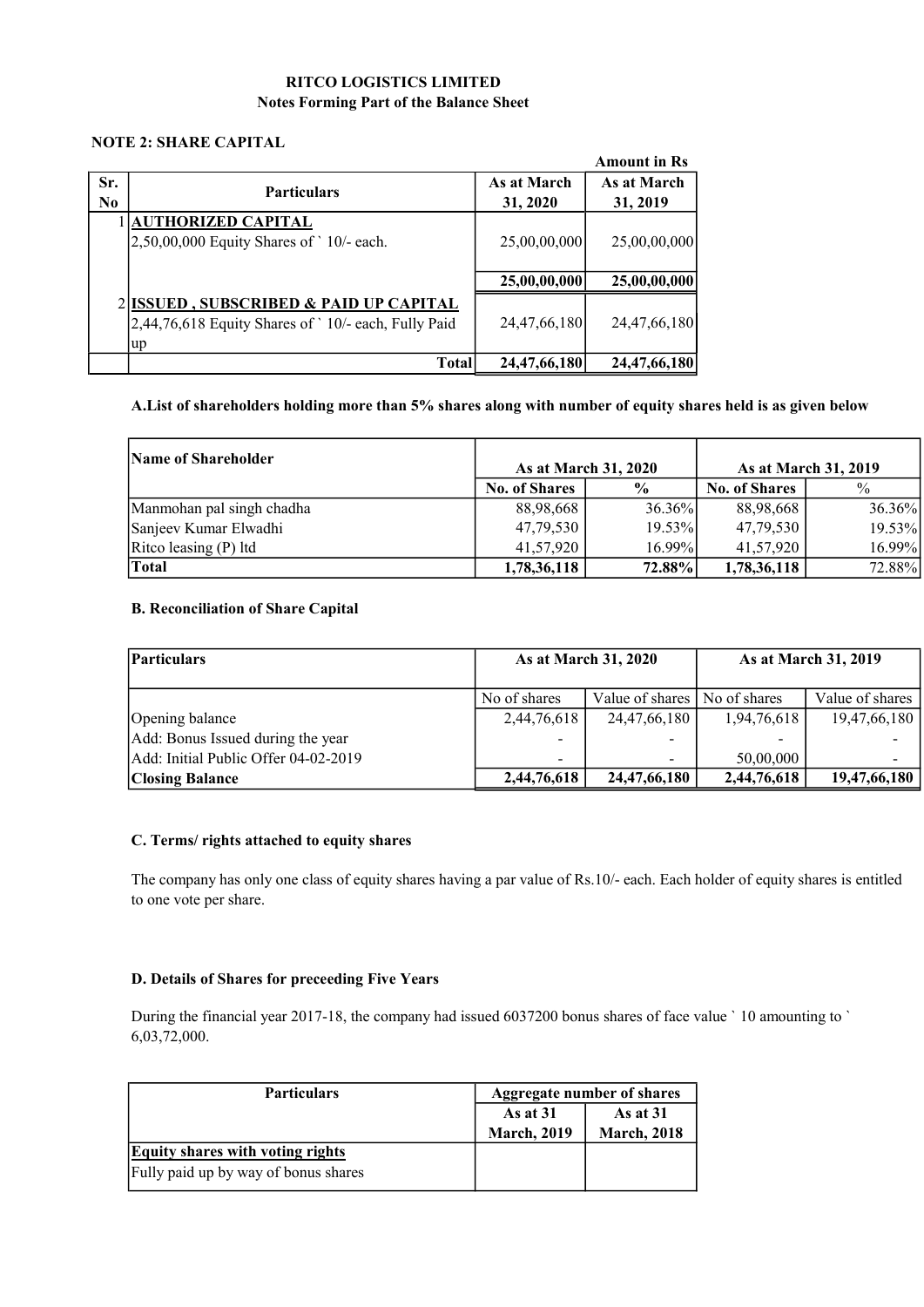#### RITCO LOGISTICS LIMITED Notes Forming Part of the Balance Sheet

#### NOTE 2: SHARE CAPITAL

|            |                                                                                                     |                         | <b>Amount in Rs</b>     |
|------------|-----------------------------------------------------------------------------------------------------|-------------------------|-------------------------|
| Sr.<br>No. | <b>Particulars</b>                                                                                  | As at March<br>31, 2020 | As at March<br>31, 2019 |
|            | <b>AUTHORIZED CAPITAL</b><br>$2,50,00,000$ Equity Shares of $\degree$ 10/- each.                    | 25,00,00,000            | 25,00,00,000            |
|            |                                                                                                     | 25,00,00,000            | 25,00,00,000            |
|            | 2 ISSUED, SUBSCRIBED & PAID UP CAPITAL<br>2,44,76,618 Equity Shares of `10/- each, Fully Paid<br>up | 24,47,66,180            | 24,47,66,180            |
|            | <b>Total</b>                                                                                        | 24,47,66,180            | 24,47,66,180            |

#### A.List of shareholders holding more than 5% shares along with number of equity shares held is as given below

| <b>Name of Shareholder</b> | As at March 31, 2020 |               | As at March 31, 2019 |        |
|----------------------------|----------------------|---------------|----------------------|--------|
|                            | <b>No. of Shares</b> | $\frac{6}{9}$ | <b>No. of Shares</b> | $\%$   |
| Manmohan pal singh chadha  | 88,98,668            | 36.36%        | 88,98,668            | 36.36% |
| Sanjeev Kumar Elwadhi      | 47,79,530            | $19.53\%$     | 47,79,530            | 19.53% |
| Ritco leasing $(P)$ ltd    | 41,57,920            | $16.99\%$     | 41,57,920            | 16.99% |
| <b>Total</b>               | 1,78,36,118          | 72.88%        | 1,78,36,118          | 72.88% |

#### B. Reconciliation of Share Capital

| <b>Particulars</b>                   | As at March 31, 2020 |                                |             | As at March 31, 2019 |
|--------------------------------------|----------------------|--------------------------------|-------------|----------------------|
|                                      | No of shares         | Value of shares   No of shares |             | Value of shares      |
| Opening balance                      | 2,44,76,618          | 24,47,66,180                   | 1,94,76,618 | 19,47,66,180         |
| Add: Bonus Issued during the year    |                      |                                |             |                      |
| Add: Initial Public Offer 04-02-2019 |                      | $\overline{\phantom{a}}$       | 50,00,000   |                      |
| <b>Closing Balance</b>               | 2,44,76,618          | 24, 47, 66, 180                | 2,44,76,618 | 19,47,66,180         |

#### C. Terms/ rights attached to equity shares

The company has only one class of equity shares having a par value of Rs.10/- each. Each holder of equity shares is entitled to one vote per share.

#### D. Details of Shares for preceeding Five Years

During the financial year 2017-18, the company had issued 6037200 bonus shares of face value ` 10 amounting to ` 6,03,72,000.

| <b>Particulars</b>                      | <b>Aggregate number of shares</b> |                    |
|-----------------------------------------|-----------------------------------|--------------------|
|                                         | As at $31$<br>As at $31$          |                    |
|                                         | <b>March, 2019</b>                | <b>March, 2018</b> |
| <b>Equity shares with voting rights</b> |                                   |                    |
| Fully paid up by way of bonus shares    |                                   |                    |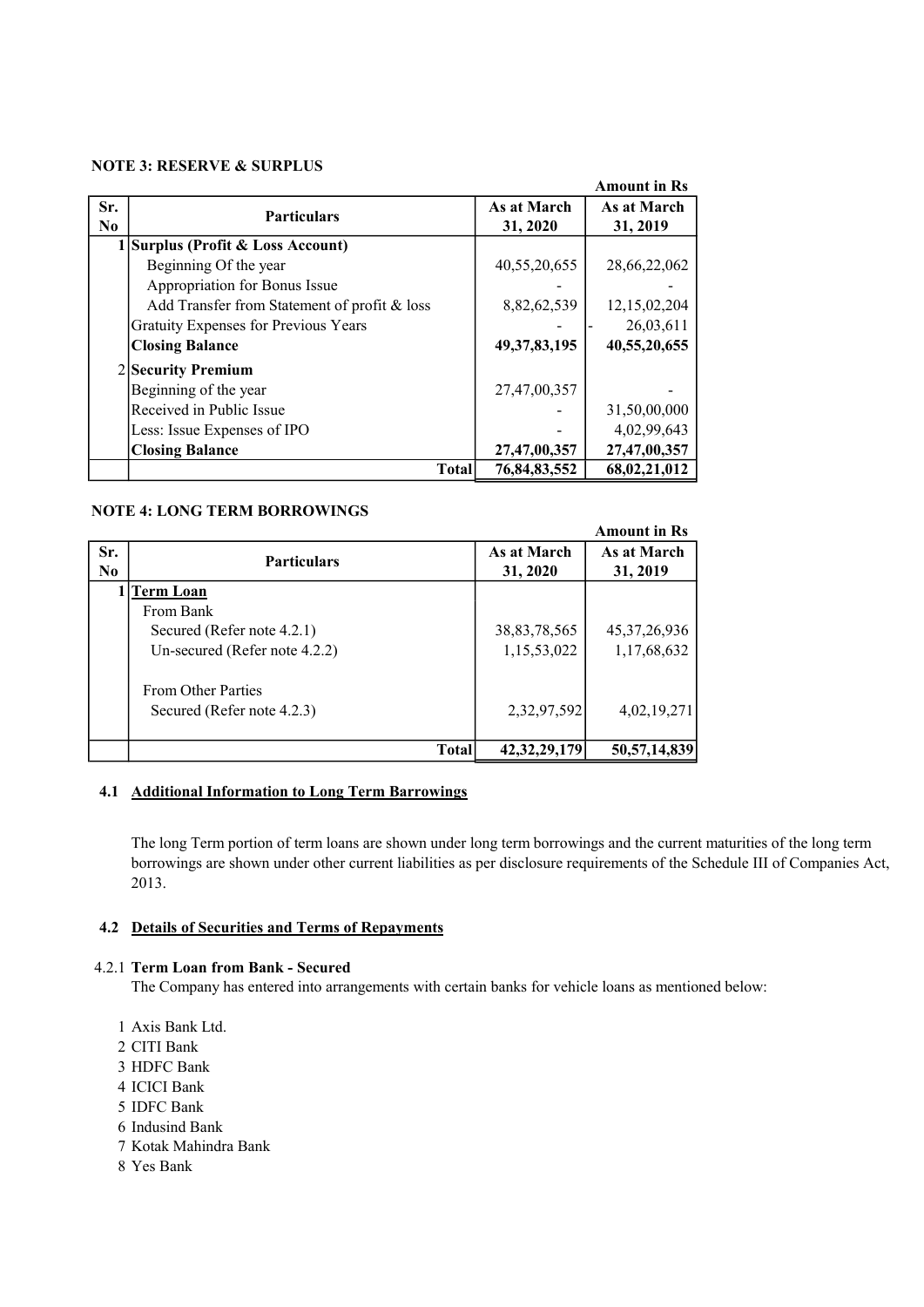#### NOTE 3: RESERVE & SURPLUS

|          |                                              |                 | <b>Amount in Rs</b> |
|----------|----------------------------------------------|-----------------|---------------------|
| Sr.      | <b>Particulars</b>                           | As at March     | As at March         |
| $\bf No$ |                                              | 31, 2020        | 31, 2019            |
|          | 1 Surplus (Profit & Loss Account)            |                 |                     |
|          | Beginning Of the year                        | 40,55,20,655    | 28,66,22,062        |
|          | Appropriation for Bonus Issue                |                 |                     |
|          | Add Transfer from Statement of profit & loss | 8,82,62,539     | 12,15,02,204        |
|          | Gratuity Expenses for Previous Years         |                 | 26,03,611           |
|          | <b>Closing Balance</b>                       | 49, 37, 83, 195 | 40,55,20,655        |
|          | 2 Security Premium                           |                 |                     |
|          | Beginning of the year                        | 27,47,00,357    |                     |
|          | Received in Public Issue                     |                 | 31,50,00,000        |
|          | Less: Issue Expenses of IPO                  |                 | 4,02,99,643         |
|          | <b>Closing Balance</b>                       | 27,47,00,357    | 27,47,00,357        |
|          | Total                                        | 76,84,83,552    | 68,02,21,012        |

#### NOTE 4: LONG TERM BORROWINGS

|                       |                                                         |                         | <b>Amount in Rs</b>     |
|-----------------------|---------------------------------------------------------|-------------------------|-------------------------|
| Sr.<br>N <sub>0</sub> | <b>Particulars</b>                                      | As at March<br>31, 2020 | As at March<br>31, 2019 |
|                       | 1   Term Loan                                           |                         |                         |
|                       | From Bank<br>Secured (Refer note 4.2.1)                 | 38, 83, 78, 565         | 45, 37, 26, 936         |
|                       | Un-secured (Refer note 4.2.2)                           | 1,15,53,022             | 1,17,68,632             |
|                       | <b>From Other Parties</b><br>Secured (Refer note 4.2.3) | 2,32,97,592             | 4,02,19,271             |
|                       | <b>Total</b>                                            | 42, 32, 29, 179         | 50, 57, 14, 839         |

#### 4.1 Additional Information to Long Term Barrowings

The long Term portion of term loans are shown under long term borrowings and the current maturities of the long term borrowings are shown under other current liabilities as per disclosure requirements of the Schedule III of Companies Act, 2013.

#### 4.2 Details of Securities and Terms of Repayments

#### 4.2.1 Term Loan from Bank - Secured

The Company has entered into arrangements with certain banks for vehicle loans as mentioned below:

- 1 Axis Bank Ltd.
- 2 CITI Bank
- 3 HDFC Bank
- 4 ICICI Bank
- 5 IDFC Bank
- 6 Indusind Bank
- 7 Kotak Mahindra Bank
- 8 Yes Bank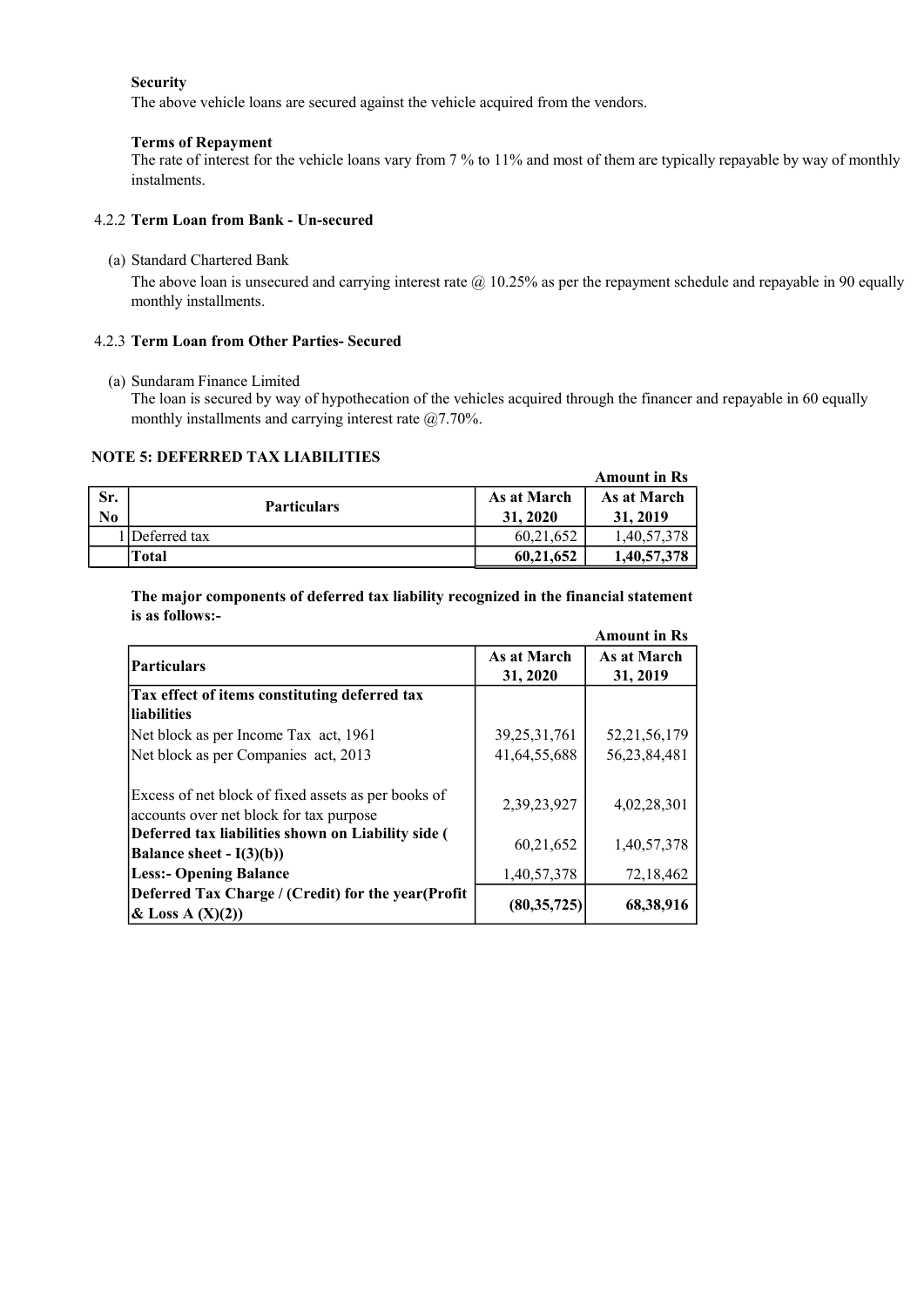#### Security

The above vehicle loans are secured against the vehicle acquired from the vendors.

#### Terms of Repayment

The rate of interest for the vehicle loans vary from 7 % to 11% and most of them are typically repayable by way of monthly instalments.

#### 4.2.2 Term Loan from Bank - Un-secured

(a) Standard Chartered Bank

The above loan is unsecured and carrying interest rate  $\omega$  10.25% as per the repayment schedule and repayable in 90 equally monthly installments.

#### 4.2.3 Term Loan from Other Parties- Secured

(a) Sundaram Finance Limited

The loan is secured by way of hypothecation of the vehicles acquired through the financer and repayable in 60 equally monthly installments and carrying interest rate @7.70%.

#### NOTE 5: DEFERRED TAX LIABILITIES

|     |                    |             | <b>Amount in Rs</b> |
|-----|--------------------|-------------|---------------------|
| Sr. | <b>Particulars</b> | As at March | As at March         |
| No  |                    | 31.2020     | 31, 2019            |
|     | 1 Deferred tax     | 60,21,652   | 1,40,57,378         |
|     | Total              | 60,21,652   | 1,40,57,378         |

The major components of deferred tax liability recognized in the financial statement is as follows:-

|                                                                                                |                         | <b>Amount in Rs</b>     |
|------------------------------------------------------------------------------------------------|-------------------------|-------------------------|
| <b>Particulars</b>                                                                             | As at March<br>31, 2020 | As at March<br>31, 2019 |
| Tax effect of items constituting deferred tax                                                  |                         |                         |
| liabilities                                                                                    |                         |                         |
| Net block as per Income Tax act, 1961                                                          | 39, 25, 31, 761         | 52, 21, 56, 179         |
| Net block as per Companies act, 2013                                                           | 41,64,55,688            | 56,23,84,481            |
| Excess of net block of fixed assets as per books of<br>accounts over net block for tax purpose | 2,39,23,927             | 4,02,28,301             |
| Deferred tax liabilities shown on Liability side (<br>Balance sheet - $I(3)(b)$                | 60,21,652               | 1,40,57,378             |
| <b>Less:- Opening Balance</b>                                                                  | 1,40,57,378             | 72,18,462               |
| Deferred Tax Charge / (Credit) for the year (Profit<br>& Loss A $(X)(2)$                       | (80, 35, 725)           | 68,38,916               |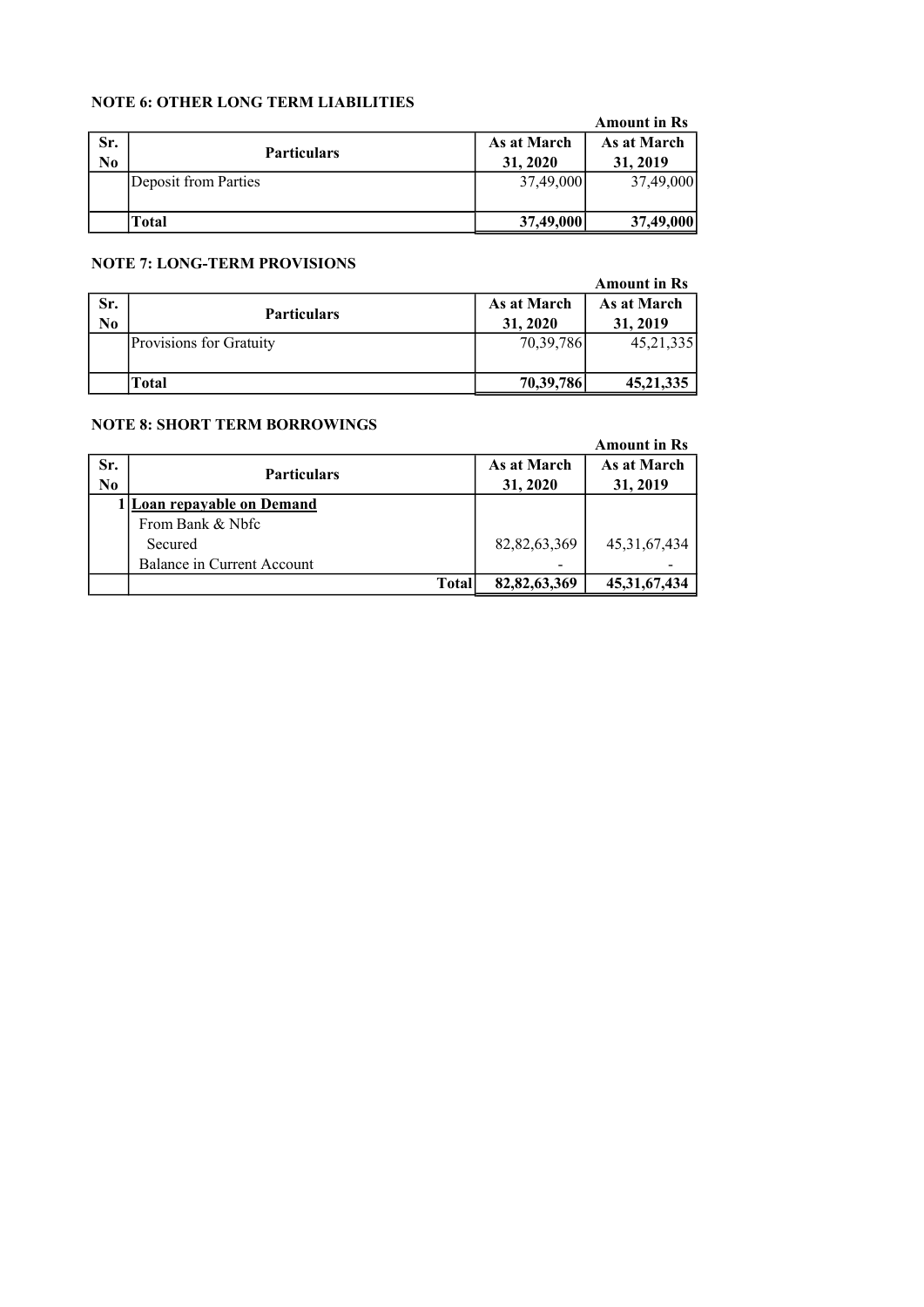#### NOTE 6: OTHER LONG TERM LIABILITIES

| <u>IVO I D V. O I HEIN EOI VO TEINIT EIADHEITHEID</u> |                      |             |                     |
|-------------------------------------------------------|----------------------|-------------|---------------------|
|                                                       |                      |             | <b>Amount in Rs</b> |
| Sr.                                                   |                      | As at March | As at March         |
| $\bf No$                                              | <b>Particulars</b>   | 31, 2020    | 31, 2019            |
|                                                       | Deposit from Parties | 37,49,000   | 37,49,000           |
|                                                       |                      |             |                     |
|                                                       | Total                | 37,49,000   | 37,49,000           |

#### NOTE 7: LONG-TERM PROVISIONS

|                       | $11011$ $110110$ $111111$ $11011111$ |                         | <b>Amount in Rs</b>     |
|-----------------------|--------------------------------------|-------------------------|-------------------------|
| Sr.<br>N <sub>0</sub> | <b>Particulars</b>                   | As at March<br>31, 2020 | As at March<br>31, 2019 |
|                       | Provisions for Gratuity              | 70,39,786               | 45, 21, 335             |
|                       | Total                                | 70,39,786               | 45, 21, 335             |

#### NOTE 8: SHORT TERM BORROWINGS

#### Amount in Rs

| Sr.<br>N <sub>0</sub> | <b>Particulars</b>         | As at March<br>31, 2020 | As at March<br>31, 2019 |
|-----------------------|----------------------------|-------------------------|-------------------------|
|                       | 1 Loan repayable on Demand |                         |                         |
|                       | From Bank & Nhfc           |                         |                         |
|                       | Secured                    | 82, 82, 63, 369         | 45, 31, 67, 434         |
|                       | Balance in Current Account |                         |                         |
|                       | <b>Total</b>               | 82, 82, 63, 369         | 45, 31, 67, 434         |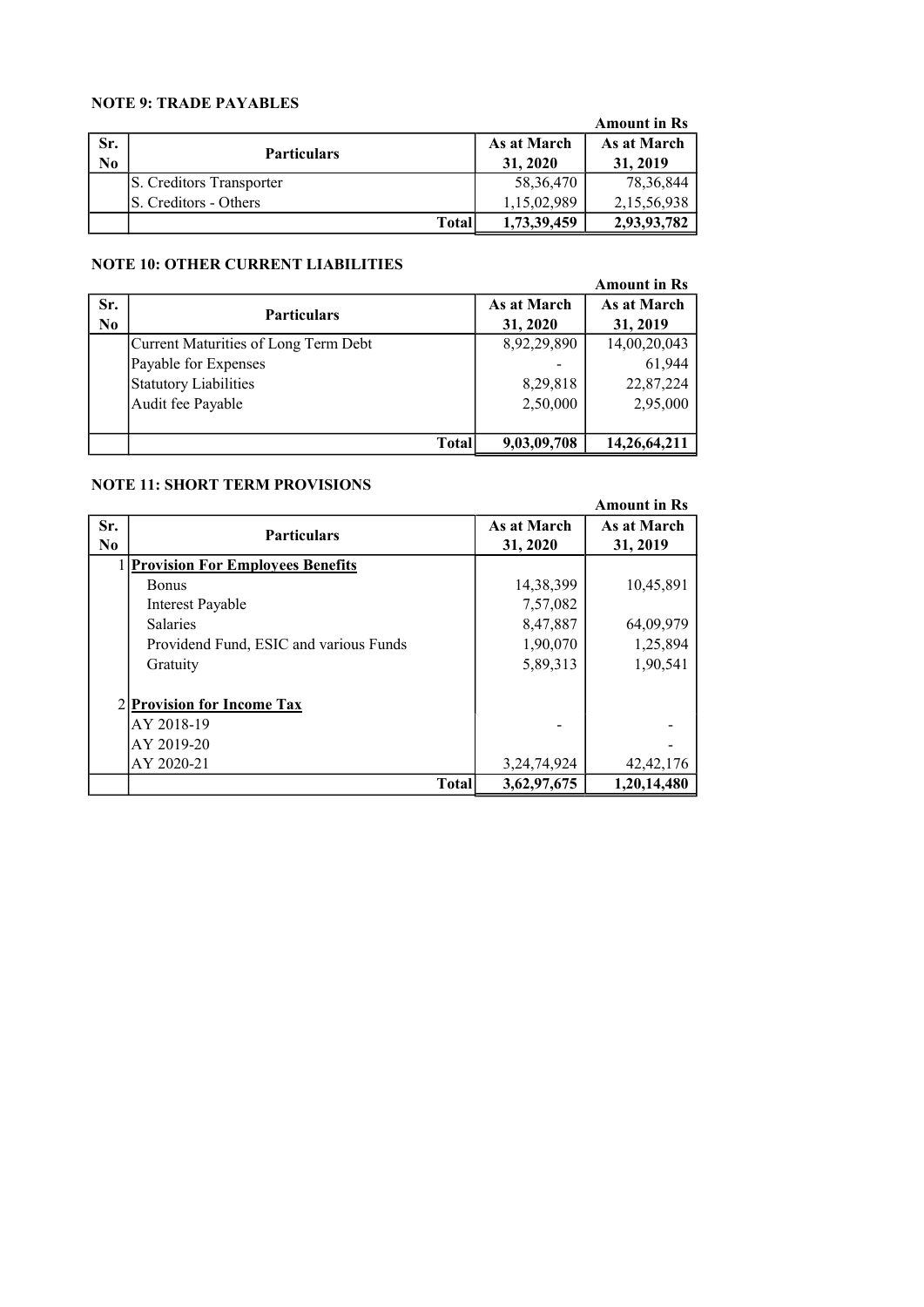#### NOTE 9: TRADE PAYABLES

|                |                          |             | <b>Amount in Rs</b> |  |
|----------------|--------------------------|-------------|---------------------|--|
| Sr.            |                          | As at March | As at March         |  |
| N <sub>0</sub> | <b>Particulars</b>       | 31, 2020    | 31, 2019            |  |
|                | S. Creditors Transporter | 58, 36, 470 | 78, 36, 844         |  |
|                | IS. Creditors - Others   | 1,15,02,989 | 2,15,56,938         |  |
|                | <b>Total</b>             | 1,73,39,459 | 2,93,93,782         |  |

#### NOTE 10: OTHER CURRENT LIABILITIES

|                |                                      |             | <b>Amount in Rs</b> |
|----------------|--------------------------------------|-------------|---------------------|
| Sr.            | <b>Particulars</b>                   | As at March | As at March         |
| N <sub>0</sub> |                                      | 31, 2020    | 31, 2019            |
|                | Current Maturities of Long Term Debt | 8,92,29,890 | 14,00,20,043        |
|                | Payable for Expenses                 |             | 61,944              |
|                | Statutory Liabilities                | 8,29,818    | 22,87,224           |
|                | Audit fee Payable                    | 2,50,000    | 2,95,000            |
|                |                                      |             |                     |
|                | <b>Total</b>                         | 9,03,09,708 | 14,26,64,211        |

#### NOTE 11: SHORT TERM PROVISIONS

|                       |                                         |       |                         | <b>Amount in Rs</b>     |
|-----------------------|-----------------------------------------|-------|-------------------------|-------------------------|
| Sr.<br>N <sub>0</sub> | <b>Particulars</b>                      |       | As at March<br>31, 2020 | As at March<br>31, 2019 |
|                       | <b>Provision For Employees Benefits</b> |       |                         |                         |
|                       | <b>Bonus</b>                            |       | 14,38,399               | 10,45,891               |
|                       | <b>Interest Payable</b>                 |       | 7,57,082                |                         |
|                       | <b>Salaries</b>                         |       | 8,47,887                | 64,09,979               |
|                       | Providend Fund, ESIC and various Funds  |       | 1,90,070                | 1,25,894                |
|                       | Gratuity                                |       | 5,89,313                | 1,90,541                |
|                       | 2 Provision for Income Tax              |       |                         |                         |
|                       | AY 2018-19                              |       |                         |                         |
|                       | AY 2019-20                              |       |                         |                         |
|                       | AY 2020-21                              |       | 3, 24, 74, 924          | 42, 42, 176             |
|                       |                                         | Total | 3,62,97,675             | 1,20,14,480             |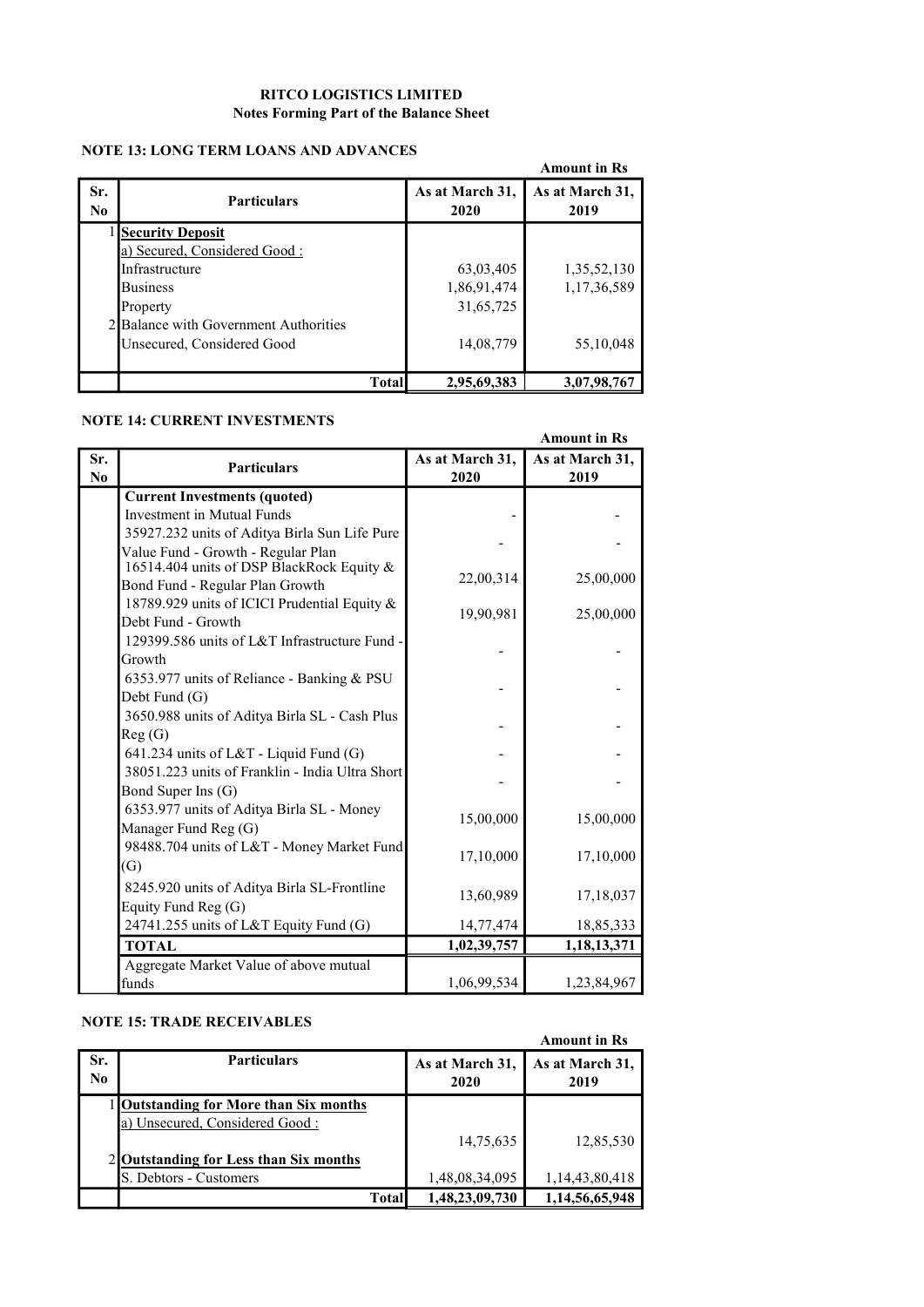#### RITCO LOGISTICS LIMITED Notes Forming Part of the Balance Sheet

#### NOTE 13: LONG TERM LOANS AND ADVANCES

|                       | IWI B IS. IANNI LENNI LAZARO ARIZ AITV ARUST |              |                         | <b>Amount in Rs</b>     |
|-----------------------|----------------------------------------------|--------------|-------------------------|-------------------------|
| Sr.<br>N <sub>0</sub> | <b>Particulars</b>                           |              | As at March 31,<br>2020 | As at March 31,<br>2019 |
|                       | <b>Security Deposit</b>                      |              |                         |                         |
|                       | a) Secured, Considered Good:                 |              |                         |                         |
|                       | Infrastructure                               |              | 63,03,405               | 1,35,52,130             |
|                       | <b>Business</b>                              |              | 1,86,91,474             | 1,17,36,589             |
|                       | Property                                     |              | 31,65,725               |                         |
|                       | 2 Balance with Government Authorities        |              |                         |                         |
|                       | Unsecured, Considered Good                   |              | 14,08,779               | 55,10,048               |
|                       |                                              | <b>Total</b> | 2,95,69,383             | 3,07,98,767             |

#### NOTE 14: CURRENT INVESTMENTS

|                |                                                 |                 | <b>Amount in Rs</b> |
|----------------|-------------------------------------------------|-----------------|---------------------|
| Sr.            | <b>Particulars</b>                              | As at March 31, | As at March 31,     |
| N <sub>0</sub> |                                                 | 2020            | 2019                |
|                | <b>Current Investments (quoted)</b>             |                 |                     |
|                | Investment in Mutual Funds                      |                 |                     |
|                | 35927.232 units of Aditya Birla Sun Life Pure   |                 |                     |
|                | Value Fund - Growth - Regular Plan              |                 |                     |
|                | 16514.404 units of DSP BlackRock Equity &       | 22,00,314       |                     |
|                | Bond Fund - Regular Plan Growth                 |                 | 25,00,000           |
|                | 18789.929 units of ICICI Prudential Equity &    | 19,90,981       | 25,00,000           |
|                | Debt Fund - Growth                              |                 |                     |
|                | 129399.586 units of L&T Infrastructure Fund -   |                 |                     |
|                | Growth                                          |                 |                     |
|                | 6353.977 units of Reliance - Banking & PSU      |                 |                     |
|                | Debt Fund (G)                                   |                 |                     |
|                | 3650.988 units of Aditya Birla SL - Cash Plus   |                 |                     |
|                | Reg(G)                                          |                 |                     |
|                | 641.234 units of $L&T$ - Liquid Fund (G)        |                 |                     |
|                | 38051.223 units of Franklin - India Ultra Short |                 |                     |
|                | Bond Super Ins (G)                              |                 |                     |
|                | 6353.977 units of Aditya Birla SL - Money       | 15,00,000       | 15,00,000           |
|                | Manager Fund Reg (G)                            |                 |                     |
|                | 98488.704 units of L&T - Money Market Fund      |                 |                     |
|                | (G)                                             | 17,10,000       | 17,10,000           |
|                | 8245.920 units of Aditya Birla SL-Frontline     |                 |                     |
|                | Equity Fund Reg (G)                             | 13,60,989       | 17,18,037           |
|                | 24741.255 units of L&T Equity Fund (G)          | 14,77,474       | 18,85,333           |
|                | <b>TOTAL</b>                                    | 1,02,39,757     | 1,18,13,371         |
|                | Aggregate Market Value of above mutual          |                 |                     |
|                | funds                                           | 1,06,99,534     | 1,23,84,967         |

#### NOTE 15: TRADE RECEIVABLES

|                 | NUTE 15. TRADE KEULIVADLES                  |                         | <b>Amount in Rs</b>     |
|-----------------|---------------------------------------------|-------------------------|-------------------------|
| Sr.<br>$\bf No$ | <b>Particulars</b>                          | As at March 31,<br>2020 | As at March 31,<br>2019 |
|                 | <b>Outstanding for More than Six months</b> |                         |                         |
|                 | a) Unsecured, Considered Good:              |                         |                         |
|                 |                                             | 14,75,635               | 12,85,530               |
|                 | Outstanding for Less than Six months        |                         |                         |
|                 | S. Debtors - Customers                      | 1,48,08,34,095          | 1,14,43,80,418          |
|                 | <b>Total</b>                                | 1,48,23,09,730          | 1,14,56,65,948          |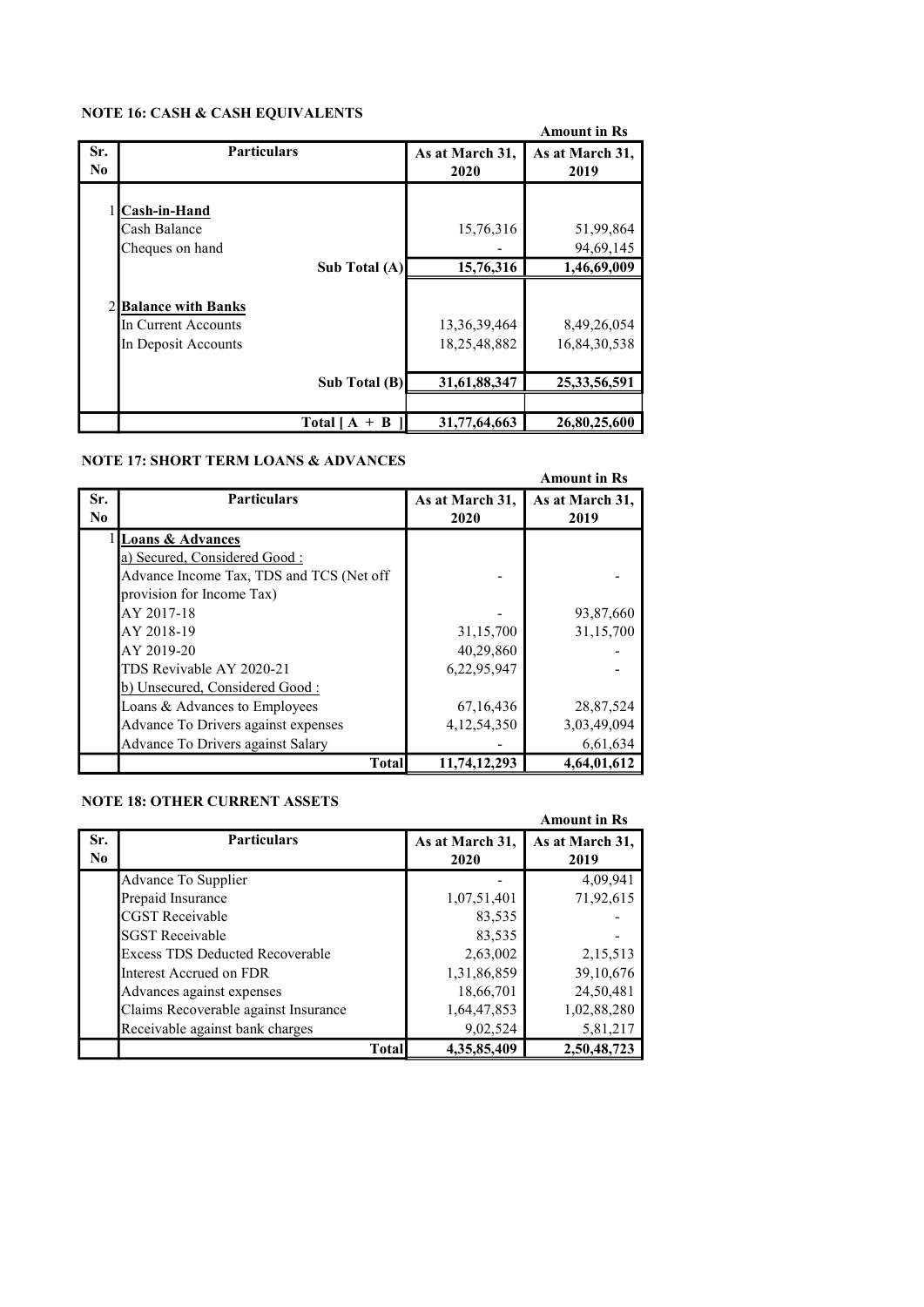#### NOTE 16: CASH & CASH EQUIVALENTS

|                       | WOTE TV. CASH & CASH EQUIVALENTS                                   |                                 | <b>Amount in Rs</b>         |
|-----------------------|--------------------------------------------------------------------|---------------------------------|-----------------------------|
| Sr.<br>N <sub>0</sub> | <b>Particulars</b>                                                 | As at March 31,<br>2020         | As at March 31,<br>2019     |
|                       | 1 Cash-in-Hand<br>Cash Balance<br>Cheques on hand                  | 15,76,316                       | 51,99,864<br>94,69,145      |
|                       | Sub Total (A)                                                      | 15,76,316                       | 1,46,69,009                 |
|                       | 2 Balance with Banks<br>In Current Accounts<br>In Deposit Accounts | 13, 36, 39, 464<br>18,25,48,882 | 8,49,26,054<br>16,84,30,538 |
|                       | Sub Total (B)                                                      | 31,61,88,347                    | 25, 33, 56, 591             |
|                       |                                                                    |                                 |                             |
|                       | Total [A]<br>$+$ B                                                 | 31,77,64,663                    | 26,80,25,600                |

#### NOTE 17: SHORT TERM LOANS & ADVANCES

|                |                                          |                 | <b>Amount in Rs</b> |
|----------------|------------------------------------------|-----------------|---------------------|
| Sr.            | <b>Particulars</b>                       | As at March 31, | As at March 31,     |
| N <sub>0</sub> |                                          | 2020            | 2019                |
|                | 1 Loans & Advances                       |                 |                     |
|                | a) Secured, Considered Good:             |                 |                     |
|                | Advance Income Tax, TDS and TCS (Net off |                 |                     |
|                | provision for Income Tax)                |                 |                     |
|                | AY 2017-18                               |                 | 93,87,660           |
|                | AY 2018-19                               | 31,15,700       | 31,15,700           |
|                | AY 2019-20                               | 40,29,860       |                     |
|                | TDS Revivable AY 2020-21                 | 6,22,95,947     |                     |
|                | b) Unsecured, Considered Good:           |                 |                     |
|                | Loans & Advances to Employees            | 67, 16, 436     | 28,87,524           |
|                | Advance To Drivers against expenses      | 4, 12, 54, 350  | 3,03,49,094         |
|                | Advance To Drivers against Salary        |                 | 6,61,634            |
|                | <b>Total</b>                             | 11,74,12,293    | 4,64,01,612         |

#### NOTE 18: OTHER CURRENT ASSETS

|          | NOTE 10. OTHER CORRENT ASSETS          |              |                 | <b>Amount in Rs</b> |
|----------|----------------------------------------|--------------|-----------------|---------------------|
| Sr.      | <b>Particulars</b>                     |              | As at March 31, | As at March 31,     |
| $\bf No$ |                                        |              | 2020            | 2019                |
|          | Advance To Supplier                    |              |                 | 4,09,941            |
|          | Prepaid Insurance                      |              | 1,07,51,401     | 71,92,615           |
|          | <b>CGST</b> Receivable                 |              | 83.535          |                     |
|          | <b>SGST Receivable</b>                 |              | 83,535          |                     |
|          | <b>Excess TDS Deducted Recoverable</b> |              | 2,63,002        | 2,15,513            |
|          | Interest Accrued on FDR                |              | 1,31,86,859     | 39,10,676           |
|          | Advances against expenses              |              | 18,66,701       | 24,50,481           |
|          | Claims Recoverable against Insurance   |              | 1,64,47,853     | 1,02,88,280         |
|          | Receivable against bank charges        |              | 9,02,524        | 5,81,217            |
|          |                                        | <b>Total</b> | 4.35.85.409     | 2,50,48,723         |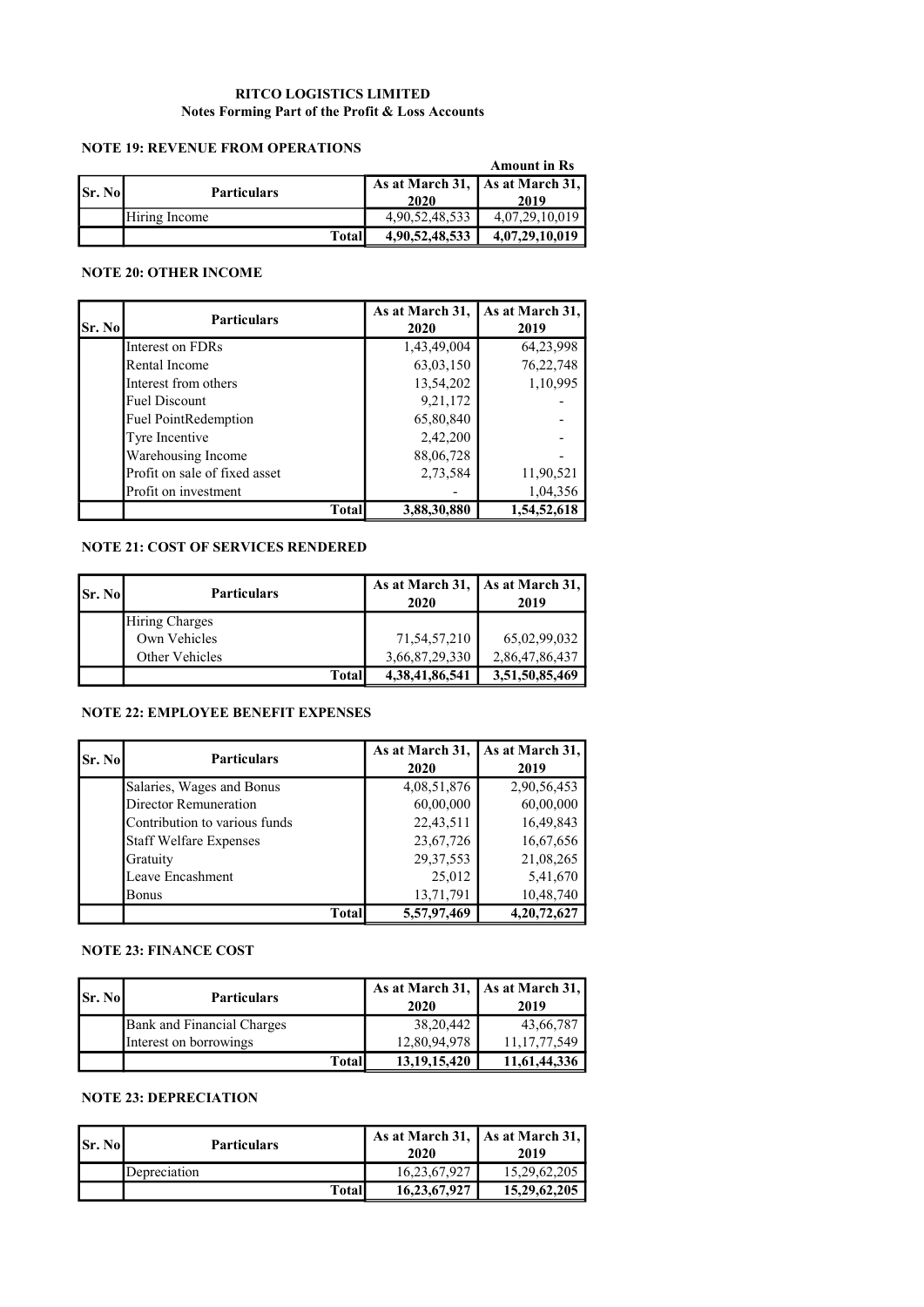#### RITCO LOGISTICS LIMITED Notes Forming Part of the Profit & Loss Accounts

#### NOTE 19: REVENUE FROM OPERATIONS

|                |                    |                                 | <b>Amount in Rs</b> |
|----------------|--------------------|---------------------------------|---------------------|
|                | <b>Particulars</b> | As at March 31, As at March 31, |                     |
| <b>Sr. Nol</b> |                    | 2020                            | 2019                |
|                | Hiring Income      | 4,90,52,48,533                  | 4,07,29,10,019      |
|                | <b>Total</b>       | 4,90,52,48,533                  | 4,07,29,10,019      |

#### NOTE 20: OTHER INCOME

| Sr. No | <b>Particulars</b>            | As at March 31,<br>2020 | As at March 31,<br>2019 |
|--------|-------------------------------|-------------------------|-------------------------|
|        | Interest on FDRs              | 1,43,49,004             | 64,23,998               |
|        | Rental Income                 | 63,03,150               | 76,22,748               |
|        | Interest from others          | 13,54,202               | 1,10,995                |
|        | <b>Fuel Discount</b>          | 9,21,172                |                         |
|        | <b>Fuel PointRedemption</b>   | 65,80,840               |                         |
|        | Tyre Incentive                | 2,42,200                |                         |
|        | Warehousing Income            | 88,06,728               |                         |
|        | Profit on sale of fixed asset | 2,73,584                | 11,90,521               |
|        | Profit on investment          |                         | 1,04,356                |
|        | <b>Total</b>                  | 3,88,30,880             | 1,54,52,618             |

#### NOTE 21: COST OF SERVICES RENDERED

| <b>Sr. Nol</b> | <b>Particulars</b>    | As at March 31, $\vert$ As at March 31,<br>2020 | 2019           |
|----------------|-----------------------|-------------------------------------------------|----------------|
|                | <b>Hiring Charges</b> |                                                 |                |
|                | Own Vehicles          | 71,54,57,210                                    | 65,02,99,032   |
|                | Other Vehicles        | 3,66,87,29,330                                  | 2,86,47,86,437 |
|                | Total                 | 4,38,41,86,541                                  | 3,51,50,85,469 |

#### NOTE 22: EMPLOYEE BENEFIT EXPENSES

| Sr. No | <b>Particulars</b>            | As at March 31,<br>2020 | As at March 31,<br>2019 |
|--------|-------------------------------|-------------------------|-------------------------|
|        | Salaries, Wages and Bonus     | 4,08,51,876             | 2,90,56,453             |
|        | Director Remuneration         | 60,00,000               | 60,00,000               |
|        | Contribution to various funds | 22,43,511               | 16,49,843               |
|        | <b>Staff Welfare Expenses</b> | 23,67,726               | 16,67,656               |
|        | Gratuity                      | 29, 37, 553             | 21,08,265               |
|        | Leave Encashment              | 25,012                  | 5,41,670                |
|        | Bonus                         | 13,71,791               | 10,48,740               |
|        | Total                         | 5,57,97,469             | 4,20,72,627             |

#### NOTE 23: FINANCE COST

| <b>Sr. Nol</b> | <b>Particulars</b>                | As at March 31, As at March 31,<br>2020 | 2019            |  |
|----------------|-----------------------------------|-----------------------------------------|-----------------|--|
|                | <b>Bank and Financial Charges</b> | 38, 20, 442                             | 43,66,787       |  |
|                | Interest on borrowings            | 12,80,94,978                            | 11, 17, 77, 549 |  |
|                | <b>Total</b>                      | 13, 19, 15, 420                         | 11,61,44,336    |  |

#### NOTE 23: DEPRECIATION

| <b>Sr. No</b> | <b>Particulars</b> | As at March 31,   As at March 31,  <br>2020 | 2019         |  |
|---------------|--------------------|---------------------------------------------|--------------|--|
|               | Depreciation       | 16,23,67,927                                | 15,29,62,205 |  |
|               | Totall             | 16, 23, 67, 927                             | 15,29,62,205 |  |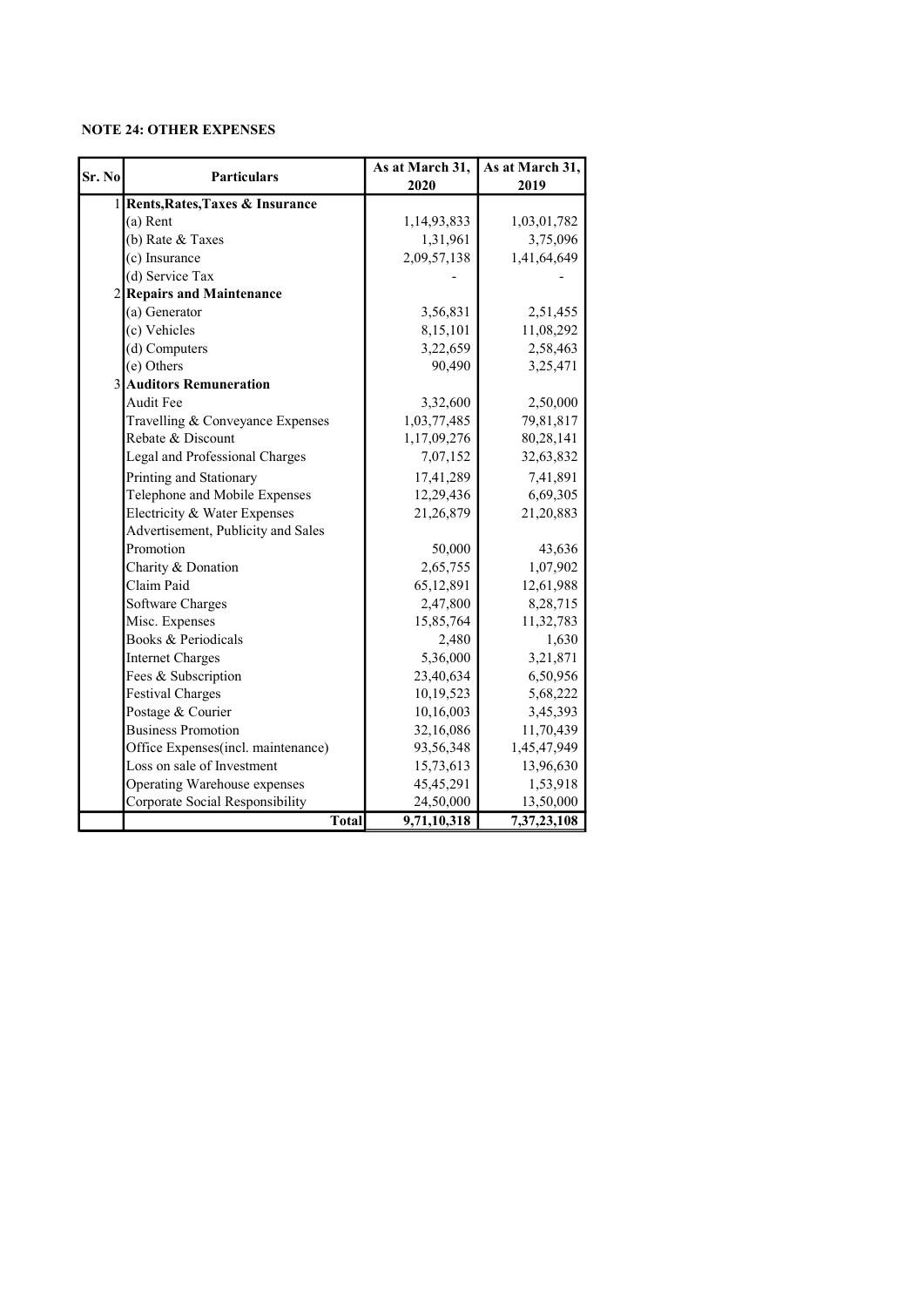#### NOTE 24: OTHER EXPENSES

| Sr. No | <b>Particulars</b>                              | As at March 31,<br>2020 | As at March 31,<br>2019 |  |
|--------|-------------------------------------------------|-------------------------|-------------------------|--|
|        | 1 Rents, Rates, Taxes & Insurance               |                         |                         |  |
|        | $(a)$ Rent                                      | 1,14,93,833             | 1,03,01,782             |  |
|        | (b) Rate & Taxes                                | 1,31,961                | 3,75,096                |  |
|        | (c) Insurance                                   | 2,09,57,138             |                         |  |
|        | (d) Service Tax                                 |                         | 1,41,64,649             |  |
|        | 2 Repairs and Maintenance                       |                         |                         |  |
|        | (a) Generator                                   | 3,56,831                | 2,51,455                |  |
|        | (c) Vehicles                                    | 8,15,101                | 11,08,292               |  |
|        | (d) Computers                                   | 3,22,659                | 2,58,463                |  |
|        | (e) Others                                      | 90,490                  | 3,25,471                |  |
|        | 3 Auditors Remuneration                         |                         |                         |  |
|        | Audit Fee                                       | 3,32,600                | 2,50,000                |  |
|        | Travelling & Conveyance Expenses                | 1,03,77,485             | 79,81,817               |  |
|        | Rebate & Discount                               | 1,17,09,276             | 80,28,141               |  |
|        | Legal and Professional Charges                  | 7,07,152                |                         |  |
|        |                                                 |                         | 32,63,832               |  |
|        | Printing and Stationary                         | 17,41,289               | 7,41,891                |  |
|        | Telephone and Mobile Expenses                   | 12,29,436               | 6,69,305                |  |
|        | Electricity & Water Expenses                    | 21,26,879               | 21,20,883               |  |
|        | Advertisement, Publicity and Sales<br>Promotion |                         |                         |  |
|        |                                                 | 50,000                  | 43,636                  |  |
|        | Charity & Donation                              | 2,65,755                | 1,07,902                |  |
|        | Claim Paid                                      | 65,12,891               | 12,61,988               |  |
|        | Software Charges                                | 2,47,800                | 8,28,715                |  |
|        | Misc. Expenses<br>Books & Periodicals           | 15,85,764               | 11,32,783               |  |
|        |                                                 | 2,480                   | 1,630                   |  |
|        | <b>Internet Charges</b>                         | 5,36,000                | 3,21,871                |  |
|        | Fees & Subscription                             | 23,40,634               | 6,50,956                |  |
|        | <b>Festival Charges</b>                         | 10,19,523               | 5,68,222                |  |
|        | Postage & Courier                               | 10,16,003               | 3,45,393                |  |
|        | <b>Business Promotion</b>                       | 32,16,086               | 11,70,439               |  |
|        | Office Expenses(incl. maintenance)              | 93,56,348               | 1,45,47,949             |  |
|        | Loss on sale of Investment                      | 15,73,613               | 13,96,630               |  |
|        | Operating Warehouse expenses                    | 45,45,291               | 1,53,918                |  |
|        | Corporate Social Responsibility                 | 24,50,000               | 13,50,000               |  |
|        | Total                                           | 9,71,10,318             | 7,37,23,108             |  |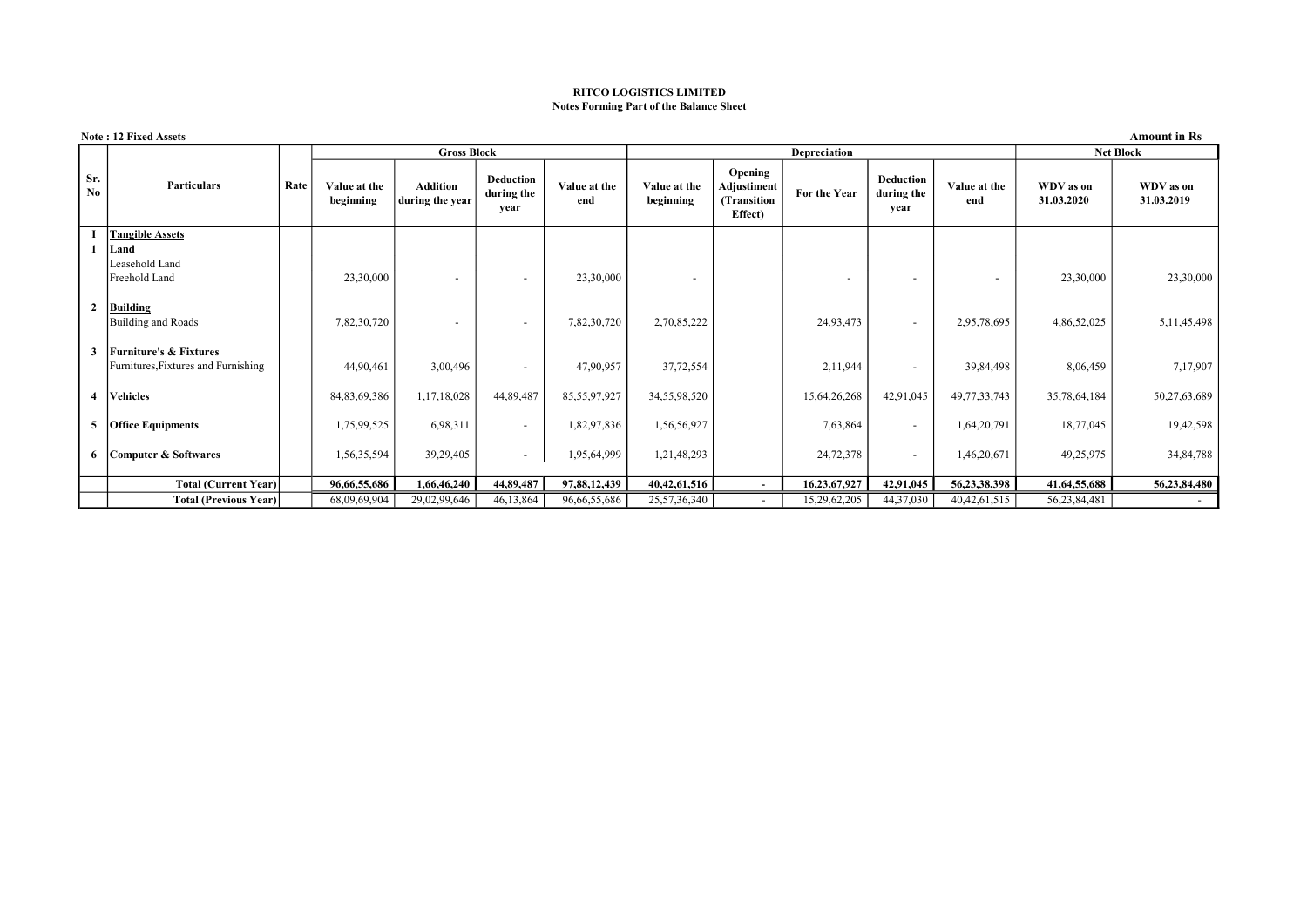#### RITCO LOGISTICS LIMITED Notes Forming Part of the Balance Sheet

|                 | <b>Amount in Rs</b><br><b>Note: 12 Fixed Assets</b> |      |                           |                                    |                                        |                     |                           |                                                  |                          |                                 |                     |                         |                         |
|-----------------|-----------------------------------------------------|------|---------------------------|------------------------------------|----------------------------------------|---------------------|---------------------------|--------------------------------------------------|--------------------------|---------------------------------|---------------------|-------------------------|-------------------------|
|                 | Depreciation<br><b>Gross Block</b>                  |      |                           |                                    |                                        | <b>Net Block</b>    |                           |                                                  |                          |                                 |                     |                         |                         |
| Sr.<br>$\bf No$ | <b>Particulars</b>                                  | Rate | Value at the<br>beginning | <b>Addition</b><br>during the year | <b>Deduction</b><br>during the<br>year | Value at the<br>end | Value at the<br>beginning | Opening<br>Adjustiment<br>(Transition<br>Effect) | For the Year             | Deduction<br>during the<br>year | Value at the<br>end | WDV as on<br>31.03.2020 | WDV as on<br>31.03.2019 |
|                 | <b>Tangible Assets</b>                              |      |                           |                                    |                                        |                     |                           |                                                  |                          |                                 |                     |                         |                         |
|                 | Land                                                |      |                           |                                    |                                        |                     |                           |                                                  |                          |                                 |                     |                         |                         |
|                 | Leasehold Land                                      |      |                           |                                    |                                        |                     |                           |                                                  |                          |                                 |                     |                         |                         |
|                 | Freehold Land                                       |      | 23,30,000                 |                                    |                                        | 23,30,000           |                           |                                                  | $\overline{\phantom{a}}$ |                                 |                     | 23,30,000               | 23,30,000               |
| 2               | <b>Building</b>                                     |      |                           |                                    |                                        |                     |                           |                                                  |                          |                                 |                     |                         |                         |
|                 | Building and Roads                                  |      | 7,82,30,720               |                                    | $\overline{a}$                         | 7,82,30,720         | 2,70,85,222               |                                                  | 24,93,473                |                                 | 2,95,78,695         | 4,86,52,025             | 5, 11, 45, 498          |
| 3               | <b>Furniture's &amp; Fixtures</b>                   |      |                           |                                    |                                        |                     |                           |                                                  |                          |                                 |                     |                         |                         |
|                 | Furnitures, Fixtures and Furnishing                 |      | 44,90,461                 | 3,00,496                           | $\overline{\phantom{a}}$               | 47,90,957           | 37,72,554                 |                                                  | 2,11,944                 |                                 | 39,84,498           | 8,06,459                | 7,17,907                |
|                 | 4   Vehicles                                        |      | 84, 83, 69, 386           | 1,17,18,028                        | 44,89,487                              | 85,55,97,927        | 34,55,98,520              |                                                  | 15,64,26,268             | 42,91,045                       | 49, 77, 33, 743     | 35,78,64,184            | 50,27,63,689            |
|                 | 5 Office Equipments                                 |      | 1,75,99,525               | 6,98,311                           | $\sim$                                 | 1,82,97,836         | 1,56,56,927               |                                                  | 7,63,864                 |                                 | 1,64,20,791         | 18,77,045               | 19,42,598               |
|                 | 6 Computer & Softwares                              |      | 1,56,35,594               | 39,29,405                          | $\sim$                                 | 1,95,64,999         | 1,21,48,293               |                                                  | 24,72,378                |                                 | 1,46,20,671         | 49,25,975               | 34,84,788               |
|                 | Total (Current Year)                                |      | 96,66,55,686              | 1,66,46,240                        | 44,89,487                              | 97,88,12,439        | 40, 42, 61, 516           | $\sim$                                           | 16,23,67,927             | 42,91,045                       | 56,23,38,398        | 41,64,55,688            | 56,23,84,480            |
|                 | <b>Total (Previous Year)</b>                        |      | 68,09,69,904              | 29,02,99,646                       | 46,13,864                              | 96,66,55,686        | 25,57,36,340              | $\sim$                                           | 15,29,62,205             | 44,37,030                       | 40, 42, 61, 515     | 56,23,84,481            |                         |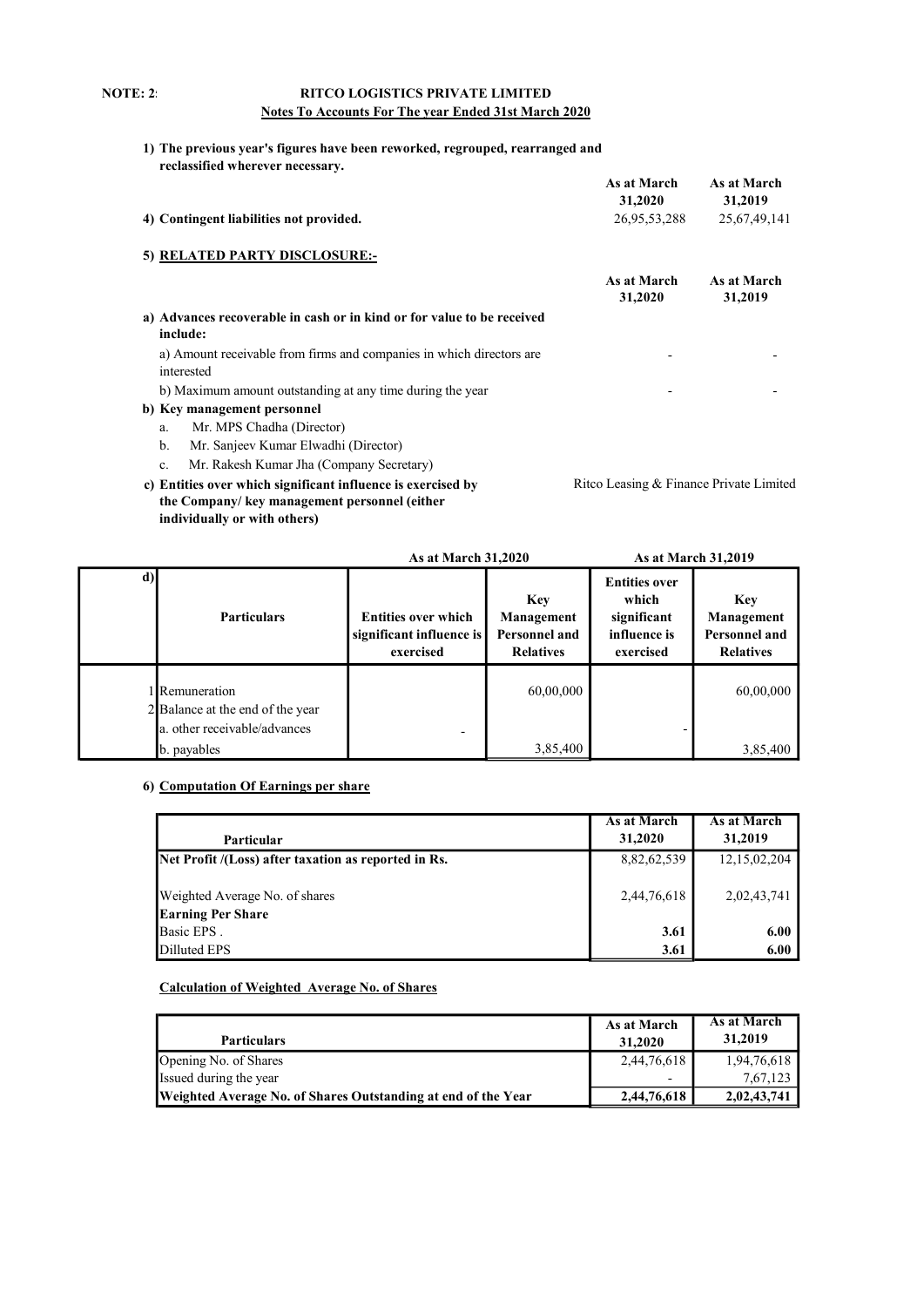#### **NOTE: 2:**

#### RITCO LOGISTICS PRIVATE LIMITED Notes To Accounts For The year Ended 31st March 2020

1) The previous year's figures have been reworked, regrouped, rearranged and reclassified wherever necessary.

|                                                                                    | As at March<br>31,2020                  | As at March<br>31,2019 |
|------------------------------------------------------------------------------------|-----------------------------------------|------------------------|
| 4) Contingent liabilities not provided.                                            | 26,95,53,288                            | 25,67,49,141           |
| 5) RELATED PARTY DISCLOSURE:-                                                      |                                         |                        |
|                                                                                    | As at March<br>31,2020                  | As at March<br>31,2019 |
| a) Advances recoverable in cash or in kind or for value to be received<br>include: |                                         |                        |
| a) Amount receivable from firms and companies in which directors are<br>interested |                                         |                        |
| b) Maximum amount outstanding at any time during the year                          |                                         |                        |
| b) Key management personnel                                                        |                                         |                        |
| Mr. MPS Chadha (Director)<br>a.                                                    |                                         |                        |
| b.<br>Mr. Sanjeev Kumar Elwadhi (Director)                                         |                                         |                        |
| Mr. Rakesh Kumar Jha (Company Secretary)<br>c.                                     |                                         |                        |
| c) Entities over which significant influence is exercised by                       | Ritco Leasing & Finance Private Limited |                        |
| the Company/ key management personnel (either                                      |                                         |                        |

individually or with others)

|    |                                                                                         | <b>As at March 31,2020</b>                                          |                                                        | As at March 31,2019                                                       |                                                                      |  |
|----|-----------------------------------------------------------------------------------------|---------------------------------------------------------------------|--------------------------------------------------------|---------------------------------------------------------------------------|----------------------------------------------------------------------|--|
| d) | <b>Particulars</b>                                                                      | <b>Entities over which</b><br>significant influence is<br>exercised | Key<br>Management<br>Personnel and<br><b>Relatives</b> | <b>Entities over</b><br>which<br>significant<br>influence is<br>exercised | <b>Key</b><br>Management<br><b>Personnel and</b><br><b>Relatives</b> |  |
|    | <b>Remuneration</b><br>2 Balance at the end of the year<br>a. other receivable/advances | $\overline{\phantom{0}}$                                            | 60,00,000                                              |                                                                           | 60,00,000                                                            |  |
|    | b. payables                                                                             |                                                                     | 3,85,400                                               |                                                                           | 3,85,400                                                             |  |

#### 6) Computation Of Earnings per share

| Particular                                           | As at March<br>31,2020 | As at March<br>31,2019 |
|------------------------------------------------------|------------------------|------------------------|
| Net Profit /(Loss) after taxation as reported in Rs. | 8,82,62,539            | 12, 15, 02, 204        |
| Weighted Average No. of shares                       | 2,44,76,618            | 2,02,43,741            |
| <b>Earning Per Share</b>                             |                        |                        |
| Basic EPS.                                           | 3.61                   | 6.00                   |
| Dilluted EPS                                         | 3.61                   | 6.00                   |

#### Calculation of Weighted Average No. of Shares

| <b>Particulars</b>                                            | As at March<br>31,2020   | As at March<br>31,2019 |
|---------------------------------------------------------------|--------------------------|------------------------|
| Opening No. of Shares                                         | 2,44,76,618              | 1,94,76,618            |
| Issued during the year                                        | $\overline{\phantom{0}}$ | 7,67,123               |
| Weighted Average No. of Shares Outstanding at end of the Year | 2,44,76,618              | 2,02,43,741            |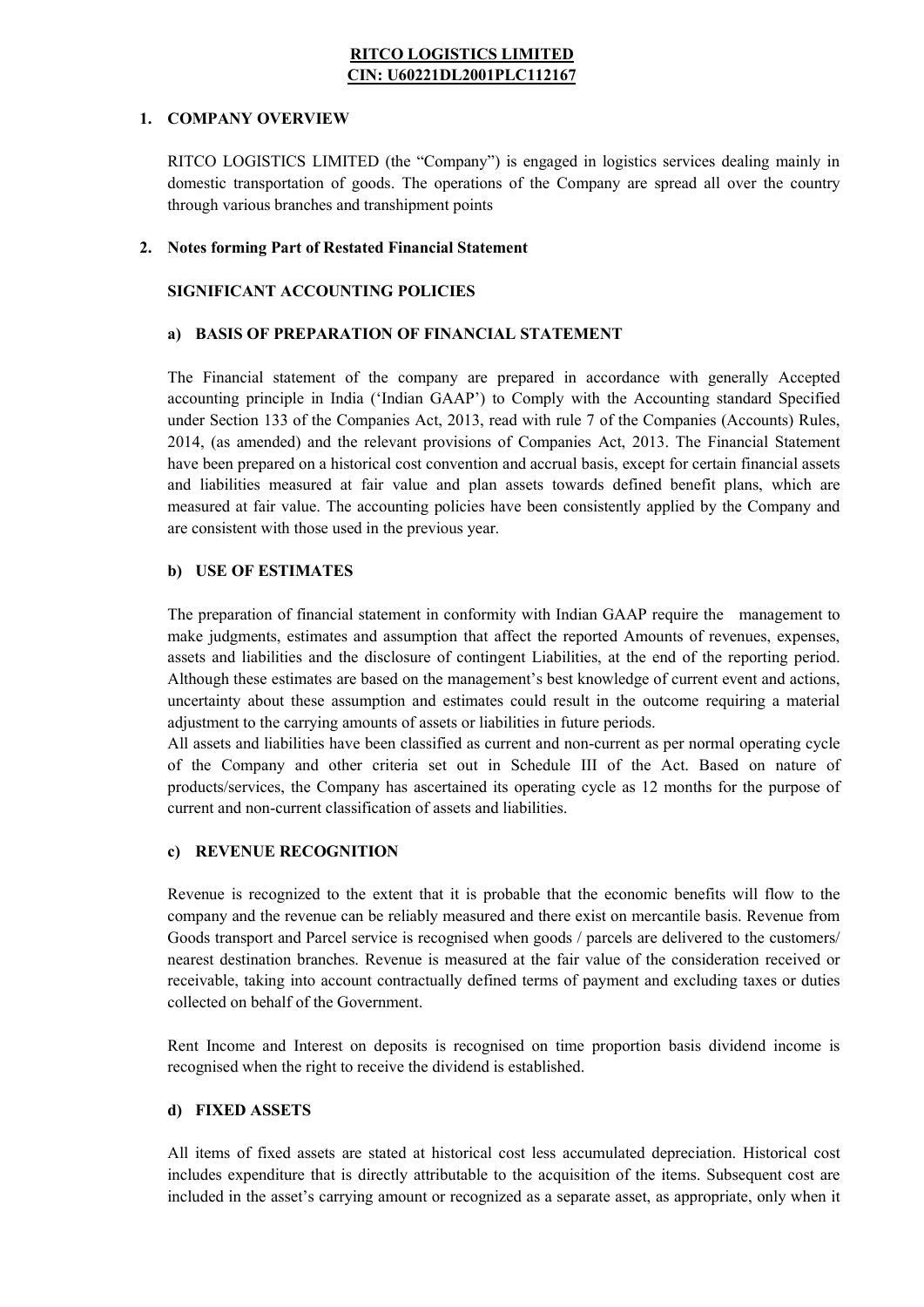#### RITCO LOGISTICS LIMITED CIN: U60221DL2001PLC112167

#### 1. COMPANY OVERVIEW

RITCO LOGISTICS LIMITED (the "Company") is engaged in logistics services dealing mainly in domestic transportation of goods. The operations of the Company are spread all over the country through various branches and transhipment points

#### 2. Notes forming Part of Restated Financial Statement

#### SIGNIFICANT ACCOUNTING POLICIES

#### a) BASIS OF PREPARATION OF FINANCIAL STATEMENT

The Financial statement of the company are prepared in accordance with generally Accepted accounting principle in India ('Indian GAAP') to Comply with the Accounting standard Specified under Section 133 of the Companies Act, 2013, read with rule 7 of the Companies (Accounts) Rules, 2014, (as amended) and the relevant provisions of Companies Act, 2013. The Financial Statement have been prepared on a historical cost convention and accrual basis, except for certain financial assets and liabilities measured at fair value and plan assets towards defined benefit plans, which are measured at fair value. The accounting policies have been consistently applied by the Company and are consistent with those used in the previous year.

#### b) USE OF ESTIMATES

The preparation of financial statement in conformity with Indian GAAP require the management to make judgments, estimates and assumption that affect the reported Amounts of revenues, expenses, assets and liabilities and the disclosure of contingent Liabilities, at the end of the reporting period. Although these estimates are based on the management's best knowledge of current event and actions, uncertainty about these assumption and estimates could result in the outcome requiring a material adjustment to the carrying amounts of assets or liabilities in future periods.

All assets and liabilities have been classified as current and non-current as per normal operating cycle of the Company and other criteria set out in Schedule III of the Act. Based on nature of products/services, the Company has ascertained its operating cycle as 12 months for the purpose of current and non-current classification of assets and liabilities.

#### c) REVENUE RECOGNITION

Revenue is recognized to the extent that it is probable that the economic benefits will flow to the company and the revenue can be reliably measured and there exist on mercantile basis. Revenue from Goods transport and Parcel service is recognised when goods / parcels are delivered to the customers/ nearest destination branches. Revenue is measured at the fair value of the consideration received or receivable, taking into account contractually defined terms of payment and excluding taxes or duties collected on behalf of the Government.

Rent Income and Interest on deposits is recognised on time proportion basis dividend income is recognised when the right to receive the dividend is established.

#### d) FIXED ASSETS

All items of fixed assets are stated at historical cost less accumulated depreciation. Historical cost includes expenditure that is directly attributable to the acquisition of the items. Subsequent cost are included in the asset's carrying amount or recognized as a separate asset, as appropriate, only when it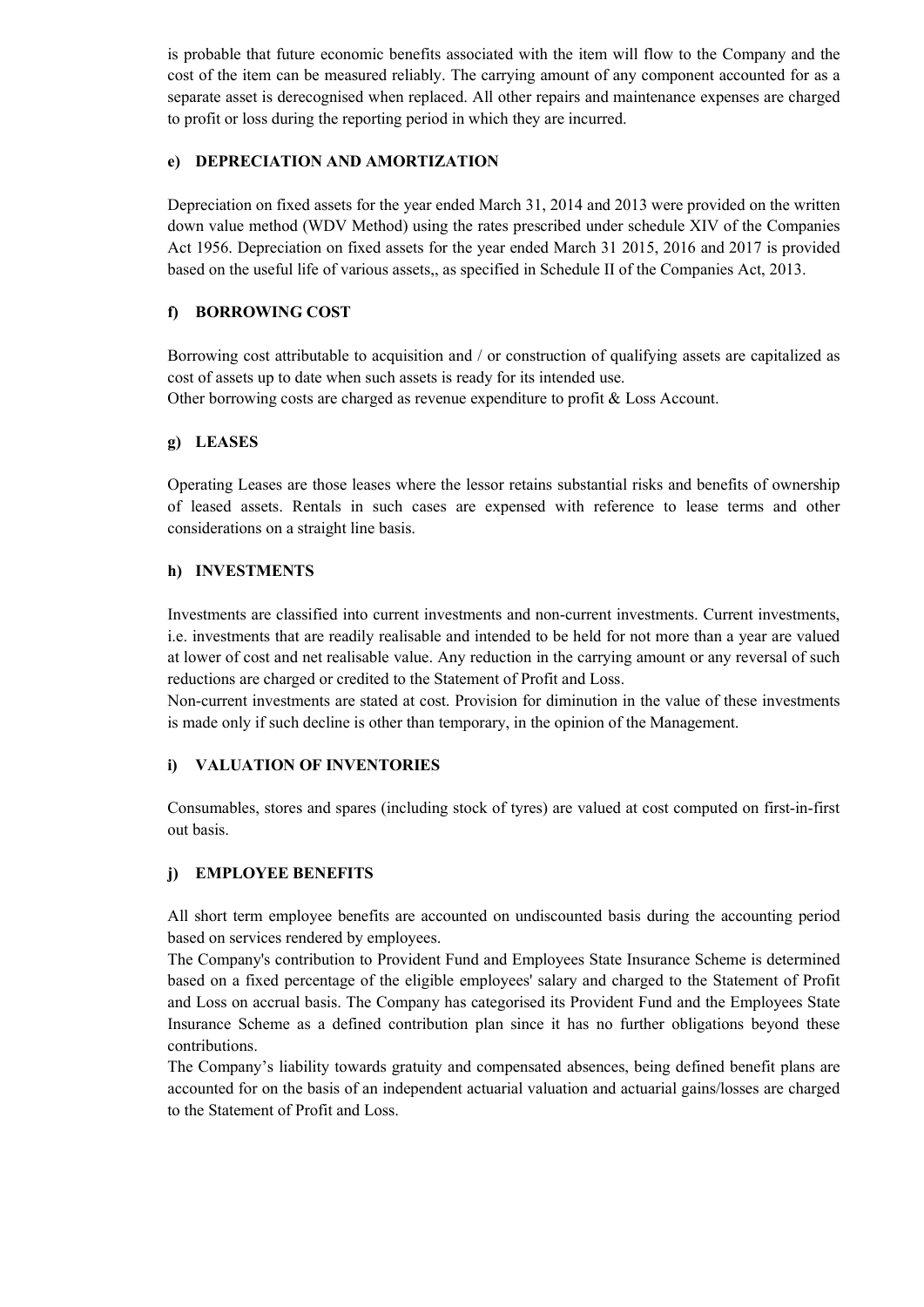is probable that future economic benefits associated with the item will flow to the Company and the cost of the item can be measured reliably. The carrying amount of any component accounted for as a separate asset is derecognised when replaced. All other repairs and maintenance expenses are charged to profit or loss during the reporting period in which they are incurred.

#### e) DEPRECIATION AND AMORTIZATION

Depreciation on fixed assets for the year ended March 31, 2014 and 2013 were provided on the written down value method (WDV Method) using the rates prescribed under schedule XIV of the Companies Act 1956. Depreciation on fixed assets for the year ended March 31 2015, 2016 and 2017 is provided based on the useful life of various assets,, as specified in Schedule II of the Companies Act, 2013.

#### f) BORROWING COST

Borrowing cost attributable to acquisition and / or construction of qualifying assets are capitalized as cost of assets up to date when such assets is ready for its intended use. Other borrowing costs are charged as revenue expenditure to profit & Loss Account.

#### g) LEASES

Operating Leases are those leases where the lessor retains substantial risks and benefits of ownership of leased assets. Rentals in such cases are expensed with reference to lease terms and other considerations on a straight line basis.

#### h) INVESTMENTS

Investments are classified into current investments and non-current investments. Current investments, i.e. investments that are readily realisable and intended to be held for not more than a year are valued at lower of cost and net realisable value. Any reduction in the carrying amount or any reversal of such reductions are charged or credited to the Statement of Profit and Loss.

Non-current investments are stated at cost. Provision for diminution in the value of these investments is made only if such decline is other than temporary, in the opinion of the Management.

#### i) VALUATION OF INVENTORIES

Consumables, stores and spares (including stock of tyres) are valued at cost computed on first-in-first out basis.

#### j) EMPLOYEE BENEFITS

All short term employee benefits are accounted on undiscounted basis during the accounting period based on services rendered by employees.

The Company's contribution to Provident Fund and Employees State Insurance Scheme is determined based on a fixed percentage of the eligible employees' salary and charged to the Statement of Profit and Loss on accrual basis. The Company has categorised its Provident Fund and the Employees State Insurance Scheme as a defined contribution plan since it has no further obligations beyond these contributions.

The Company's liability towards gratuity and compensated absences, being defined benefit plans are accounted for on the basis of an independent actuarial valuation and actuarial gains/losses are charged to the Statement of Profit and Loss.